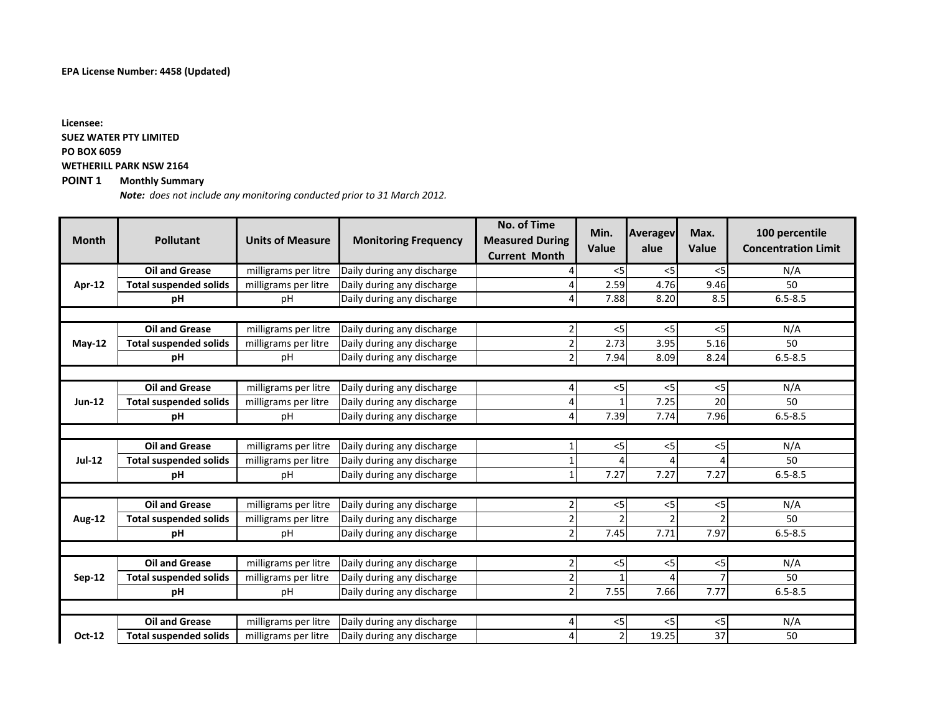### **EPA License Number: 4458 (Updated)**

**POINT 1 Monthly Summary Licensee: SUEZ WATER PTY LIMITED PO BOX 6059 WETHERILL PARK NSW 2164**

*Note: does not include any monitoring conducted prior to 31 March 2012.*

| <b>Month</b>  | <b>Pollutant</b>              | <b>Units of Measure</b> | <b>Monitoring Frequency</b> | <b>No. of Time</b><br><b>Measured During</b><br><b>Current Month</b> | Min.<br>Value | <b>Averagev</b><br>alue | Max.<br>Value  | 100 percentile<br><b>Concentration Limit</b> |  |
|---------------|-------------------------------|-------------------------|-----------------------------|----------------------------------------------------------------------|---------------|-------------------------|----------------|----------------------------------------------|--|
|               | <b>Oil and Grease</b>         | milligrams per litre    | Daily during any discharge  |                                                                      | $<$ 5         | $<$ 5                   | < 5            | N/A                                          |  |
| Apr-12        | <b>Total suspended solids</b> | milligrams per litre    | Daily during any discharge  |                                                                      | 2.59          | 4.76                    | 9.46           | 50                                           |  |
|               | pH                            | pH                      | Daily during any discharge  | $\overline{a}$                                                       | 7.88          | 8.20                    | 8.5            | $6.5 - 8.5$                                  |  |
|               |                               |                         |                             |                                                                      |               |                         |                |                                              |  |
|               | <b>Oil and Grease</b>         | milligrams per litre    | Daily during any discharge  | 2                                                                    | $<$ 5         | $<$ 5                   | < 5            | N/A                                          |  |
| <b>May-12</b> | <b>Total suspended solids</b> | milligrams per litre    | Daily during any discharge  | $\overline{2}$                                                       | 2.73          | 3.95                    | 5.16           | 50                                           |  |
|               | рH                            | pH                      | Daily during any discharge  | $\overline{2}$                                                       | 7.94          | 8.09                    | 8.24           | $6.5 - 8.5$                                  |  |
|               |                               |                         |                             |                                                                      |               |                         |                |                                              |  |
|               | <b>Oil and Grease</b>         | milligrams per litre    | Daily during any discharge  | 4                                                                    | $<$ 5         | $<$ 5                   | < 5            | N/A                                          |  |
| $Jun-12$      | <b>Total suspended solids</b> | milligrams per litre    | Daily during any discharge  | 4                                                                    |               | 7.25                    | 20             | 50                                           |  |
|               | рH                            | pH                      | Daily during any discharge  | 4                                                                    | 7.39          | 7.74                    | 7.96           | $6.5 - 8.5$                                  |  |
|               |                               |                         |                             |                                                                      |               |                         |                |                                              |  |
|               | <b>Oil and Grease</b>         | milligrams per litre    | Daily during any discharge  | $1\overline{ }$                                                      | $<$ 5         | $<$ 5                   | < 5            | N/A                                          |  |
| $Jul-12$      | <b>Total suspended solids</b> | milligrams per litre    | Daily during any discharge  | 1                                                                    |               | 4                       | 4              | 50                                           |  |
|               | рH                            | pH                      | Daily during any discharge  | $\mathbf{1}$                                                         | 7.27          | 7.27                    | 7.27           | $6.5 - 8.5$                                  |  |
|               |                               |                         |                             |                                                                      |               |                         |                |                                              |  |
|               | <b>Oil and Grease</b>         | milligrams per litre    | Daily during any discharge  | $\overline{2}$                                                       | $<$ 5         | $<$ 5                   | < 5            | N/A                                          |  |
| <b>Aug-12</b> | <b>Total suspended solids</b> | milligrams per litre    | Daily during any discharge  | $\mathbf 2$                                                          |               |                         | $\mathfrak{p}$ | 50                                           |  |
|               | рH                            | pH                      | Daily during any discharge  | $\overline{2}$                                                       | 7.45          | 7.71                    | 7.97           | $6.5 - 8.5$                                  |  |
|               |                               |                         |                             |                                                                      |               |                         |                |                                              |  |
|               | <b>Oil and Grease</b>         | milligrams per litre    | Daily during any discharge  | $\overline{2}$                                                       | $<$ 5         | $<$ 5                   | < 5            | N/A                                          |  |
| Sep-12        | <b>Total suspended solids</b> | milligrams per litre    | Daily during any discharge  | $\mathbf 2$                                                          |               |                         |                | 50                                           |  |
|               | рH                            | рH                      | Daily during any discharge  | $\overline{2}$                                                       | 7.55          | 7.66                    | 7.77           | $6.5 - 8.5$                                  |  |
|               |                               |                         |                             |                                                                      |               |                         |                |                                              |  |
|               | <b>Oil and Grease</b>         | milligrams per litre    | Daily during any discharge  | 4                                                                    | $<$ 5         | $<$ 5                   | $< 5$          | N/A                                          |  |
| Oct-12        | <b>Total suspended solids</b> | milligrams per litre    | Daily during any discharge  | 4                                                                    |               | 19.25                   | 37             | 50                                           |  |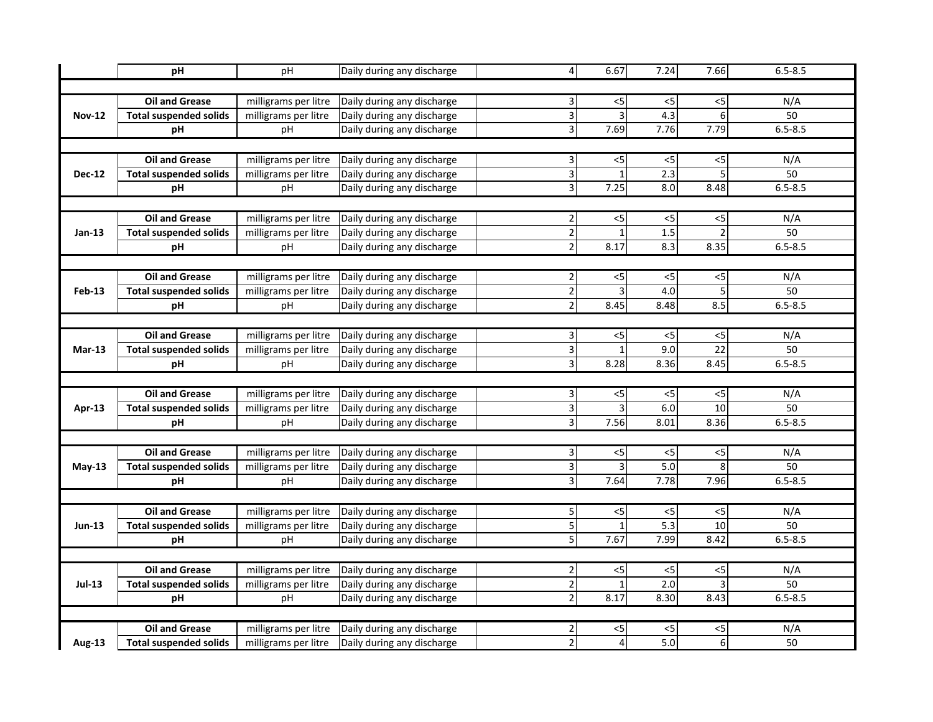|               | pH                            | pH                   | Daily during any discharge | $\overline{4}$          | 6.67                      | 7.24                     | 7.66                     | $6.5 - 8.5$ |  |  |
|---------------|-------------------------------|----------------------|----------------------------|-------------------------|---------------------------|--------------------------|--------------------------|-------------|--|--|
|               |                               |                      |                            |                         |                           |                          |                          |             |  |  |
|               | <b>Oil and Grease</b>         | milligrams per litre | Daily during any discharge | $\overline{\mathbf{3}}$ | $<$ 5                     | $<$ 5                    | <5                       | N/A         |  |  |
| <b>Nov-12</b> | <b>Total suspended solids</b> | milligrams per litre | Daily during any discharge | $\overline{3}$          | 3                         | 4.3                      | 6                        | 50          |  |  |
|               | рH                            | pH                   | Daily during any discharge | $\overline{3}$          | 7.69                      | 7.76                     | 7.79                     | $6.5 - 8.5$ |  |  |
|               |                               |                      |                            |                         |                           |                          |                          |             |  |  |
|               | <b>Oil and Grease</b>         | milligrams per litre | Daily during any discharge | $\overline{3}$          | $< 5$                     | $<$ 5                    | $<$ 5                    | N/A         |  |  |
| <b>Dec-12</b> | <b>Total suspended solids</b> | milligrams per litre | Daily during any discharge | υ                       | $\mathbf{1}$              | 2.3                      | 5                        | 50          |  |  |
|               | pH                            | pH                   | Daily during any discharge | $\overline{3}$          | 7.25                      | 8.0                      | 8.48                     | $6.5 - 8.5$ |  |  |
|               |                               |                      |                            |                         |                           |                          |                          |             |  |  |
|               | <b>Oil and Grease</b>         | milligrams per litre | Daily during any discharge | $\overline{2}$          | $<$ 5                     | $<$ 5                    | <5                       | N/A         |  |  |
| $Jan-13$      | <b>Total suspended solids</b> | milligrams per litre | Daily during any discharge | $\overline{2}$          |                           | 1.5                      | $\overline{\phantom{a}}$ | 50          |  |  |
|               | pH                            | pH                   | Daily during any discharge | $\overline{2}$          | 8.17                      | 8.3                      | 8.35                     | $6.5 - 8.5$ |  |  |
|               |                               |                      |                            |                         |                           |                          |                          |             |  |  |
|               | <b>Oil and Grease</b>         | milligrams per litre | Daily during any discharge | $\overline{2}$          | $<$ 5                     | $<$ 5                    | <5                       | N/A         |  |  |
| <b>Feb-13</b> | <b>Total suspended solids</b> | milligrams per litre | Daily during any discharge | $\overline{2}$          | 3                         | 4.0                      | 5                        | 50          |  |  |
|               | pH                            | рH                   | Daily during any discharge | $\overline{2}$          | 8.45                      | 8.48                     | 8.5                      | $6.5 - 8.5$ |  |  |
|               |                               |                      |                            |                         |                           |                          |                          |             |  |  |
|               | <b>Oil and Grease</b>         | milligrams per litre | Daily during any discharge | $\vert$ 3               | $< 5$                     | $<$ 5                    | $<$ 5                    | N/A         |  |  |
| $Mar-13$      | <b>Total suspended solids</b> | milligrams per litre | Daily during any discharge | $\overline{3}$          | $\mathbf{1}$              | 9.0                      | $\overline{22}$          | 50          |  |  |
|               | pH                            | pH                   | Daily during any discharge | $\overline{3}$          | 8.28                      | 8.36                     | 8.45                     | $6.5 - 8.5$ |  |  |
|               |                               |                      |                            |                         |                           |                          |                          |             |  |  |
|               | <b>Oil and Grease</b>         | milligrams per litre | Daily during any discharge | $\overline{\mathbf{3}}$ | $< 5$                     | $<$ 5                    | $<$ 5                    | N/A         |  |  |
| Apr-13        | <b>Total suspended solids</b> | milligrams per litre | Daily during any discharge | $\overline{3}$          | $\overline{3}$            | 6.0                      | $\overline{10}$          | 50          |  |  |
|               | рH                            | pH                   | Daily during any discharge | $\overline{3}$          | 7.56                      | 8.01                     | 8.36                     | $6.5 - 8.5$ |  |  |
|               |                               |                      |                            |                         |                           |                          |                          |             |  |  |
|               | <b>Oil and Grease</b>         | milligrams per litre | Daily during any discharge | $\vert$ 3               | $<$ 5                     | $<$ 5                    | <5                       | N/A         |  |  |
| <b>May-13</b> | <b>Total suspended solids</b> | milligrams per litre | Daily during any discharge | $\overline{3}$          | 3                         | 5.0                      | 8                        | 50          |  |  |
|               | pH                            | pH                   | Daily during any discharge | $\overline{3}$          | 7.64                      | 7.78                     | 7.96                     | $6.5 - 8.5$ |  |  |
|               |                               |                      |                            |                         |                           |                          |                          |             |  |  |
|               | <b>Oil and Grease</b>         | milligrams per litre | Daily during any discharge | 5                       | $\overline{\overline{5}}$ | $\overline{\mathcal{L}}$ | $<$ 5                    | N/A         |  |  |
| $Jun-13$      | <b>Total suspended solids</b> | milligrams per litre | Daily during any discharge | $\overline{5}$          |                           | 5.3                      | $\overline{10}$          | 50          |  |  |
|               | рH                            | pH                   | Daily during any discharge | $\overline{\mathsf{S}}$ | 7.67                      | 7.99                     | 8.42                     | $6.5 - 8.5$ |  |  |
|               |                               |                      |                            |                         |                           |                          |                          |             |  |  |
|               | <b>Oil and Grease</b>         | milligrams per litre | Daily during any discharge | $\overline{2}$          | $\overline{\overline{5}}$ | $<$ 5                    | $<$ 5                    | N/A         |  |  |
| <b>Jul-13</b> | <b>Total suspended solids</b> | milligrams per litre | Daily during any discharge | $\overline{2}$          | $\mathbf{1}$              | $\overline{2.0}$         | 3                        | 50          |  |  |
|               | pH                            | pH                   | Daily during any discharge | $\overline{2}$          | 8.17                      | 8.30                     | 8.43                     | $6.5 - 8.5$ |  |  |
|               |                               |                      |                            |                         |                           |                          |                          |             |  |  |
|               | <b>Oil and Grease</b>         | milligrams per litre | Daily during any discharge | $\overline{2}$          | $<$ 5                     | <5                       | <5                       | N/A         |  |  |
| Aug-13        | <b>Total suspended solids</b> | milligrams per litre | Daily during any discharge | $\overline{a}$          |                           | 5.0                      | 6                        | 50          |  |  |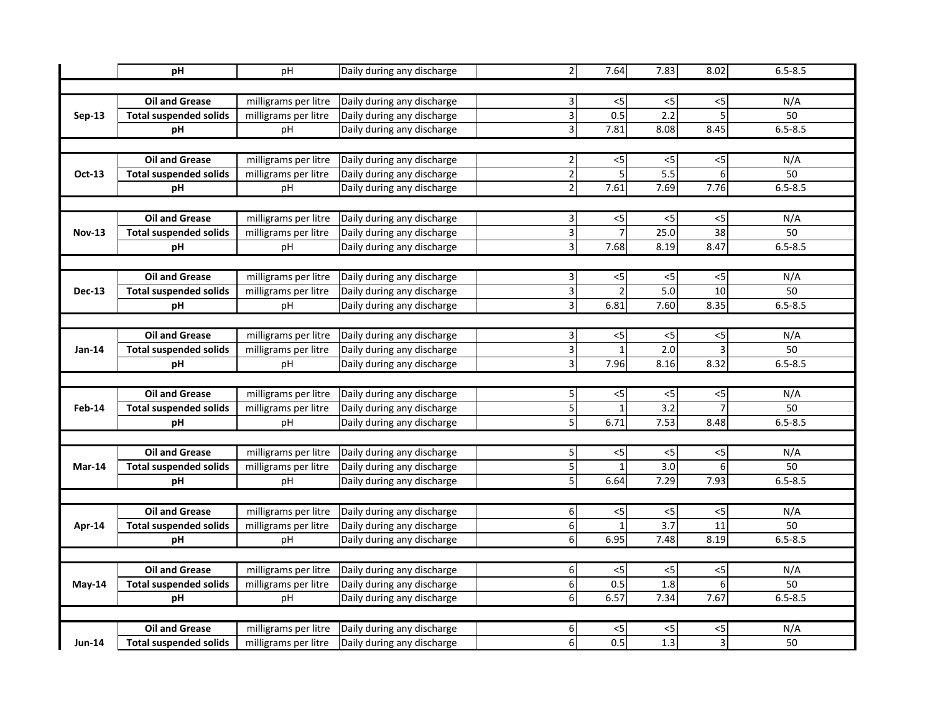|               | pH                            | pH                   | Daily during any discharge | $\overline{2}$          | 7.64           | 7.83                     | 8.02            | $6.5 - 8.5$ |  |  |
|---------------|-------------------------------|----------------------|----------------------------|-------------------------|----------------|--------------------------|-----------------|-------------|--|--|
|               |                               |                      |                            |                         |                |                          |                 |             |  |  |
|               | <b>Oil and Grease</b>         | milligrams per litre | Daily during any discharge | $\overline{\mathbf{3}}$ | $<$ 5          | $<$ 5                    | <5              | N/A         |  |  |
| $Sep-13$      | <b>Total suspended solids</b> | milligrams per litre | Daily during any discharge | $\overline{3}$          | 0.5            | 2.2                      | 5               | 50          |  |  |
|               | рH                            | pH                   | Daily during any discharge | $\overline{3}$          | 7.81           | 8.08                     | 8.45            | $6.5 - 8.5$ |  |  |
|               |                               |                      |                            |                         |                |                          |                 |             |  |  |
|               | <b>Oil and Grease</b>         | milligrams per litre | Daily during any discharge | $\overline{2}$          | $<$ 5          | $<$ 5                    | $<$ 5           | N/A         |  |  |
| Oct-13        | <b>Total suspended solids</b> | milligrams per litre | Daily during any discharge | $\overline{2}$          | 5              | 5.5                      | 6               | 50          |  |  |
|               | pH                            | pH                   | Daily during any discharge | $\overline{2}$          | 7.61           | 7.69                     | 7.76            | $6.5 - 8.5$ |  |  |
|               |                               |                      |                            |                         |                |                          |                 |             |  |  |
|               | <b>Oil and Grease</b>         | milligrams per litre | Daily during any discharge | $\overline{\mathbf{3}}$ | $<$ 5          | $<$ 5                    | <5              | N/A         |  |  |
| <b>Nov-13</b> | <b>Total suspended solids</b> | milligrams per litre | Daily during any discharge | $\overline{3}$          |                | 25.0                     | $\overline{38}$ | 50          |  |  |
|               | pH                            | pH                   | Daily during any discharge | $\overline{3}$          | 7.68           | 8.19                     | 8.47            | $6.5 - 8.5$ |  |  |
|               |                               |                      |                            |                         |                |                          |                 |             |  |  |
|               | <b>Oil and Grease</b>         | milligrams per litre | Daily during any discharge | $\vert$ 3               | $<$ 5          | $<$ 5                    | <5              | N/A         |  |  |
| <b>Dec-13</b> | <b>Total suspended solids</b> | milligrams per litre | Daily during any discharge | $\overline{3}$          | 2              | 5.0                      | 10              | 50          |  |  |
|               | pH                            | рH                   | Daily during any discharge | $\overline{3}$          | 6.81           | 7.60                     | 8.35            | $6.5 - 8.5$ |  |  |
|               |                               |                      |                            |                         |                |                          |                 |             |  |  |
|               | <b>Oil and Grease</b>         | milligrams per litre | Daily during any discharge | $\vert$ 3               | $< 5$          | $<$ 5                    | $<$ 5           | N/A         |  |  |
| Jan-14        | <b>Total suspended solids</b> | milligrams per litre | Daily during any discharge | $\overline{3}$          | $\mathbf{1}$   | 2.0                      | 3               | 50          |  |  |
|               | pH                            | pH                   | Daily during any discharge | $\overline{3}$          | 7.96           | 8.16                     | 8.32            | $6.5 - 8.5$ |  |  |
|               |                               |                      |                            |                         |                |                          |                 |             |  |  |
|               | <b>Oil and Grease</b>         | milligrams per litre | Daily during any discharge | $\overline{5}$          | $< 5$          | $<$ 5                    | < 5             | N/A         |  |  |
| <b>Feb-14</b> | <b>Total suspended solids</b> | milligrams per litre | Daily during any discharge | $\overline{5}$          |                | $\overline{3.2}$         | $\overline{7}$  | 50          |  |  |
|               | рH                            | pH                   | Daily during any discharge | $\overline{5}$          | 6.71           | 7.53                     | 8.48            | $6.5 - 8.5$ |  |  |
|               |                               |                      |                            |                         |                |                          |                 |             |  |  |
|               | <b>Oil and Grease</b>         | milligrams per litre | Daily during any discharge | $\overline{5}$          | $<$ 5          | $<$ 5                    | $<$ 5           | N/A         |  |  |
| Mar-14        | <b>Total suspended solids</b> | milligrams per litre | Daily during any discharge | 5                       | $\mathbf{1}$   | $\overline{3.0}$         | 6               | 50          |  |  |
|               | pH                            | pH                   | Daily during any discharge | $\overline{5}$          | 6.64           | 7.29                     | 7.93            | $6.5 - 8.5$ |  |  |
|               |                               |                      |                            |                         |                |                          |                 |             |  |  |
|               | <b>Oil and Grease</b>         | milligrams per litre | Daily during any discharge | 6                       | $\overline{c}$ | $\overline{\mathcal{L}}$ | $<$ 5           | N/A         |  |  |
| Apr-14        | <b>Total suspended solids</b> | milligrams per litre | Daily during any discharge | $\overline{6}$          |                | 3.7                      | $\overline{11}$ | 50          |  |  |
|               | рH                            | pH                   | Daily during any discharge | $6 \mid$                | 6.95           | 7.48                     | 8.19            | $6.5 - 8.5$ |  |  |
|               |                               |                      |                            |                         |                |                          |                 |             |  |  |
|               | <b>Oil and Grease</b>         | milligrams per litre | Daily during any discharge | $\overline{6}$          | $\overline{c}$ | $<$ 5                    | $<$ 5           | N/A         |  |  |
| $May-14$      | <b>Total suspended solids</b> | milligrams per litre | Daily during any discharge | $\overline{6}$          | 0.5            | 1.8                      | 6               | 50          |  |  |
|               | pH                            | pH                   | Daily during any discharge | $\overline{6}$          | 6.57           | 7.34                     | 7.67            | $6.5 - 8.5$ |  |  |
|               |                               |                      |                            |                         |                |                          |                 |             |  |  |
|               | <b>Oil and Grease</b>         | milligrams per litre | Daily during any discharge | $6 \mid$                | $<$ 5          | <5                       | <5              | N/A         |  |  |
| <b>Jun-14</b> | <b>Total suspended solids</b> | milligrams per litre | Daily during any discharge | $6 \mid$                | 0.5            | 1.3                      | 3               | 50          |  |  |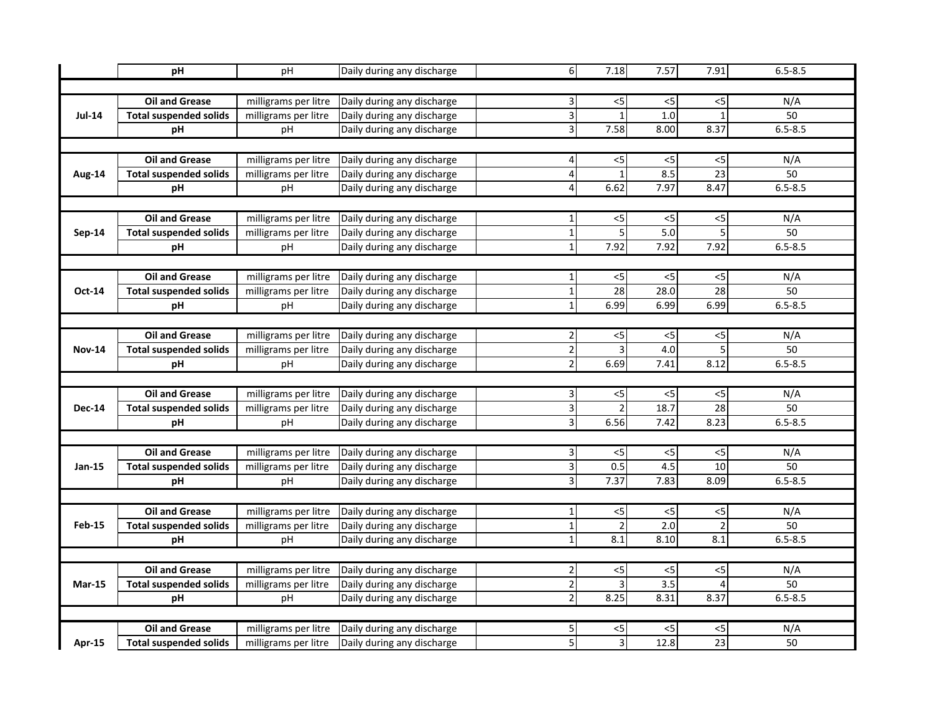|               | pH                            | pH                   | Daily during any discharge | 6                       | 7.18                      | 7.57                     | 7.91            | $6.5 - 8.5$ |  |  |
|---------------|-------------------------------|----------------------|----------------------------|-------------------------|---------------------------|--------------------------|-----------------|-------------|--|--|
|               |                               |                      |                            |                         |                           |                          |                 |             |  |  |
|               | <b>Oil and Grease</b>         | milligrams per litre | Daily during any discharge | $\overline{\mathbf{3}}$ | $<$ 5                     | $<$ 5                    | <5              | N/A         |  |  |
| <b>Jul-14</b> | <b>Total suspended solids</b> | milligrams per litre | Daily during any discharge | $\overline{3}$          |                           | 1.0                      | $\mathbf{1}$    | 50          |  |  |
|               | рH                            | pH                   | Daily during any discharge | $\overline{3}$          | 7.58                      | 8.00                     | 8.37            | $6.5 - 8.5$ |  |  |
|               |                               |                      |                            |                         |                           |                          |                 |             |  |  |
|               | <b>Oil and Grease</b>         | milligrams per litre | Daily during any discharge | $\vert 4 \vert$         | $<$ 5                     | $<$ 5                    | $<$ 5           | N/A         |  |  |
| Aug-14        | <b>Total suspended solids</b> | milligrams per litre | Daily during any discharge | $\overline{\mathbf{4}}$ | $\mathbf{1}$              | 8.5                      | 23              | 50          |  |  |
|               | pH                            | pH                   | Daily during any discharge | $\overline{4}$          | 6.62                      | 7.97                     | 8.47            | $6.5 - 8.5$ |  |  |
|               |                               |                      |                            |                         |                           |                          |                 |             |  |  |
|               | <b>Oil and Grease</b>         | milligrams per litre | Daily during any discharge | $1\vert$                | $<$ 5                     | $<$ 5                    | <5              | N/A         |  |  |
| <b>Sep-14</b> | <b>Total suspended solids</b> | milligrams per litre | Daily during any discharge | $\mathbf 1$             | 5                         | 5.0                      | 5               | 50          |  |  |
|               | pH                            | pH                   | Daily during any discharge | $\overline{1}$          | 7.92                      | 7.92                     | 7.92            | $6.5 - 8.5$ |  |  |
|               |                               |                      |                            |                         |                           |                          |                 |             |  |  |
|               | <b>Oil and Grease</b>         | milligrams per litre | Daily during any discharge | $\mathbf 1$             | $<$ 5                     | $<$ 5                    | <5              | N/A         |  |  |
| Oct-14        | <b>Total suspended solids</b> | milligrams per litre | Daily during any discharge | $1\vert$                | 28                        | 28.0                     | 28              | 50          |  |  |
|               | pH                            | рH                   | Daily during any discharge | $\mathbf 1$             | 6.99                      | 6.99                     | 6.99            | $6.5 - 8.5$ |  |  |
|               |                               |                      |                            |                         |                           |                          |                 |             |  |  |
|               | <b>Oil and Grease</b>         | milligrams per litre | Daily during any discharge | $\overline{2}$          | $<$ 5                     | $<$ 5                    | $<$ 5           | N/A         |  |  |
| <b>Nov-14</b> | <b>Total suspended solids</b> | milligrams per litre | Daily during any discharge | $\overline{2}$          | 3                         | 4.0                      | 5               | 50          |  |  |
|               | pH                            | pH                   | Daily during any discharge | $\overline{2}$          | 6.69                      | 7.41                     | 8.12            | $6.5 - 8.5$ |  |  |
|               |                               |                      |                            |                         |                           |                          |                 |             |  |  |
|               | <b>Oil and Grease</b>         | milligrams per litre | Daily during any discharge | $\overline{\mathbf{3}}$ | $< 5$                     | $<$ 5                    | $<$ 5           | N/A         |  |  |
| <b>Dec-14</b> | <b>Total suspended solids</b> | milligrams per litre | Daily during any discharge | $\overline{3}$          | $\overline{2}$            | 18.7                     | $\overline{28}$ | 50          |  |  |
|               | рH                            | pH                   | Daily during any discharge | $\overline{3}$          | 6.56                      | 7.42                     | 8.23            | $6.5 - 8.5$ |  |  |
|               |                               |                      |                            |                         |                           |                          |                 |             |  |  |
|               | <b>Oil and Grease</b>         | milligrams per litre | Daily during any discharge | $\vert$ 3               | $<$ 5                     | $<$ 5                    | $<$ 5           | N/A         |  |  |
| Jan-15        | <b>Total suspended solids</b> | milligrams per litre | Daily during any discharge | $\overline{3}$          | 0.5                       | 4.5                      | $\overline{10}$ | 50          |  |  |
|               | pH                            | pH                   | Daily during any discharge | $\overline{3}$          | 7.37                      | 7.83                     | 8.09            | $6.5 - 8.5$ |  |  |
|               |                               |                      |                            |                         |                           |                          |                 |             |  |  |
|               | <b>Oil and Grease</b>         | milligrams per litre | Daily during any discharge | $1\vert$                | $\overline{\overline{5}}$ | $\overline{\mathcal{L}}$ | $<$ 5           | N/A         |  |  |
| Feb-15        | <b>Total suspended solids</b> | milligrams per litre | Daily during any discharge | $\mathbf 1$             | $\overline{2}$            | $\overline{2.0}$         | $\mathfrak{p}$  | 50          |  |  |
|               | рH                            | pH                   | Daily during any discharge | $1\vert$                | 8.1                       | 8.10                     | 8.1             | $6.5 - 8.5$ |  |  |
|               |                               |                      |                            |                         |                           |                          |                 |             |  |  |
|               | <b>Oil and Grease</b>         | milligrams per litre | Daily during any discharge | $\overline{2}$          | $\overline{\overline{5}}$ | $<$ 5                    | $<$ 5           | N/A         |  |  |
| <b>Mar-15</b> | <b>Total suspended solids</b> | milligrams per litre | Daily during any discharge | $\overline{2}$          | 3                         | $\overline{3.5}$         | 4               | 50          |  |  |
|               | pH                            | pH                   | Daily during any discharge | $\overline{2}$          | 8.25                      | 8.31                     | 8.37            | $6.5 - 8.5$ |  |  |
|               |                               |                      |                            |                         |                           |                          |                 |             |  |  |
|               | <b>Oil and Grease</b>         | milligrams per litre | Daily during any discharge | $\mathbf{5}$            | $<$ 5                     | <5                       | <5              | N/A         |  |  |
| <b>Apr-15</b> | <b>Total suspended solids</b> | milligrams per litre | Daily during any discharge | $\overline{5}$          | 3                         | 12.8                     | 23              | 50          |  |  |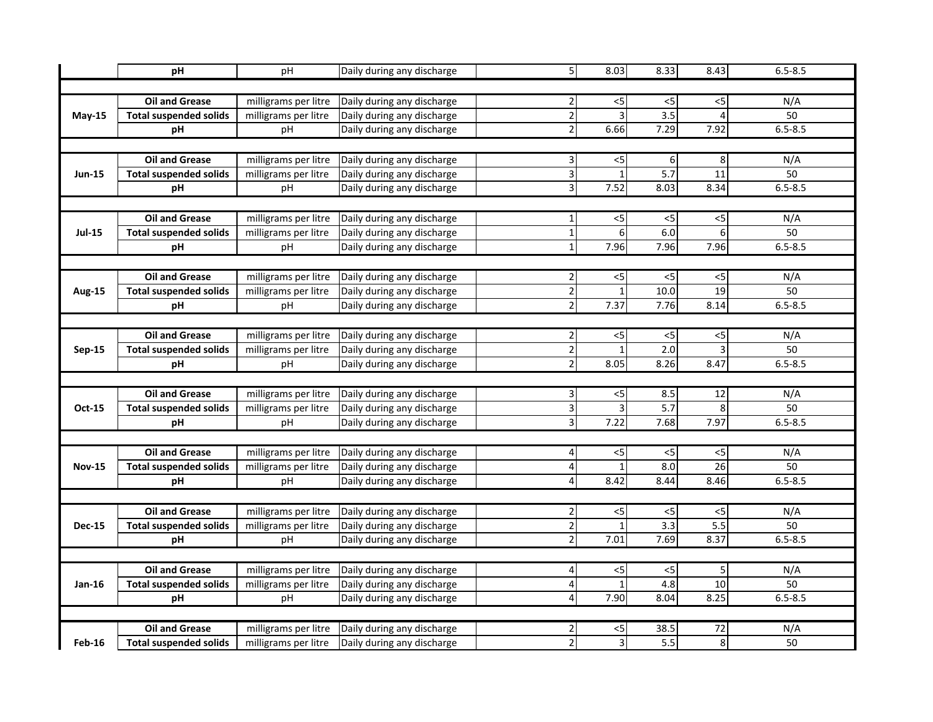|               | pH                            | pH                   | Daily during any discharge | 5                       | 8.03                      | 8.33                     | 8.43             | $6.5 - 8.5$     |  |  |
|---------------|-------------------------------|----------------------|----------------------------|-------------------------|---------------------------|--------------------------|------------------|-----------------|--|--|
|               |                               |                      |                            |                         |                           |                          |                  |                 |  |  |
|               | <b>Oil and Grease</b>         | milligrams per litre | Daily during any discharge | $\overline{2}$          | $<$ 5                     | $<$ 5                    | <5               | N/A             |  |  |
| <b>May-15</b> | <b>Total suspended solids</b> | milligrams per litre | Daily during any discharge | $\overline{2}$          | 3                         | 3.5                      | $\overline{4}$   | 50              |  |  |
|               | рH                            | pH                   | Daily during any discharge | $\overline{2}$          | 6.66                      | 7.29                     | 7.92             | $6.5 - 8.5$     |  |  |
|               |                               |                      |                            |                         |                           |                          |                  |                 |  |  |
|               | <b>Oil and Grease</b>         | milligrams per litre | Daily during any discharge | $\overline{\mathbf{3}}$ | $<$ 5                     | 6                        | 8                | N/A             |  |  |
| <b>Jun-15</b> | <b>Total suspended solids</b> | milligrams per litre | Daily during any discharge | υ                       | $\mathbf{1}$              | $\overline{5.7}$         | 11               | 50              |  |  |
|               | pH                            | pH                   | Daily during any discharge | $\overline{3}$          | 7.52                      | 8.03                     | 8.34             | $6.5 - 8.5$     |  |  |
|               |                               |                      |                            |                         |                           |                          |                  |                 |  |  |
|               | <b>Oil and Grease</b>         | milligrams per litre | Daily during any discharge | $1\vert$                | $<$ 5                     | $<$ 5                    | <5               | N/A             |  |  |
| <b>Jul-15</b> | <b>Total suspended solids</b> | milligrams per litre | Daily during any discharge | $\mathbf 1$             | $6 \overline{6}$          | 6.0                      | 6                | 50              |  |  |
|               | pH                            | pH                   | Daily during any discharge | $\overline{1}$          | 7.96                      | 7.96                     | 7.96             | $6.5 - 8.5$     |  |  |
|               |                               |                      |                            |                         |                           |                          |                  |                 |  |  |
|               | <b>Oil and Grease</b>         | milligrams per litre | Daily during any discharge | $\overline{2}$          | $<$ 5                     | $<$ 5                    | <5               | N/A             |  |  |
| <b>Aug-15</b> | <b>Total suspended solids</b> | milligrams per litre | Daily during any discharge | $\overline{2}$          | $\mathbf{1}$              | 10.0                     | 19               | 50              |  |  |
|               | pH                            | рH                   | Daily during any discharge | $\overline{2}$          | 7.37                      | 7.76                     | 8.14             | $6.5 - 8.5$     |  |  |
|               |                               |                      |                            |                         |                           |                          |                  |                 |  |  |
|               | <b>Oil and Grease</b>         | milligrams per litre | Daily during any discharge | $\overline{2}$          | $< 5$                     | $<$ 5                    | $<$ 5            | N/A             |  |  |
| <b>Sep-15</b> | <b>Total suspended solids</b> | milligrams per litre | Daily during any discharge | $\overline{2}$          | $\mathbf{1}$              | 2.0                      | 3                | 50              |  |  |
|               | pH                            | pH                   | Daily during any discharge | $\overline{2}$          | 8.05                      | 8.26                     | 8.47             | $6.5 - 8.5$     |  |  |
|               |                               |                      |                            |                         |                           |                          |                  |                 |  |  |
|               | <b>Oil and Grease</b>         | milligrams per litre | Daily during any discharge | $\overline{\mathbf{3}}$ | $<$ 5                     | 8.5                      | 12               | N/A             |  |  |
| Oct-15        | <b>Total suspended solids</b> | milligrams per litre | Daily during any discharge | $\overline{3}$          | $\overline{3}$            | $\overline{5.7}$         | 8                | 50              |  |  |
|               | рH                            | pH                   | Daily during any discharge | $\overline{3}$          | 7.22                      | 7.68                     | 7.97             | $6.5 - 8.5$     |  |  |
|               |                               |                      |                            |                         |                           |                          |                  |                 |  |  |
|               | <b>Oil and Grease</b>         | milligrams per litre | Daily during any discharge | $\overline{\mathbf{4}}$ | $<$ 5                     | $<$ 5                    | $<$ 5            | N/A             |  |  |
| <b>Nov-15</b> | <b>Total suspended solids</b> | milligrams per litre | Daily during any discharge | $\pmb{4}$               | $\mathbf{1}$              | 8.0                      | $\overline{26}$  | 50              |  |  |
|               | pH                            | pH                   | Daily during any discharge | $\overline{4}$          | 8.42                      | 8.44                     | 8.46             | $6.5 - 8.5$     |  |  |
|               |                               |                      |                            |                         |                           |                          |                  |                 |  |  |
|               | <b>Oil and Grease</b>         | milligrams per litre | Daily during any discharge | $\overline{2}$          | $\overline{c}$            | $\overline{\mathcal{L}}$ | $<$ 5            | N/A             |  |  |
| <b>Dec-15</b> | <b>Total suspended solids</b> | milligrams per litre | Daily during any discharge | $\overline{2}$          |                           | 3.3                      | $\overline{5.5}$ | $\overline{50}$ |  |  |
|               | рH                            | pH                   | Daily during any discharge | $\overline{2}$          | 7.01                      | 7.69                     | 8.37             | $6.5 - 8.5$     |  |  |
|               |                               |                      |                            |                         |                           |                          |                  |                 |  |  |
|               | <b>Oil and Grease</b>         | milligrams per litre | Daily during any discharge | $\overline{4}$          | $\overline{\overline{5}}$ | $<$ 5                    | 5                | N/A             |  |  |
| Jan-16        | <b>Total suspended solids</b> | milligrams per litre | Daily during any discharge | $\overline{4}$          | $\mathbf{1}$              | 4.8                      | 10               | 50              |  |  |
|               | pH                            | pH                   | Daily during any discharge | $\overline{4}$          | 7.90                      | 8.04                     | 8.25             | $6.5 - 8.5$     |  |  |
|               |                               |                      |                            |                         |                           |                          |                  |                 |  |  |
|               | <b>Oil and Grease</b>         | milligrams per litre | Daily during any discharge | $\overline{2}$          | $<$ 5                     | 38.5                     | 72               | N/A             |  |  |
| <b>Feb-16</b> | <b>Total suspended solids</b> | milligrams per litre | Daily during any discharge | $\overline{a}$          | 3                         | 5.5                      | 8                | 50              |  |  |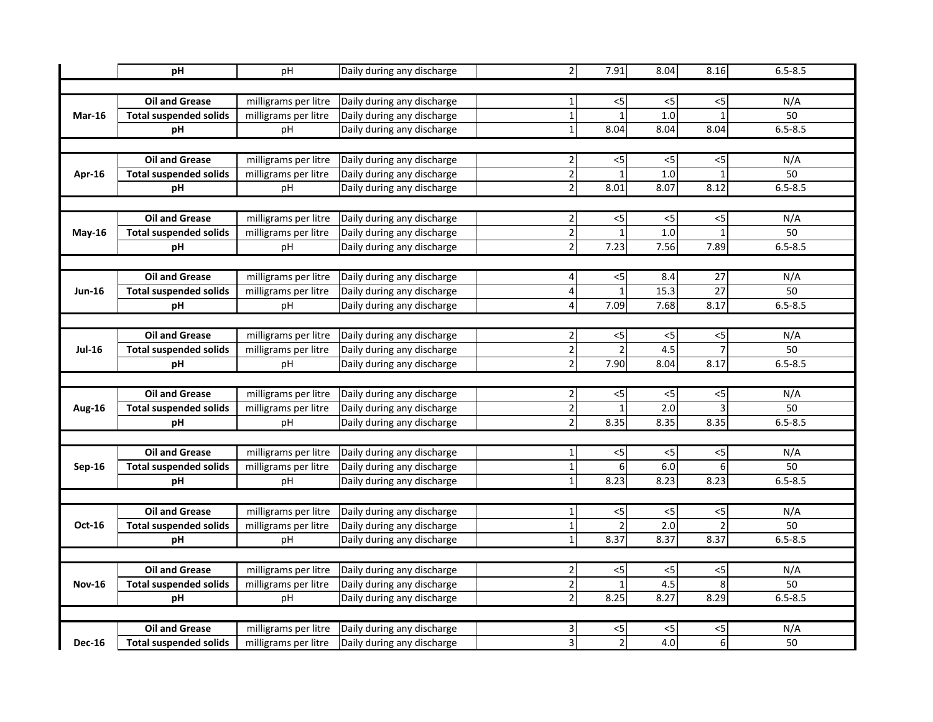|               | pH                            | pH                   | Daily during any discharge | $\overline{2}$          | 7.91                      | 8.04                     | 8.16           | $6.5 - 8.5$ |  |  |  |
|---------------|-------------------------------|----------------------|----------------------------|-------------------------|---------------------------|--------------------------|----------------|-------------|--|--|--|
|               |                               |                      |                            |                         |                           |                          |                |             |  |  |  |
|               | <b>Oil and Grease</b>         | milligrams per litre | Daily during any discharge | $1\vert$                | $<$ 5                     | $<$ 5                    | <5             | N/A         |  |  |  |
| <b>Mar-16</b> | <b>Total suspended solids</b> | milligrams per litre | Daily during any discharge | $\mathbf{1}$            |                           | 1.0                      | $\mathbf{1}$   | 50          |  |  |  |
|               | рH                            | pH                   | Daily during any discharge | $1\vert$                | 8.04                      | 8.04                     | 8.04           | $6.5 - 8.5$ |  |  |  |
|               |                               |                      |                            |                         |                           |                          |                |             |  |  |  |
|               | <b>Oil and Grease</b>         | milligrams per litre | Daily during any discharge | $\overline{2}$          | $<$ 5                     | $<$ 5                    | $<$ 5          | N/A         |  |  |  |
| Apr-16        | <b>Total suspended solids</b> | milligrams per litre | Daily during any discharge | $\overline{2}$          | $\mathbf{1}$              | 1.0                      | $\overline{1}$ | 50          |  |  |  |
|               | pH                            | pH                   | Daily during any discharge | $\overline{2}$          | 8.01                      | 8.07                     | 8.12           | $6.5 - 8.5$ |  |  |  |
|               |                               |                      |                            |                         |                           |                          |                |             |  |  |  |
|               | <b>Oil and Grease</b>         | milligrams per litre | Daily during any discharge | $\overline{2}$          | $<$ 5                     | $<$ 5                    | <5             | N/A         |  |  |  |
| $May-16$      | <b>Total suspended solids</b> | milligrams per litre | Daily during any discharge | $\overline{2}$          |                           | 1.0                      | 1              | 50          |  |  |  |
|               | pH                            | pH                   | Daily during any discharge | $\overline{2}$          | 7.23                      | 7.56                     | 7.89           | $6.5 - 8.5$ |  |  |  |
|               |                               |                      |                            |                         |                           |                          |                |             |  |  |  |
|               | <b>Oil and Grease</b>         | milligrams per litre | Daily during any discharge | $\vert 4 \vert$         | $<$ 5                     | 8.4                      | 27             | N/A         |  |  |  |
| <b>Jun-16</b> | <b>Total suspended solids</b> | milligrams per litre | Daily during any discharge | $\overline{\mathbf{A}}$ | $\mathbf{1}$              | 15.3                     | 27             | 50          |  |  |  |
|               | pH                            | рH                   | Daily during any discharge | $\overline{\mathbf{4}}$ | 7.09                      | 7.68                     | 8.17           | $6.5 - 8.5$ |  |  |  |
|               |                               |                      |                            |                         |                           |                          |                |             |  |  |  |
|               | <b>Oil and Grease</b>         | milligrams per litre | Daily during any discharge | $\overline{2}$          | $< 5$                     | $<$ 5                    | $<$ 5          | N/A         |  |  |  |
| <b>Jul-16</b> | <b>Total suspended solids</b> | milligrams per litre | Daily during any discharge | $\overline{2}$          | $\mathfrak{p}$            | 4.5                      | $\overline{7}$ | 50          |  |  |  |
|               | pH                            | pH                   | Daily during any discharge | $\overline{2}$          | 7.90                      | 8.04                     | 8.17           | $6.5 - 8.5$ |  |  |  |
|               |                               |                      |                            |                         |                           |                          |                |             |  |  |  |
|               | <b>Oil and Grease</b>         | milligrams per litre | Daily during any discharge | $\overline{2}$          | $< 5$                     | $<$ 5                    | < 5            | N/A         |  |  |  |
| <b>Aug-16</b> | <b>Total suspended solids</b> | milligrams per litre | Daily during any discharge | $\overline{2}$          |                           | $\overline{2.0}$         | 3              | 50          |  |  |  |
|               | рH                            | pH                   | Daily during any discharge | $\overline{2}$          | 8.35                      | 8.35                     | 8.35           | $6.5 - 8.5$ |  |  |  |
|               |                               |                      |                            |                         |                           |                          |                |             |  |  |  |
|               | <b>Oil and Grease</b>         | milligrams per litre | Daily during any discharge | $\mathbf 1$             | $<$ 5                     | $<$ 5                    | $<$ 5          | N/A         |  |  |  |
| Sep-16        | <b>Total suspended solids</b> | milligrams per litre | Daily during any discharge | $\mathbf 1$             | 6                         | 6.0                      | 6              | 50          |  |  |  |
|               | pH                            | pH                   | Daily during any discharge | $1\vert$                | 8.23                      | 8.23                     | 8.23           | $6.5 - 8.5$ |  |  |  |
|               |                               |                      |                            |                         |                           |                          |                |             |  |  |  |
|               | <b>Oil and Grease</b>         | milligrams per litre | Daily during any discharge | $1\vert$                | $\overline{\overline{5}}$ | $\overline{\mathcal{L}}$ | $<$ 5          | N/A         |  |  |  |
| Oct-16        | <b>Total suspended solids</b> | milligrams per litre | Daily during any discharge | $\mathbf 1$             |                           | $\overline{2.0}$         | $\mathcal{P}$  | 50          |  |  |  |
|               | pH                            | pH                   | Daily during any discharge | $1\vert$                | 8.37                      | 8.37                     | 8.37           | $6.5 - 8.5$ |  |  |  |
|               |                               |                      |                            |                         |                           |                          |                |             |  |  |  |
|               | <b>Oil and Grease</b>         | milligrams per litre | Daily during any discharge | $\overline{2}$          | $\overline{c}$            | $<$ 5                    | $<$ 5          | N/A         |  |  |  |
| <b>Nov-16</b> | <b>Total suspended solids</b> | milligrams per litre | Daily during any discharge | $\overline{2}$          | $\mathbf{1}$              | 4.5                      | 8              | 50          |  |  |  |
|               | pH                            | pH                   | Daily during any discharge | $\overline{2}$          | 8.25                      | 8.27                     | 8.29           | $6.5 - 8.5$ |  |  |  |
|               |                               |                      |                            |                         |                           |                          |                |             |  |  |  |
|               | <b>Oil and Grease</b>         | milligrams per litre | Daily during any discharge | $\vert$                 | $<$ 5                     | <5                       | <5             | N/A         |  |  |  |
| <b>Dec-16</b> | <b>Total suspended solids</b> | milligrams per litre | Daily during any discharge | $\vert$                 |                           | 4.0                      | 6              | 50          |  |  |  |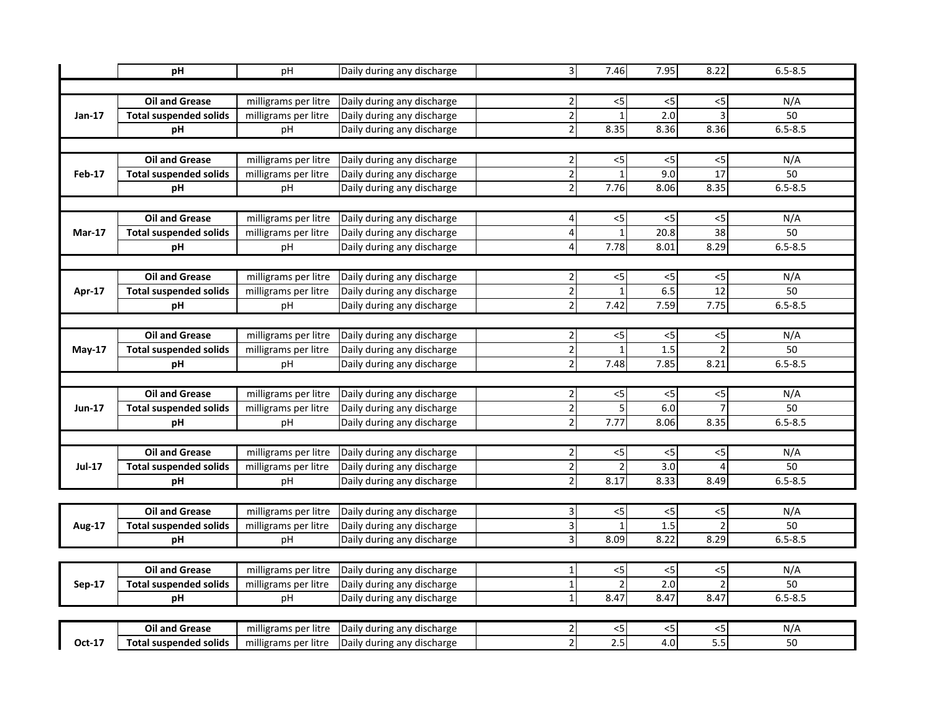|               | pH                            | pH                   | Daily during any discharge | $\overline{3}$          | 7.46                     | 7.95             | 8.22                     | $6.5 - 8.5$ |  |  |  |
|---------------|-------------------------------|----------------------|----------------------------|-------------------------|--------------------------|------------------|--------------------------|-------------|--|--|--|
|               |                               |                      |                            |                         |                          |                  |                          |             |  |  |  |
|               | <b>Oil and Grease</b>         | milligrams per litre | Daily during any discharge | $\overline{2}$          | $<$ 5                    | $<$ 5            | $<$ 5                    | N/A         |  |  |  |
| Jan-17        | <b>Total suspended solids</b> | milligrams per litre | Daily during any discharge | $\overline{2}$          |                          | $\overline{2.0}$ | 3                        | 50          |  |  |  |
|               | рH                            | рH                   | Daily during any discharge | $\overline{2}$          | 8.35                     | 8.36             | 8.36                     | $6.5 - 8.5$ |  |  |  |
|               |                               |                      |                            |                         |                          |                  |                          |             |  |  |  |
|               | <b>Oil and Grease</b>         | milligrams per litre | Daily during any discharge | $\overline{\mathbf{c}}$ | 5                        | 5                | $<$ 5                    | N/A         |  |  |  |
| <b>Feb-17</b> | <b>Total suspended solids</b> | milligrams per litre | Daily during any discharge | $\overline{2}$          | $\overline{\phantom{a}}$ | 9.0              | 17                       | 50          |  |  |  |
|               | pH                            | pH                   | Daily during any discharge | $\overline{c}$          | 7.76                     | 8.06             | 8.35                     | $6.5 - 8.5$ |  |  |  |
|               |                               |                      |                            |                         |                          |                  |                          |             |  |  |  |
|               | <b>Oil and Grease</b>         | milligrams per litre | Daily during any discharge | $\vert$                 | $<$ 5                    | <5               | $<$ 5                    | N/A         |  |  |  |
| $Mar-17$      | <b>Total suspended solids</b> | milligrams per litre | Daily during any discharge | 4                       |                          | 20.8             | 38                       | 50          |  |  |  |
|               | рH                            | pH                   | Daily during any discharge | 4                       | 7.78                     | 8.01             | 8.29                     | $6.5 - 8.5$ |  |  |  |
|               |                               |                      |                            |                         |                          |                  |                          |             |  |  |  |
|               | <b>Oil and Grease</b>         | milligrams per litre | Daily during any discharge | $\mathbf 2$             | $<$ 5                    | <5               | <5                       | N/A         |  |  |  |
| Apr-17        | <b>Total suspended solids</b> | milligrams per litre | Daily during any discharge | $\overline{2}$          |                          | 6.5              | 12                       | 50          |  |  |  |
|               | рH                            | рH                   | Daily during any discharge | $\overline{2}$          | 7.42                     | 7.59             | 7.75                     | $6.5 - 8.5$ |  |  |  |
|               |                               |                      |                            |                         |                          |                  |                          |             |  |  |  |
|               | <b>Oil and Grease</b>         | milligrams per litre | Daily during any discharge | $\overline{2}$          | $<$ 5                    | 5                | $<$ 5                    | N/A         |  |  |  |
| $May-17$      | <b>Total suspended solids</b> | milligrams per litre | Daily during any discharge | $\overline{2}$          |                          | 1.5              | $\overline{\phantom{a}}$ | 50          |  |  |  |
|               | pH                            | рH                   | Daily during any discharge | $\overline{2}$          | 7.48                     | 7.85             | 8.21                     | $6.5 - 8.5$ |  |  |  |
|               |                               |                      |                            |                         |                          |                  |                          |             |  |  |  |
|               | <b>Oil and Grease</b>         | milligrams per litre | Daily during any discharge | $\overline{2}$          | $<$ 5                    | $<$ 5            | $<$ 5                    | N/A         |  |  |  |
| Jun-17        | <b>Total suspended solids</b> | milligrams per litre | Daily during any discharge | $\overline{2}$          |                          | 6.0              | $\overline{7}$           | 50          |  |  |  |
|               | pH                            | pH                   | Daily during any discharge | $\overline{2}$          | 7.77                     | 8.06             | 8.35                     | $6.5 - 8.5$ |  |  |  |
|               |                               |                      |                            |                         |                          |                  |                          |             |  |  |  |
|               | <b>Oil and Grease</b>         | milligrams per litre | Daily during any discharge | $\overline{2}$          | $<$ 5                    | $<$ 5            | $<$ 5                    | N/A         |  |  |  |
| <b>Jul-17</b> | <b>Total suspended solids</b> | milligrams per litre | Daily during any discharge | $\overline{2}$          | þ                        | $\overline{3.0}$ | 4                        | 50          |  |  |  |
|               | pH                            | pH                   | Daily during any discharge | $\mathbf 2$             | 8.17                     | 8.33             | 8.49                     | $6.5 - 8.5$ |  |  |  |
|               |                               |                      |                            |                         |                          |                  |                          |             |  |  |  |
|               | <b>Oil and Grease</b>         | milligrams per litre | Daily during any discharge | $\vert$                 | $<$ 5                    | <5               | <5                       | N/A         |  |  |  |
| <b>Aug-17</b> | <b>Total suspended solids</b> | milligrams per litre | Daily during any discharge | $\overline{3}$          |                          | 1.5              | $\overline{2}$           | 50          |  |  |  |
|               | pH                            | рH                   | Daily during any discharge | $\overline{3}$          | 8.09                     | 8.22             | 8.29                     | $6.5 - 8.5$ |  |  |  |
|               |                               |                      |                            |                         |                          |                  |                          |             |  |  |  |
|               | Oil and Grease                | milligrams per litre | Daily during any discharge | $\mathbf 1$             | $<$ 5                    | <5               | 5                        | N/A         |  |  |  |
| Sep-17        | <b>Total suspended solids</b> | milligrams per litre | Daily during any discharge | $\overline{\mathbf{1}}$ |                          | 2.0              | $\overline{2}$           | 50          |  |  |  |
|               | pH                            | pH                   | Daily during any discharge | $\mathbf 1$             | 8.47                     | 8.47             | 8.47                     | $6.5 - 8.5$ |  |  |  |
|               |                               |                      |                            |                         |                          |                  |                          |             |  |  |  |
|               | <b>Oil and Grease</b>         | milligrams per litre | Daily during any discharge | 2                       | <5                       | <5               | <5                       | N/A         |  |  |  |
| Oct-17        | <b>Total suspended solids</b> | milligrams per litre | Daily during any discharge | $\overline{2}$          | 2.5                      | 4.0              | $\overline{5.5}$         | 50          |  |  |  |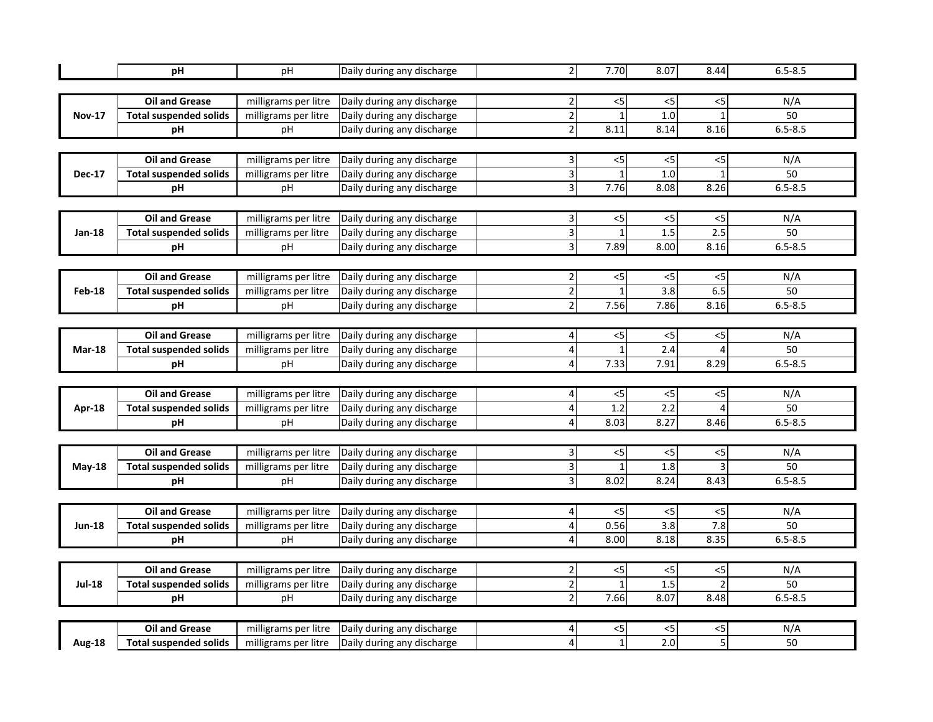|               | рH                            | pH                   | Daily during any discharge | $\overline{2}$          | 7.70         | 8.07             | 8.44           | $6.5 - 8.5$ |  |  |
|---------------|-------------------------------|----------------------|----------------------------|-------------------------|--------------|------------------|----------------|-------------|--|--|
|               |                               |                      |                            |                         |              |                  |                |             |  |  |
|               | <b>Oil and Grease</b>         | milligrams per litre | Daily during any discharge | $\overline{2}$          | $<$ 5        | $<$ 5            | $<$ 5          | N/A         |  |  |
| <b>Nov-17</b> | <b>Total suspended solids</b> | milligrams per litre | Daily during any discharge | $\overline{2}$          | $\mathbf{1}$ | 1.0              | $\mathbf{1}$   | 50          |  |  |
|               | рH                            | pH                   | Daily during any discharge | $\overline{2}$          | 8.11         | 8.14             | 8.16           | $6.5 - 8.5$ |  |  |
|               |                               |                      |                            |                         |              |                  |                |             |  |  |
|               | <b>Oil and Grease</b>         | milligrams per litre | Daily during any discharge | 3                       | <5           | $<$ 5            | $<$ 5          | N/A         |  |  |
| <b>Dec-17</b> | <b>Total suspended solids</b> | milligrams per litre | Daily during any discharge | 3                       | $\mathbf{1}$ | 1.0              | $\mathbf{1}$   | 50          |  |  |
|               | рH                            | pH                   | Daily during any discharge | $\overline{3}$          | 7.76         | 8.08             | 8.26           | $6.5 - 8.5$ |  |  |
|               |                               |                      |                            |                         |              |                  |                |             |  |  |
|               | <b>Oil and Grease</b>         | milligrams per litre | Daily during any discharge | 3                       | $<$ 5        | $<$ 5            | $<$ 5          | N/A         |  |  |
| Jan-18        | <b>Total suspended solids</b> | milligrams per litre | Daily during any discharge | 3                       | $\mathbf{1}$ | 1.5              | 2.5            | 50          |  |  |
|               | рH                            | pH                   | Daily during any discharge | $\overline{\mathbf{3}}$ | 7.89         | 8.00             | 8.16           | $6.5 - 8.5$ |  |  |
|               |                               |                      |                            |                         |              |                  |                |             |  |  |
|               | <b>Oil and Grease</b>         | milligrams per litre | Daily during any discharge | 2                       | $<$ 5        | $<$ 5            | $<$ 5          | N/A         |  |  |
| Feb-18        | <b>Total suspended solids</b> | milligrams per litre | Daily during any discharge | $\overline{c}$          | $\mathbf{1}$ | 3.8              | 6.5            | 50          |  |  |
|               | рH                            | рH                   | Daily during any discharge | $\overline{\mathbf{c}}$ | 7.56         | 7.86             | 8.16           | $6.5 - 8.5$ |  |  |
|               |                               |                      |                            |                         |              |                  |                |             |  |  |
|               | <b>Oil and Grease</b>         | milligrams per litre | Daily during any discharge | 4                       | $<$ 5        | $<$ 5            | < 5            | N/A         |  |  |
| $Mar-18$      | <b>Total suspended solids</b> | milligrams per litre | Daily during any discharge | $\overline{\mathbf{r}}$ | $\mathbf{1}$ | 2.4              | $\overline{4}$ | 50          |  |  |
|               | pH                            | рH                   | Daily during any discharge | $\overline{\mathbf{r}}$ | 7.33         | 7.91             | 8.29           | $6.5 - 8.5$ |  |  |
|               |                               |                      |                            |                         |              |                  |                |             |  |  |
|               | <b>Oil and Grease</b>         | milligrams per litre | Daily during any discharge | 4                       | $<$ 5        | $<$ 5            | $<$ 5          | N/A         |  |  |
| Apr-18        | <b>Total suspended solids</b> | milligrams per litre | Daily during any discharge | 4                       | 1.2          | 2.2              | 4              | 50          |  |  |
|               | pH                            | pH                   | Daily during any discharge | 4                       | 8.03         | 8.27             | 8.46           | $6.5 - 8.5$ |  |  |
|               |                               |                      |                            |                         |              |                  |                |             |  |  |
|               | <b>Oil and Grease</b>         | milligrams per litre | Daily during any discharge | 3                       | $<$ 5        | $<$ 5            | $<$ 5          | N/A         |  |  |
| May-18        | <b>Total suspended solids</b> | milligrams per litre | Daily during any discharge | 3                       | $\mathbf{1}$ | 1.8              | 3              | 50          |  |  |
|               | рH                            | рH                   | Daily during any discharge | $\overline{3}$          | 8.02         | 8.24             | 8.43           | $6.5 - 8.5$ |  |  |
|               |                               |                      |                            |                         |              |                  |                |             |  |  |
|               | <b>Oil and Grease</b>         | milligrams per litre | Daily during any discharge | 4                       | $<$ 5        | $<$ 5            | $<$ 5          | N/A         |  |  |
| <b>Jun-18</b> | <b>Total suspended solids</b> | milligrams per litre | Daily during any discharge | 4                       | 0.56         | $\overline{3.8}$ | 7.8            | 50          |  |  |
|               | рH                            | pH                   | Daily during any discharge | $\overline{4}$          | 8.00         | 8.18             | 8.35           | $6.5 - 8.5$ |  |  |
|               |                               |                      |                            |                         |              |                  |                |             |  |  |
|               | <b>Oil and Grease</b>         | milligrams per litre | Daily during any discharge | $\overline{\mathbf{c}}$ | $<$ 5        | $<$ 5            | $\leq$         | N/A         |  |  |
| <b>Jul-18</b> | <b>Total suspended solids</b> | milligrams per litre | Daily during any discharge | $\overline{2}$          | $\mathbf{1}$ | 1.5              | $\overline{2}$ | 50          |  |  |
|               | pH                            | pH                   | Daily during any discharge | $\overline{2}$          | 7.66         | 8.07             | 8.48           | $6.5 - 8.5$ |  |  |
|               |                               |                      |                            |                         |              |                  |                |             |  |  |
|               | <b>Oil and Grease</b>         | milligrams per litre | Daily during any discharge | 4                       | $<$ 5        | $<$ 5            | $<$ 5          | N/A         |  |  |
| <b>Aug-18</b> | <b>Total suspended solids</b> | milligrams per litre | Daily during any discharge | 4                       | $\mathbf{1}$ | 2.0l             | 5              | 50          |  |  |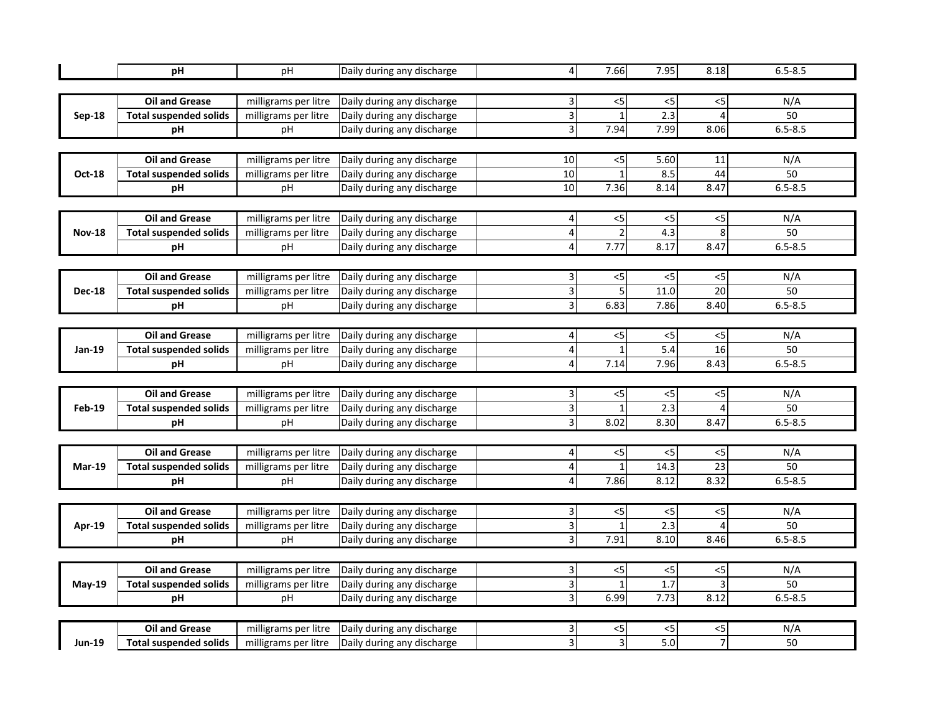|               | рH                            | pH                   | Daily during any discharge | $\overline{4}$          | 7.66           | 7.95             | 8.18           | $6.5 - 8.5$ |  |  |
|---------------|-------------------------------|----------------------|----------------------------|-------------------------|----------------|------------------|----------------|-------------|--|--|
|               |                               |                      |                            |                         |                |                  |                |             |  |  |
|               | <b>Oil and Grease</b>         | milligrams per litre | Daily during any discharge | $\overline{\mathbf{3}}$ | $<$ 5          | $<$ 5            | $<$ 5          | N/A         |  |  |
| <b>Sep-18</b> | <b>Total suspended solids</b> | milligrams per litre | Daily during any discharge | $\overline{3}$          | $\mathbf{1}$   | 2.3              | 4              | 50          |  |  |
|               | рH                            | pH                   | Daily during any discharge | Ψ                       | 7.94           | 7.99             | 8.06           | $6.5 - 8.5$ |  |  |
|               |                               |                      |                            |                         |                |                  |                |             |  |  |
|               | <b>Oil and Grease</b>         | milligrams per litre | Daily during any discharge | $10\,$                  | $5$            | 5.60             | 11             | N/A         |  |  |
| Oct-18        | <b>Total suspended solids</b> | milligrams per litre | Daily during any discharge | 10                      | $\mathbf{1}$   | 8.5              | 44             | 50          |  |  |
|               | рH                            | pH                   | Daily during any discharge | $\overline{10}$         | 7.36           | 8.14             | 8.47           | $6.5 - 8.5$ |  |  |
|               |                               |                      |                            |                         |                |                  |                |             |  |  |
|               | <b>Oil and Grease</b>         | milligrams per litre | Daily during any discharge | 4                       | $<$ 5          | $<$ 5            | $<$ 5          | N/A         |  |  |
| <b>Nov-18</b> | <b>Total suspended solids</b> | milligrams per litre | Daily during any discharge | 4                       | $\mathfrak{p}$ | 4.3              | 8              | 50          |  |  |
|               | рH                            | pH                   | Daily during any discharge | $\overline{4}$          | 7.77           | 8.17             | 8.47           | $6.5 - 8.5$ |  |  |
|               |                               |                      |                            |                         |                |                  |                |             |  |  |
|               | <b>Oil and Grease</b>         | milligrams per litre | Daily during any discharge | 3                       | $<$ 5          | $<$ 5            | $<$ 5          | N/A         |  |  |
| <b>Dec-18</b> | <b>Total suspended solids</b> | milligrams per litre | Daily during any discharge | 3                       | 5              | 11.0             | 20             | 50          |  |  |
|               | рH                            | рH                   | Daily during any discharge | $\overline{\mathbf{3}}$ | 6.83           | 7.86             | 8.40           | $6.5 - 8.5$ |  |  |
|               |                               |                      |                            |                         |                |                  |                |             |  |  |
|               | <b>Oil and Grease</b>         | milligrams per litre | Daily during any discharge | 4                       | $<$ 5          | $<$ 5            | $<$ 5          | N/A         |  |  |
| Jan-19        | <b>Total suspended solids</b> | milligrams per litre | Daily during any discharge | $\overline{\mathbf{r}}$ | $\mathbf{1}$   | $\overline{5.4}$ | 16             | 50          |  |  |
|               | pH                            | рH                   | Daily during any discharge | $\overline{\mathbf{r}}$ | 7.14           | 7.96             | 8.43           | $6.5 - 8.5$ |  |  |
|               |                               |                      |                            |                         |                |                  |                |             |  |  |
|               | <b>Oil and Grease</b>         | milligrams per litre | Daily during any discharge | 3                       | $<$ 5          | $<$ 5            | $<$ 5          | N/A         |  |  |
| Feb-19        | <b>Total suspended solids</b> | milligrams per litre | Daily during any discharge | ω                       | $\mathbf{1}$   | 2.3              | 4              | 50          |  |  |
|               | pH                            | pH                   | Daily during any discharge | $\overline{3}$          | 8.02           | 8.30             | 8.47           | $6.5 - 8.5$ |  |  |
|               |                               |                      |                            |                         |                |                  |                |             |  |  |
|               | <b>Oil and Grease</b>         | milligrams per litre | Daily during any discharge | 4                       | $<$ 5          | $<$ 5            | $<$ 5          | N/A         |  |  |
| $Mar-19$      | <b>Total suspended solids</b> | milligrams per litre | Daily during any discharge | 4                       | $\mathbf{1}$   | 14.3             | 23             | 50          |  |  |
|               | pH                            | рH                   | Daily during any discharge | 4                       | 7.86           | 8.12             | 8.32           | $6.5 - 8.5$ |  |  |
|               |                               |                      |                            |                         |                |                  |                |             |  |  |
|               | <b>Oil and Grease</b>         | milligrams per litre | Daily during any discharge | $\overline{\mathbf{3}}$ | $<$ 5          | $<$ 5            | $<$ 5          | N/A         |  |  |
| Apr-19        | <b>Total suspended solids</b> | milligrams per litre | Daily during any discharge | 3                       | $\mathbf{1}$   | $\overline{2.3}$ | 4              | 50          |  |  |
|               | рH                            | pH                   | Daily during any discharge | Ψ                       | 7.91           | 8.10             | 8.46           | $6.5 - 8.5$ |  |  |
|               |                               |                      |                            |                         |                |                  |                |             |  |  |
|               | <b>Oil and Grease</b>         | milligrams per litre | Daily during any discharge | 3                       | $<$ 5          | $<$ 5            | $\leq$         | N/A         |  |  |
| <b>May-19</b> | <b>Total suspended solids</b> | milligrams per litre | Daily during any discharge | $\overline{\mathbf{3}}$ | $\mathbf{1}$   | 1.7              | 3              | 50          |  |  |
|               | pH                            | pH                   | Daily during any discharge | $\overline{3}$          | 6.99           | 7.73             | 8.12           | $6.5 - 8.5$ |  |  |
|               |                               |                      |                            |                         |                |                  |                |             |  |  |
|               | <b>Oil and Grease</b>         | milligrams per litre | Daily during any discharge | 3                       | $<$ 5          | $<$ 5            | $<$ 5          | N/A         |  |  |
| <b>Jun-19</b> | <b>Total suspended solids</b> | milligrams per litre | Daily during any discharge | 3                       | 3              | 5.Ol             | $\overline{7}$ | 50          |  |  |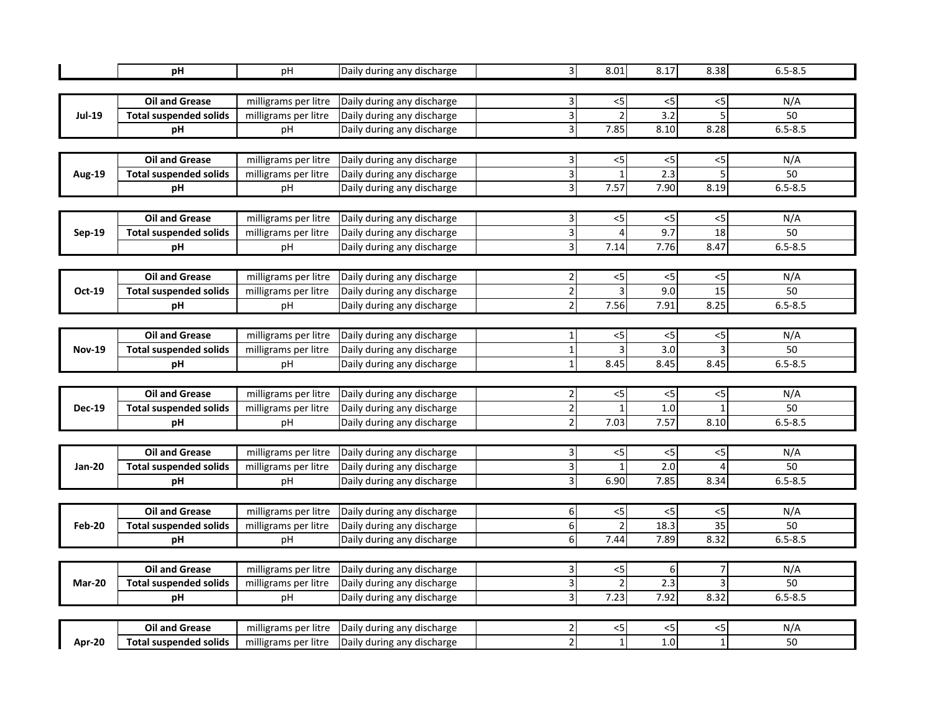|               | рH                            | pH                   | Daily during any discharge | $\overline{\mathbf{3}}$ | 8.01           | 8.17             | 8.38                      | $6.5 - 8.5$ |  |  |
|---------------|-------------------------------|----------------------|----------------------------|-------------------------|----------------|------------------|---------------------------|-------------|--|--|
|               |                               |                      |                            |                         |                |                  |                           |             |  |  |
|               | Oil and Grease                | milligrams per litre | Daily during any discharge | $\overline{\mathbf{3}}$ | $<$ 5          | $<$ 5            | $< 5$                     | N/A         |  |  |
| <b>Jul-19</b> | <b>Total suspended solids</b> | milligrams per litre | Daily during any discharge | $\overline{\mathbf{3}}$ | $\overline{2}$ | $\overline{3.2}$ | 5                         | 50          |  |  |
|               | pH                            | рH                   | Daily during any discharge | $\overline{3}$          | 7.85           | 8.10             | 8.28                      | $6.5 - 8.5$ |  |  |
|               |                               |                      |                            |                         |                |                  |                           |             |  |  |
|               | <b>Oil and Grease</b>         | milligrams per litre | Daily during any discharge | 3                       | <5             | $<$ 5            | $<$ 5                     | N/A         |  |  |
| <b>Aug-19</b> | <b>Total suspended solids</b> | milligrams per litre | Daily during any discharge | $\overline{\mathbf{3}}$ | $\mathbf{1}$   | 2.3              | 5                         | 50          |  |  |
|               | pH                            | pH                   | Daily during any discharge | $\overline{3}$          | 7.57           | 7.90             | 8.19                      | $6.5 - 8.5$ |  |  |
|               |                               |                      |                            |                         |                |                  |                           |             |  |  |
|               | <b>Oil and Grease</b>         | milligrams per litre | Daily during any discharge | 3                       | $<$ 5          | $<$ 5            | $<$ 5                     | N/A         |  |  |
| <b>Sep-19</b> | <b>Total suspended solids</b> | milligrams per litre | Daily during any discharge | 3                       | $\Delta$       | 9.7              | 18                        | 50          |  |  |
|               | pH                            | pH                   | Daily during any discharge | $\overline{3}$          | 7.14           | 7.76             | 8.47                      | $6.5 - 8.5$ |  |  |
|               |                               |                      |                            |                         |                |                  |                           |             |  |  |
|               | <b>Oil and Grease</b>         | milligrams per litre | Daily during any discharge | 2                       | $<$ 5          | $<$ 5            | $<$ 5                     | N/A         |  |  |
| Oct-19        | <b>Total suspended solids</b> | milligrams per litre | Daily during any discharge | $\overline{\mathbf{c}}$ | 3              | 9.0              | 15                        | 50          |  |  |
|               | pH                            | рH                   | Daily during any discharge | $\overline{\mathbf{2}}$ | 7.56           | 7.91             | 8.25                      | $6.5 - 8.5$ |  |  |
|               |                               |                      |                            |                         |                |                  |                           |             |  |  |
|               | <b>Oil and Grease</b>         | milligrams per litre | Daily during any discharge | $\mathbf{1}$            | 5              | $<$ 5            | $\overline{\overline{5}}$ | N/A         |  |  |
| <b>Nov-19</b> | <b>Total suspended solids</b> | milligrams per litre | Daily during any discharge | $\mathbf{1}$            | $\overline{3}$ | 3.0              | $\overline{3}$            | 50          |  |  |
|               | pH                            | рH                   | Daily during any discharge | $\mathbf{1}$            | 8.45           | 8.45             | 8.45                      | $6.5 - 8.5$ |  |  |
|               |                               |                      |                            |                         |                |                  |                           |             |  |  |
|               | <b>Oil and Grease</b>         | milligrams per litre | Daily during any discharge | 2                       | $<$ 5          | $< 5$            | $< 5$                     | N/A         |  |  |
| <b>Dec-19</b> | <b>Total suspended solids</b> | milligrams per litre | Daily during any discharge | $\overline{2}$          | $\mathbf{1}$   | 1.0              | $\mathbf{1}$              | 50          |  |  |
|               | рH                            | рH                   | Daily during any discharge | $\overline{2}$          | 7.03           | 7.57             | 8.10                      | $6.5 - 8.5$ |  |  |
|               |                               |                      |                            |                         |                |                  |                           |             |  |  |
|               | <b>Oil and Grease</b>         | milligrams per litre | Daily during any discharge | 3                       | $<$ 5          | $<$ 5            | $<$ 5                     | N/A         |  |  |
| <b>Jan-20</b> | <b>Total suspended solids</b> | milligrams per litre | Daily during any discharge | $\overline{3}$          | $\overline{1}$ | 2.0              | $\overline{4}$            | 50          |  |  |
|               | pH                            | pH                   | Daily during any discharge | з                       | 6.90           | 7.85             | 8.34                      | $6.5 - 8.5$ |  |  |
|               |                               |                      |                            |                         |                |                  |                           |             |  |  |
|               | <b>Oil and Grease</b>         | milligrams per litre | Daily during any discharge | $6 \mid$                | $<$ 5          | $<$ 5            | $<$ 5                     | N/A         |  |  |
| Feb-20        | <b>Total suspended solids</b> | milligrams per litre | Daily during any discharge | 6                       | $\overline{2}$ | 18.3             | 35                        | 50          |  |  |
|               | pН                            | рH                   | Daily during any discharge | 6                       | 7.44           | 7.89             | 8.32                      | $6.5 - 8.5$ |  |  |
|               |                               |                      |                            |                         |                |                  |                           |             |  |  |
|               | <b>Oil and Grease</b>         | milligrams per litre | Daily during any discharge | 3                       | $<$ 5          | 6                | 7                         | N/A         |  |  |
| <b>Mar-20</b> | <b>Total suspended solids</b> | milligrams per litre | Daily during any discharge | $\overline{\mathbf{3}}$ | $\overline{2}$ | 2.3              | $\overline{3}$            | 50          |  |  |
|               | pH                            | рH                   | Daily during any discharge | $\overline{3}$          | 7.23           | 7.92             | 8.32                      | $6.5 - 8.5$ |  |  |
|               |                               |                      |                            |                         |                |                  |                           |             |  |  |
|               | <b>Oil and Grease</b>         | milligrams per litre | Daily during any discharge | 2                       | <5             | <5               | $<$ 5                     | N/A         |  |  |
| Apr-20        | <b>Total suspended solids</b> | milligrams per litre | Daily during any discharge | $\overline{2}$          | $\mathbf{1}$   | 1.0              | $\mathbf{1}$              | 50          |  |  |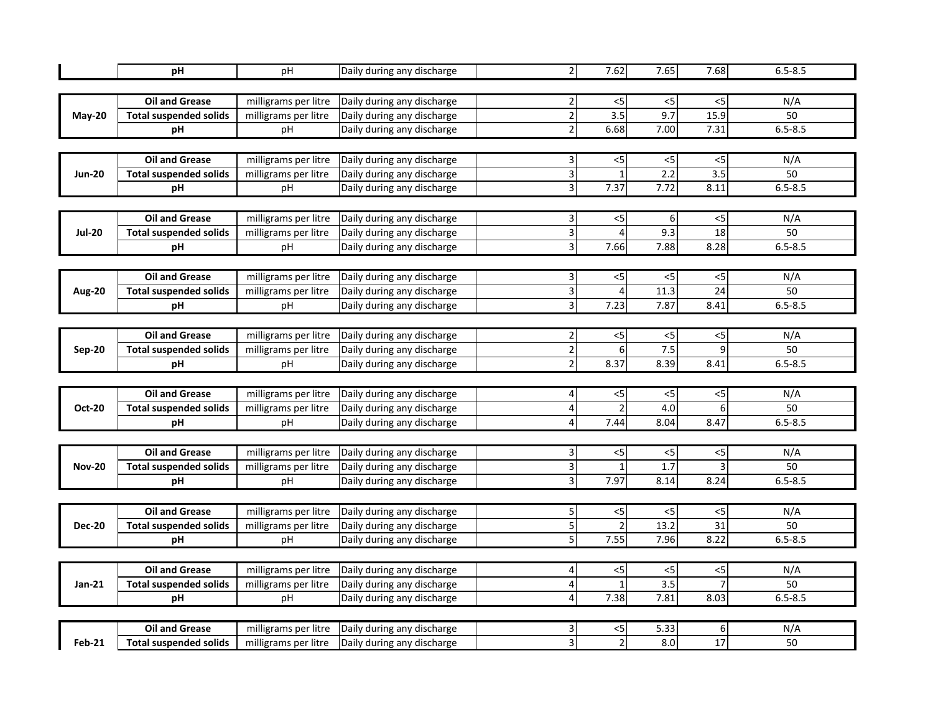|               | рH                                              | pH                                           | Daily during any discharge                               | $\overline{2}$          | 7.62                     | 7.65        | 7.68                 | $6.5 - 8.5$ |  |  |
|---------------|-------------------------------------------------|----------------------------------------------|----------------------------------------------------------|-------------------------|--------------------------|-------------|----------------------|-------------|--|--|
|               |                                                 |                                              |                                                          |                         |                          |             |                      |             |  |  |
|               | <b>Oil and Grease</b>                           | milligrams per litre                         | Daily during any discharge                               | 2                       | $<$ 5                    | < 5         | < 5                  | N/A         |  |  |
| May-20        | <b>Total suspended solids</b>                   | milligrams per litre                         | Daily during any discharge                               | $\overline{2}$          | 3.5                      | 9.7         | 15.9                 | 50          |  |  |
|               | рH                                              | pH                                           | Daily during any discharge                               | $\overline{2}$          | 6.68                     | 7.00        | 7.31                 | $6.5 - 8.5$ |  |  |
|               |                                                 |                                              |                                                          |                         |                          |             |                      |             |  |  |
|               | <b>Oil and Grease</b>                           | milligrams per litre                         | Daily during any discharge                               | 3                       | $<$ 5                    | $<$ 5       | < 5                  | N/A         |  |  |
| <b>Jun-20</b> | <b>Total suspended solids</b>                   | milligrams per litre                         | Daily during any discharge                               | 3                       | $\mathbf{1}$             | 2.2         | 3.5                  | 50          |  |  |
|               | рH                                              | pH                                           | Daily during any discharge                               | $\overline{3}$          | 7.37                     | 7.72        | 8.11                 | $6.5 - 8.5$ |  |  |
|               |                                                 |                                              |                                                          |                         |                          |             |                      |             |  |  |
|               | <b>Oil and Grease</b>                           | milligrams per litre                         | Daily during any discharge                               | 31                      | $<$ 5                    | 6           | < 5                  | N/A         |  |  |
| <b>Jul-20</b> | <b>Total suspended solids</b>                   | milligrams per litre                         | Daily during any discharge                               | 3                       | 4                        | 9.3         | 18                   | 50          |  |  |
|               | рH                                              | рH                                           | Daily during any discharge                               | $\overline{3}$          | 7.66                     | 7.88        | 8.28                 | $6.5 - 8.5$ |  |  |
|               |                                                 |                                              |                                                          |                         |                          |             |                      |             |  |  |
|               | <b>Oil and Grease</b>                           | milligrams per litre                         | Daily during any discharge                               | 3                       | $<$ 5                    | $<$ 5       | $<$ 5                | N/A         |  |  |
| <b>Aug-20</b> | <b>Total suspended solids</b>                   | milligrams per litre                         | Daily during any discharge                               | $\overline{3}$          | $\overline{4}$           | 11.3        | 24                   | 50          |  |  |
|               | рH                                              | рH                                           | Daily during any discharge                               | 3                       | 7.23                     | 7.87        | 8.41                 | $6.5 - 8.5$ |  |  |
|               |                                                 |                                              |                                                          |                         |                          |             |                      |             |  |  |
|               | <b>Oil and Grease</b>                           | milligrams per litre                         | Daily during any discharge                               | 2                       | $<$ 5                    | $<$ 5       | $<$ 5                | N/A         |  |  |
| <b>Sep-20</b> | <b>Total suspended solids</b>                   | milligrams per litre                         | Daily during any discharge                               | $\overline{\mathbf{c}}$ | 6                        | 7.5         | 9                    | 50          |  |  |
|               | pH                                              | pH                                           | Daily during any discharge                               | $\mathbf 2$             | 8.37                     | 8.39        | 8.41                 | $6.5 - 8.5$ |  |  |
|               |                                                 |                                              |                                                          |                         |                          |             |                      |             |  |  |
|               | <b>Oil and Grease</b>                           | milligrams per litre                         | Daily during any discharge                               | 41                      | $< 5$                    | $<$ 5       | $< 5$                | N/A         |  |  |
| <b>Oct-20</b> | <b>Total suspended solids</b>                   | milligrams per litre                         | Daily during any discharge                               | 4                       | $\overline{2}$           | 4.0         | 6                    | 50          |  |  |
|               | pH                                              | рH                                           | Daily during any discharge                               | 4                       | 7.44                     | 8.04        | 8.47                 | $6.5 - 8.5$ |  |  |
|               |                                                 |                                              |                                                          |                         |                          |             |                      |             |  |  |
|               | <b>Oil and Grease</b>                           | milligrams per litre                         | Daily during any discharge                               | 3                       | $<$ 5                    | $<$ 5       | $<$ 5                | N/A         |  |  |
| <b>Nov-20</b> | <b>Total suspended solids</b>                   | milligrams per litre                         | Daily during any discharge                               | 3                       | $\mathbf{1}$             | 1.7         | 3                    | 50          |  |  |
|               | pH                                              | рH                                           | Daily during any discharge                               | $\overline{3}$          | 7.97                     | 8.14        | 8.24                 | $6.5 - 8.5$ |  |  |
|               |                                                 |                                              |                                                          |                         |                          |             |                      |             |  |  |
|               | <b>Oil and Grease</b>                           | milligrams per litre                         | Daily during any discharge                               | 5 <sup>1</sup>          | $<$ 5                    | < 5         | $<$ 5                | N/A         |  |  |
| <b>Dec-20</b> | <b>Total suspended solids</b>                   | milligrams per litre                         | Daily during any discharge                               | 5                       | $\overline{\phantom{a}}$ | 13.2        | 31                   | 50          |  |  |
|               | рH                                              | рH                                           | Daily during any discharge                               | $\mathsf{S}$            | 7.55                     | 7.96        | 8.22                 | $6.5 - 8.5$ |  |  |
|               |                                                 |                                              |                                                          |                         |                          |             |                      |             |  |  |
|               | <b>Oil and Grease</b>                           | milligrams per litre                         | Daily during any discharge                               | 4                       | $<$ 5                    | < 5         | $< 5$                | N/A         |  |  |
| <b>Jan-21</b> | <b>Total suspended solids</b>                   | milligrams per litre                         | Daily during any discharge                               | 4                       | $\mathbf{1}$             | 3.5         | $\overline{7}$       | 50          |  |  |
|               | рH                                              | рH                                           | Daily during any discharge                               | 4                       | 7.38                     | 7.81        | 8.03                 | $6.5 - 8.5$ |  |  |
|               |                                                 |                                              |                                                          |                         |                          |             |                      |             |  |  |
|               |                                                 |                                              |                                                          |                         |                          |             |                      |             |  |  |
| <b>Feb-21</b> | <b>Oil and Grease</b><br>Total suspended solids | milligrams per litre<br>milligrams per litre | Daily during any discharge<br>Daily during any discharge | 3 <br>3                 | <5<br>$\overline{2}$     | 5.33<br>8.0 | 6<br>$\overline{17}$ | N/A<br>50   |  |  |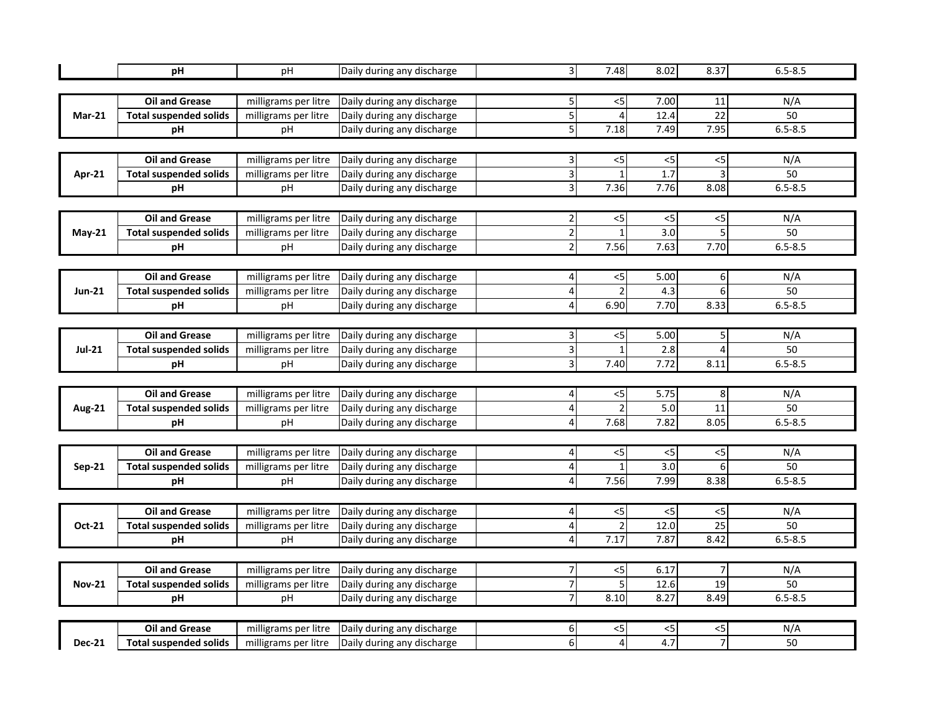|               | рH                            | pH                   | Daily during any discharge | $\overline{\mathsf{3}}$ | 7.48           | 8.02  | 8.37            | $6.5 - 8.5$ |  |  |
|---------------|-------------------------------|----------------------|----------------------------|-------------------------|----------------|-------|-----------------|-------------|--|--|
|               |                               |                      |                            |                         |                |       |                 |             |  |  |
|               | <b>Oil and Grease</b>         | milligrams per litre | Daily during any discharge | 5 <sup>1</sup>          | $<$ 5          | 7.00  | 11              | N/A         |  |  |
| $Mar-21$      | <b>Total suspended solids</b> | milligrams per litre | Daily during any discharge | 5                       | $\overline{4}$ | 12.4  | $\overline{22}$ | 50          |  |  |
|               | рH                            | pH                   | Daily during any discharge | 5                       | 7.18           | 7.49  | 7.95            | $6.5 - 8.5$ |  |  |
|               |                               |                      |                            |                         |                |       |                 |             |  |  |
|               | <b>Oil and Grease</b>         | milligrams per litre | Daily during any discharge | 3                       | <5             | <5    | $<$ 5           | N/A         |  |  |
| Apr-21        | <b>Total suspended solids</b> | milligrams per litre | Daily during any discharge | 3                       | $\mathbf{1}$   | 1.7   | 3               | 50          |  |  |
|               | рH                            | pH                   | Daily during any discharge | $\overline{3}$          | 7.36           | 7.76  | 8.08            | $6.5 - 8.5$ |  |  |
|               |                               |                      |                            |                         |                |       |                 |             |  |  |
|               | <b>Oil and Grease</b>         | milligrams per litre | Daily during any discharge | 2                       | $<$ 5          | $<$ 5 | $<$ 5           | N/A         |  |  |
| $May-21$      | <b>Total suspended solids</b> | milligrams per litre | Daily during any discharge | $\overline{2}$          | $\mathbf{1}$   | 3.0   |                 | 50          |  |  |
|               | рH                            | pH                   | Daily during any discharge | $\overline{a}$          | 7.56           | 7.63  | 7.70            | $6.5 - 8.5$ |  |  |
|               |                               |                      |                            |                         |                |       |                 |             |  |  |
|               | <b>Oil and Grease</b>         | milligrams per litre | Daily during any discharge | 4                       | $<$ 5          | 5.00  | 6               | N/A         |  |  |
| <b>Jun-21</b> | <b>Total suspended solids</b> | milligrams per litre | Daily during any discharge | $\overline{a}$          | $\overline{2}$ | 4.3   | 6               | 50          |  |  |
|               | рH                            | рH                   | Daily during any discharge | 4                       | 6.90           | 7.70  | 8.33            | $6.5 - 8.5$ |  |  |
|               |                               |                      |                            |                         |                |       |                 |             |  |  |
|               | <b>Oil and Grease</b>         | milligrams per litre | Daily during any discharge | $\overline{\mathbf{3}}$ | $<$ 5          | 5.00  | 5               | N/A         |  |  |
| <b>Jul-21</b> | <b>Total suspended solids</b> | milligrams per litre | Daily during any discharge | ω                       | $\mathbf{1}$   | 2.8   | $\overline{4}$  | 50          |  |  |
|               | pH                            | рH                   | Daily during any discharge | Ψ                       | 7.40           | 7.72  | 8.11            | $6.5 - 8.5$ |  |  |
|               |                               |                      |                            |                         |                |       |                 |             |  |  |
|               | <b>Oil and Grease</b>         | milligrams per litre | Daily during any discharge | 4                       | $<$ 5          | 5.75  | 8               | N/A         |  |  |
| <b>Aug-21</b> | <b>Total suspended solids</b> | milligrams per litre | Daily during any discharge | 4                       | $\overline{2}$ | 5.0   | $\overline{11}$ | 50          |  |  |
|               | pH                            | pH                   | Daily during any discharge | 4                       | 7.68           | 7.82  | 8.05            | $6.5 - 8.5$ |  |  |
|               |                               |                      |                            |                         |                |       |                 |             |  |  |
|               | <b>Oil and Grease</b>         | milligrams per litre | Daily during any discharge | 4                       | $<$ 5          | $<$ 5 | < 5             | N/A         |  |  |
| <b>Sep-21</b> | <b>Total suspended solids</b> | milligrams per litre | Daily during any discharge | 4                       | $\mathbf{1}$   | 3.0   | 6               | 50          |  |  |
|               | pH                            | рH                   | Daily during any discharge | 4                       | 7.56           | 7.99  | 8.38            | $6.5 - 8.5$ |  |  |
|               |                               |                      |                            |                         |                |       |                 |             |  |  |
|               | <b>Oil and Grease</b>         | milligrams per litre | Daily during any discharge | 4                       | $<$ 5          | $<$ 5 | $<$ 5           | N/A         |  |  |
| Oct-21        | <b>Total suspended solids</b> | milligrams per litre | Daily during any discharge | 4                       | $\overline{2}$ | 12.0  | $\overline{25}$ | 50          |  |  |
|               | рH                            | рH                   | Daily during any discharge | $\overline{a}$          | 7.17           | 7.87  | 8.42            | $6.5 - 8.5$ |  |  |
|               |                               |                      |                            |                         |                |       |                 |             |  |  |
|               | <b>Oil and Grease</b>         | milligrams per litre | Daily during any discharge | 7                       | $<$ 5          | 6.17  | $\overline{7}$  | N/A         |  |  |
| <b>Nov-21</b> | <b>Total suspended solids</b> | milligrams per litre | Daily during any discharge | $\overline{7}$          | 5              | 12.6  | 19              | 50          |  |  |
|               | pH                            | pH                   | Daily during any discharge | 7                       | 8.10           | 8.27  | 8.49            | $6.5 - 8.5$ |  |  |
|               |                               |                      |                            |                         |                |       |                 |             |  |  |
|               | <b>Oil and Grease</b>         | milligrams per litre | Daily during any discharge | 6                       | <5             | $<$ 5 | < 5             | N/A         |  |  |
| <b>Dec-21</b> | <b>Total suspended solids</b> | milligrams per litre | Daily during any discharge | 6                       | $\overline{4}$ | 4.7   | $\overline{7}$  | 50          |  |  |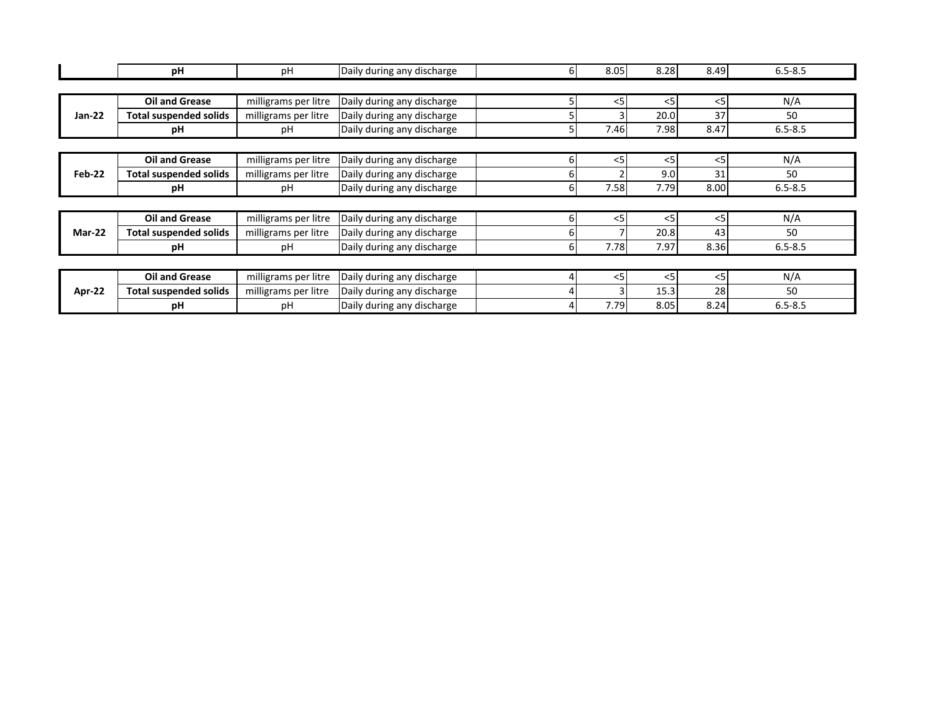|               | рH                            | рH                   | Daily during any discharge | 61 | 8.05  | 8.28  | 8.49  | $6.5 - 8.5$ |
|---------------|-------------------------------|----------------------|----------------------------|----|-------|-------|-------|-------------|
|               |                               |                      |                            |    |       |       |       |             |
|               | <b>Oil and Grease</b>         | milligrams per litre | Daily during any discharge |    | $<$ 5 | $<$ 5 | $<$ 5 | N/A         |
| Jan-22        | <b>Total suspended solids</b> | milligrams per litre | Daily during any discharge |    |       | 20.0  | 37    | 50          |
|               | рH                            | рH                   | Daily during any discharge | 5  | 7.46  | 7.98  | 8.47  | $6.5 - 8.5$ |
|               |                               |                      |                            |    |       |       |       |             |
|               | <b>Oil and Grease</b>         | milligrams per litre | Daily during any discharge | 61 | $<$ 5 | $<$ 5 | $<$ 5 | N/A         |
| <b>Feb-22</b> | <b>Total suspended solids</b> | milligrams per litre | Daily during any discharge | 6  |       | 9.0   | 31    | 50          |
|               | рH                            | рH                   | Daily during any discharge | 6  | 7.58  | 7.79  | 8.00  | $6.5 - 8.5$ |
|               |                               |                      |                            |    |       |       |       |             |
|               | Oil and Grease                | milligrams per litre | Daily during any discharge | 6  | $<$ 5 | $<$ 5 | $<$ 5 | N/A         |
| Mar-22        | <b>Total suspended solids</b> | milligrams per litre | Daily during any discharge | 6  |       | 20.8  | 43    | 50          |
|               | pH                            | рH                   | Daily during any discharge | 6  | 7.78  | 7.97  | 8.36  | $6.5 - 8.5$ |
|               |                               |                      |                            |    |       |       |       |             |
|               | <b>Oil and Grease</b>         | milligrams per litre | Daily during any discharge |    | $<$ 5 | $<$ 5 | $<$ 5 | N/A         |
| Apr-22        | <b>Total suspended solids</b> | milligrams per litre | Daily during any discharge | 4  |       | 15.3  | 28    | 50          |
|               | рH                            | рH                   | Daily during any discharge | 4  | 7.79  | 8.05  | 8.24  | $6.5 - 8.5$ |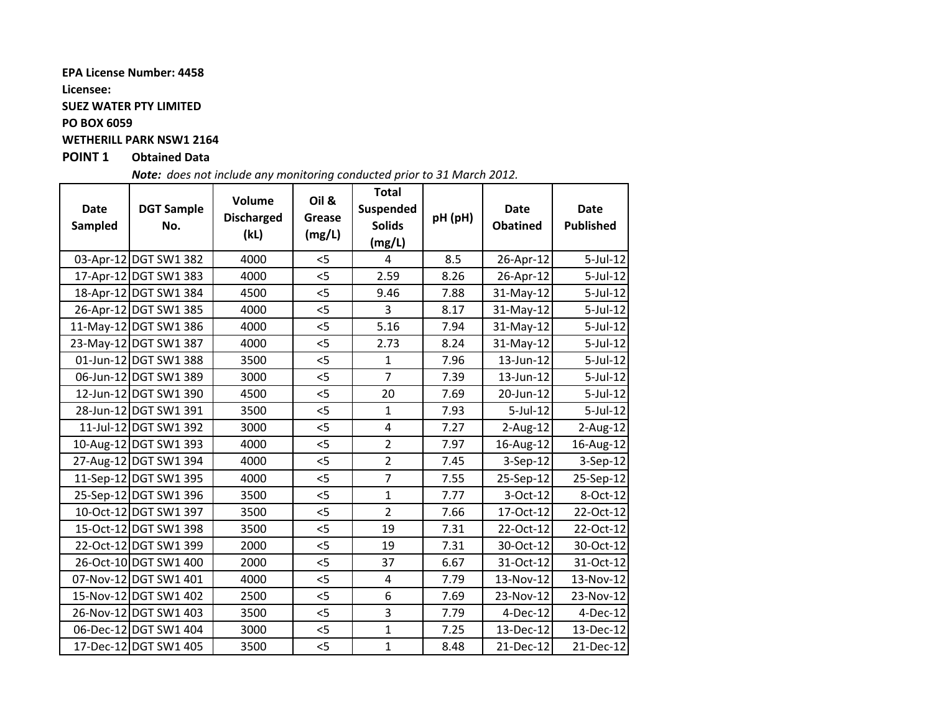### **EPA License Number: 4458**

**Licensee:**

### **SUEZ WATER PTY LIMITED**

**PO BOX 6059**

## **WETHERILL PARK NSW1 2164**

## **POINT 1 Obtained Data**

*Note: does not include any monitoring conducted prior to 31 March 2012.*

| <b>Date</b><br>Sampled | <b>DGT Sample</b><br>No. | Volume<br><b>Discharged</b><br>(kL) | Oil &<br>Grease<br>(mg/L) | <b>Total</b><br>Suspended<br><b>Solids</b><br>(mg/L) | pH (pH) | <b>Date</b><br><b>Obatined</b> | <b>Date</b><br><b>Published</b> |
|------------------------|--------------------------|-------------------------------------|---------------------------|------------------------------------------------------|---------|--------------------------------|---------------------------------|
|                        | 03-Apr-12 DGT SW1 382    | 4000                                | $<$ 5                     | 4                                                    | 8.5     | 26-Apr-12                      | 5-Jul-12                        |
|                        | 17-Apr-12 DGT SW1 383    | 4000                                | 5                         | 2.59                                                 | 8.26    | 26-Apr-12                      | 5-Jul-12                        |
|                        | 18-Apr-12 DGT SW1 384    | 4500                                | $<$ 5                     | 9.46                                                 | 7.88    | 31-May-12                      | 5-Jul-12                        |
|                        | 26-Apr-12 DGT SW1 385    | 4000                                | $<$ 5                     | 3                                                    | 8.17    | 31-May-12                      | 5-Jul-12                        |
|                        | 11-May-12 DGT SW1 386    | 4000                                | 5                         | 5.16                                                 | 7.94    | 31-May-12                      | 5-Jul-12                        |
|                        | 23-May-12 DGT SW1 387    | 4000                                | 5                         | 2.73                                                 | 8.24    | 31-May-12                      | $5$ -Jul-12                     |
|                        | 01-Jun-12 DGT SW1 388    | 3500                                | 5                         | $\mathbf{1}$                                         | 7.96    | 13-Jun-12                      | $5$ -Jul-12                     |
|                        | 06-Jun-12 DGT SW1 389    | 3000                                | 5                         | $\overline{7}$                                       | 7.39    | 13-Jun-12                      | 5-Jul-12                        |
|                        | 12-Jun-12 DGT SW1 390    | 4500                                | < 5                       | 20                                                   | 7.69    | 20-Jun-12                      | $5$ -Jul-12                     |
|                        | 28-Jun-12 DGT SW1 391    | 3500                                | 5                         | $\mathbf{1}$                                         | 7.93    | $5$ -Jul-12                    | 5-Jul-12                        |
|                        | 11-Jul-12 DGT SW1 392    | 3000                                | 5                         | $\overline{4}$                                       | 7.27    | $2$ -Aug-12                    | $2$ -Aug-12                     |
|                        | 10-Aug-12 DGT SW1 393    | 4000                                | $<$ 5                     | $\overline{2}$                                       | 7.97    | 16-Aug-12                      | 16-Aug-12                       |
|                        | 27-Aug-12 DGT SW1 394    | 4000                                | 5                         | $\overline{2}$                                       | 7.45    | $3-Sep-12$                     | 3-Sep-12                        |
|                        | 11-Sep-12 DGT SW1 395    | 4000                                | 5                         | $\overline{7}$                                       | 7.55    | 25-Sep-12                      | 25-Sep-12                       |
|                        | 25-Sep-12 DGT SW1 396    | 3500                                | < 5                       | $\mathbf{1}$                                         | 7.77    | 3-Oct-12                       | 8-Oct-12                        |
|                        | 10-Oct-12 DGT SW1 397    | 3500                                | $<$ 5                     | $\overline{2}$                                       | 7.66    | 17-Oct-12                      | 22-Oct-12                       |
|                        | 15-Oct-12 DGT SW1 398    | 3500                                | 5                         | 19                                                   | 7.31    | 22-Oct-12                      | 22-Oct-12                       |
|                        | 22-Oct-12 DGT SW1 399    | 2000                                | 5                         | 19                                                   | 7.31    | 30-Oct-12                      | 30-Oct-12                       |
|                        | 26-Oct-10 DGT SW1 400    | 2000                                | < 5                       | 37                                                   | 6.67    | 31-Oct-12                      | 31-Oct-12                       |
|                        | 07-Nov-12 DGT SW1 401    | 4000                                | < 5                       | 4                                                    | 7.79    | 13-Nov-12                      | 13-Nov-12                       |
|                        | 15-Nov-12 DGT SW1 402    | 2500                                | $<$ 5                     | 6                                                    | 7.69    | 23-Nov-12                      | 23-Nov-12                       |
|                        | 26-Nov-12 DGT SW1 403    | 3500                                | < 5                       | 3                                                    | 7.79    | 4-Dec-12                       | 4-Dec-12                        |
|                        | 06-Dec-12 DGT SW1 404    | 3000                                | < 5                       | $\mathbf{1}$                                         | 7.25    | 13-Dec-12                      | 13-Dec-12                       |
|                        | 17-Dec-12 DGT SW1 405    | 3500                                | 5                         | $\mathbf{1}$                                         | 8.48    | 21-Dec-12                      | 21-Dec-12                       |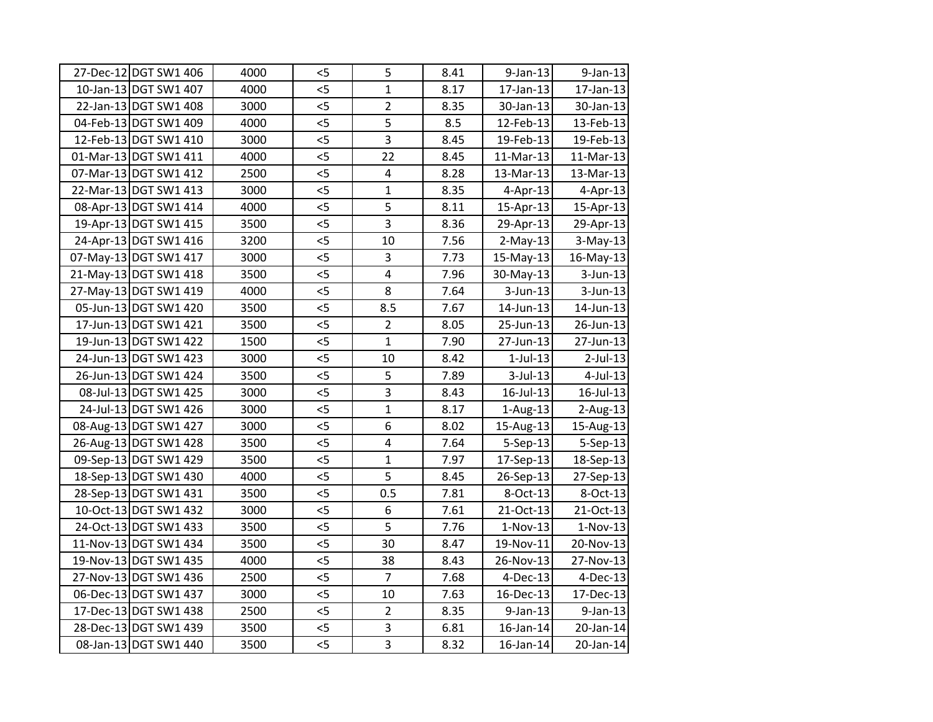| 27-Dec-12 DGT SW1 406 | 4000 | $<$ 5 | 5                       | 8.41 | $9$ -Jan-13    | $9$ -Jan-13 |
|-----------------------|------|-------|-------------------------|------|----------------|-------------|
| 10-Jan-13 DGT SW1 407 | 4000 | 5     | $\mathbf{1}$            | 8.17 | 17-Jan-13      | 17-Jan-13   |
| 22-Jan-13 DGT SW1 408 | 3000 | $<$ 5 | $\overline{2}$          | 8.35 | 30-Jan-13      | 30-Jan-13   |
| 04-Feb-13 DGT SW1 409 | 4000 | 5     | $\overline{5}$          | 8.5  | 12-Feb-13      | 13-Feb-13   |
| 12-Feb-13 DGT SW1 410 | 3000 | 5     | 3                       | 8.45 | 19-Feb-13      | 19-Feb-13   |
| 01-Mar-13 DGT SW1 411 | 4000 | 5     | 22                      | 8.45 | 11-Mar-13      | 11-Mar-13   |
| 07-Mar-13 DGT SW1 412 | 2500 | 5     | $\overline{\mathbf{4}}$ | 8.28 | 13-Mar-13      | 13-Mar-13   |
| 22-Mar-13 DGT SW1 413 | 3000 | 5     | $\mathbf{1}$            | 8.35 | $4$ -Apr-13    | $4-Apr-13$  |
| 08-Apr-13 DGT SW1 414 | 4000 | 5     | 5                       | 8.11 | 15-Apr-13      | 15-Apr-13   |
| 19-Apr-13 DGT SW1 415 | 3500 | 5     | 3                       | 8.36 | 29-Apr-13      | 29-Apr-13   |
| 24-Apr-13 DGT SW1 416 | 3200 | 5     | 10                      | 7.56 | $2-May-13$     | $3-May-13$  |
| 07-May-13 DGT SW1 417 | 3000 | 5     | 3                       | 7.73 | 15-May-13      | 16-May-13   |
| 21-May-13 DGT SW1 418 | 3500 | $<$ 5 | $\overline{\mathbf{4}}$ | 7.96 | 30-May-13      | $3$ -Jun-13 |
| 27-May-13 DGT SW1 419 | 4000 | 5     | $\overline{8}$          | 7.64 | $3$ -Jun-13    | 3-Jun-13    |
| 05-Jun-13 DGT SW1 420 | 3500 | $<$ 5 | 8.5                     | 7.67 | 14-Jun-13      | 14-Jun-13   |
| 17-Jun-13 DGT SW1 421 | 3500 | $<$ 5 | $\overline{2}$          | 8.05 | 25-Jun-13      | 26-Jun-13   |
| 19-Jun-13 DGT SW1 422 | 1500 | $<$ 5 | $\mathbf{1}$            | 7.90 | 27-Jun-13      | 27-Jun-13   |
| 24-Jun-13 DGT SW1 423 | 3000 | 5     | 10                      | 8.42 | $1$ -Jul- $13$ | $2$ -Jul-13 |
| 26-Jun-13 DGT SW1 424 | 3500 | $<$ 5 | 5                       | 7.89 | $3$ -Jul-13    | 4-Jul-13    |
| 08-Jul-13 DGT SW1 425 | 3000 | 5     | 3                       | 8.43 | 16-Jul-13      | 16-Jul-13   |
| 24-Jul-13 DGT SW1 426 | 3000 | 5     | $\mathbf{1}$            | 8.17 | $1-Aug-13$     | $2-Aug-13$  |
| 08-Aug-13 DGT SW1 427 | 3000 | 5     | 6                       | 8.02 | 15-Aug-13      | 15-Aug-13   |
| 26-Aug-13 DGT SW1 428 | 3500 | 5     | 4                       | 7.64 | 5-Sep-13       | 5-Sep-13    |
| 09-Sep-13 DGT SW1 429 | 3500 | 5     | $\mathbf{1}$            | 7.97 | 17-Sep-13      | 18-Sep-13   |
| 18-Sep-13 DGT SW1 430 | 4000 | $<$ 5 | 5                       | 8.45 | 26-Sep-13      | 27-Sep-13   |
| 28-Sep-13 DGT SW1 431 | 3500 | 5     | 0.5                     | 7.81 | 8-Oct-13       | 8-Oct-13    |
| 10-Oct-13 DGT SW1 432 | 3000 | 5     | 6                       | 7.61 | 21-Oct-13      | 21-Oct-13   |
| 24-Oct-13 DGT SW1 433 | 3500 | 5     | 5                       | 7.76 | $1-Nov-13$     | $1-Nov-13$  |
| 11-Nov-13 DGT SW1 434 | 3500 | 5     | 30                      | 8.47 | 19-Nov-11      | 20-Nov-13   |
| 19-Nov-13 DGT SW1 435 | 4000 | 5     | 38                      | 8.43 | 26-Nov-13      | 27-Nov-13   |
| 27-Nov-13 DGT SW1 436 | 2500 | $<$ 5 | $\overline{7}$          | 7.68 | 4-Dec-13       | 4-Dec-13    |
| 06-Dec-13 DGT SW1 437 | 3000 | $<$ 5 | 10                      | 7.63 | 16-Dec-13      | 17-Dec-13   |
| 17-Dec-13 DGT SW1 438 | 2500 | $<$ 5 | $\overline{2}$          | 8.35 | $9$ -Jan-13    | $9$ -Jan-13 |
| 28-Dec-13 DGT SW1 439 | 3500 | 5     | 3                       | 6.81 | 16-Jan-14      | 20-Jan-14   |
| 08-Jan-13 DGT SW1 440 | 3500 | 5     | $\overline{3}$          | 8.32 | 16-Jan-14      | 20-Jan-14   |
|                       |      |       |                         |      |                |             |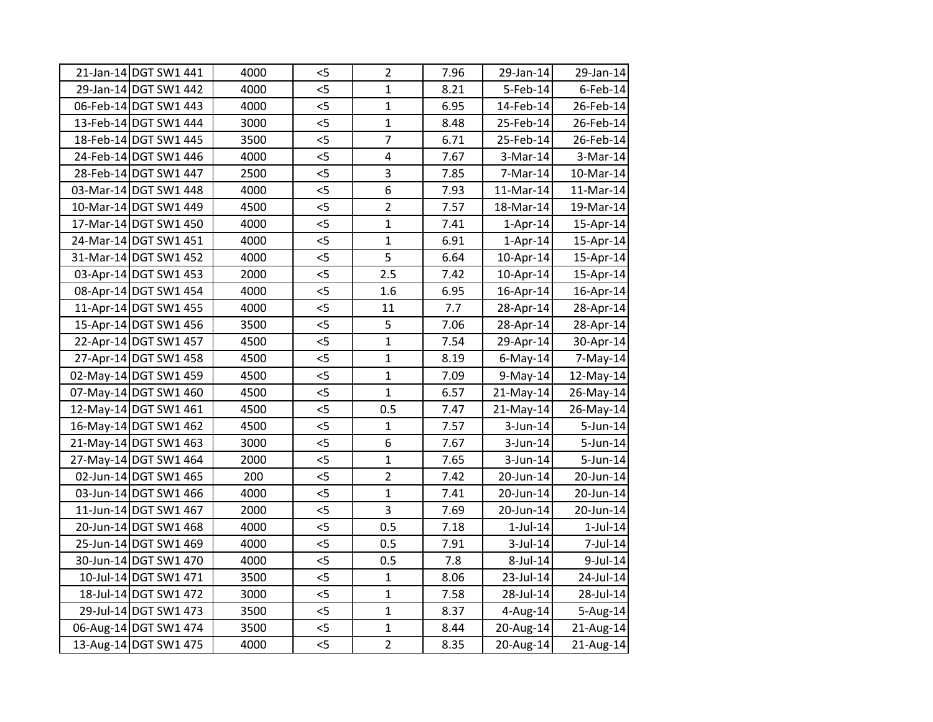| 21-Jan-14 DGT SW1 441 | 4000 | $<$ 5 | $\overline{2}$          | 7.96 | 29-Jan-14      | 29-Jan-14      |
|-----------------------|------|-------|-------------------------|------|----------------|----------------|
| 29-Jan-14 DGT SW1 442 | 4000 | 5     | $\mathbf{1}$            | 8.21 | $5$ -Feb-14    | $6$ -Feb-14    |
| 06-Feb-14 DGT SW1 443 | 4000 | $<$ 5 | $\mathbf{1}$            | 6.95 | 14-Feb-14      | 26-Feb-14      |
| 13-Feb-14 DGT SW1 444 | 3000 | $<$ 5 | $\mathbf{1}$            | 8.48 | 25-Feb-14      | 26-Feb-14      |
| 18-Feb-14 DGT SW1 445 | 3500 | 5<    | $\overline{7}$          | 6.71 | 25-Feb-14      | 26-Feb-14      |
| 24-Feb-14 DGT SW1 446 | 4000 | 5<    | $\overline{\mathbf{4}}$ | 7.67 | $3-Mar-14$     | 3-Mar-14       |
| 28-Feb-14 DGT SW1 447 | 2500 | $<$ 5 | $\overline{3}$          | 7.85 | 7-Mar-14       | 10-Mar-14      |
| 03-Mar-14 DGT SW1 448 | 4000 | $<$ 5 | $\overline{6}$          | 7.93 | 11-Mar-14      | 11-Mar-14      |
| 10-Mar-14 DGT SW1 449 | 4500 | $<$ 5 | $\overline{2}$          | 7.57 | 18-Mar-14      | 19-Mar-14      |
| 17-Mar-14 DGT SW1 450 | 4000 | $<$ 5 | $\mathbf{1}$            | 7.41 | $1-Apr-14$     | 15-Apr-14      |
| 24-Mar-14 DGT SW1 451 | 4000 | $<$ 5 | $\mathbf{1}$            | 6.91 | $1-Apr-14$     | 15-Apr-14      |
| 31-Mar-14 DGT SW1 452 | 4000 | < 5   | $\overline{5}$          | 6.64 | 10-Apr-14      | 15-Apr-14      |
| 03-Apr-14 DGT SW1 453 | 2000 | $<$ 5 | 2.5                     | 7.42 | 10-Apr-14      | 15-Apr-14      |
| 08-Apr-14 DGT SW1 454 | 4000 | 5     | 1.6                     | 6.95 | 16-Apr-14      | 16-Apr-14      |
| 11-Apr-14 DGT SW1 455 | 4000 | 5     | 11                      | 7.7  | 28-Apr-14      | 28-Apr-14      |
| 15-Apr-14 DGT SW1 456 | 3500 | 5     | 5                       | 7.06 | 28-Apr-14      | 28-Apr-14      |
| 22-Apr-14 DGT SW1 457 | 4500 | $<$ 5 | $\mathbf{1}$            | 7.54 | 29-Apr-14      | 30-Apr-14      |
| 27-Apr-14 DGT SW1 458 | 4500 | 5     | $\mathbf{1}$            | 8.19 | $6$ -May-14    | 7-May-14       |
| 02-May-14 DGT SW1 459 | 4500 | $<$ 5 | $\mathbf{1}$            | 7.09 | $9-May-14$     | 12-May-14      |
| 07-May-14 DGT SW1 460 | 4500 | $<$ 5 | $\mathbf{1}$            | 6.57 | $21-May-14$    | 26-May-14      |
| 12-May-14 DGT SW1 461 | 4500 | < 5   | 0.5                     | 7.47 | 21-May-14      | 26-May-14      |
| 16-May-14 DGT SW1 462 | 4500 | 5<    | $\mathbf{1}$            | 7.57 | 3-Jun-14       | 5-Jun-14       |
| 21-May-14 DGT SW1 463 | 3000 | $<$ 5 | 6                       | 7.67 | $3$ -Jun-14    | 5-Jun-14       |
| 27-May-14 DGT SW1 464 | 2000 | 5     | $\overline{1}$          | 7.65 | $3$ -Jun-14    | 5-Jun-14       |
| 02-Jun-14 DGT SW1 465 | 200  | $<$ 5 | $\overline{2}$          | 7.42 | 20-Jun-14      | 20-Jun-14      |
| 03-Jun-14 DGT SW1 466 | 4000 | $<$ 5 | $\mathbf{1}$            | 7.41 | 20-Jun-14      | 20-Jun-14      |
| 11-Jun-14 DGT SW1 467 | 2000 | $<$ 5 | 3                       | 7.69 | 20-Jun-14      | 20-Jun-14      |
| 20-Jun-14 DGT SW1 468 | 4000 | 5     | 0.5                     | 7.18 | $1$ -Jul- $14$ | $1$ -Jul- $14$ |
| 25-Jun-14 DGT SW1 469 | 4000 | 5     | 0.5                     | 7.91 | $3$ -Jul-14    | 7-Jul-14       |
| 30-Jun-14 DGT SW1 470 | 4000 | 5<    | 0.5                     | 7.8  | 8-Jul-14       | 9-Jul-14       |
| 10-Jul-14 DGT SW1 471 | 3500 | $<$ 5 | $\mathbf{1}$            | 8.06 | 23-Jul-14      | 24-Jul-14      |
| 18-Jul-14 DGT SW1 472 | 3000 | $<$ 5 | $\mathbf{1}$            | 7.58 | 28-Jul-14      | 28-Jul-14      |
| 29-Jul-14 DGT SW1 473 | 3500 | $<$ 5 | $\mathbf{1}$            | 8.37 | $4$ -Aug-14    | 5-Aug-14       |
| 06-Aug-14 DGT SW1 474 | 3500 | $<$ 5 | $\mathbf{1}$            | 8.44 | 20-Aug-14      | 21-Aug-14      |
| 13-Aug-14 DGT SW1 475 | 4000 | $<$ 5 | $\overline{2}$          | 8.35 | 20-Aug-14      | 21-Aug-14      |
|                       |      |       |                         |      |                |                |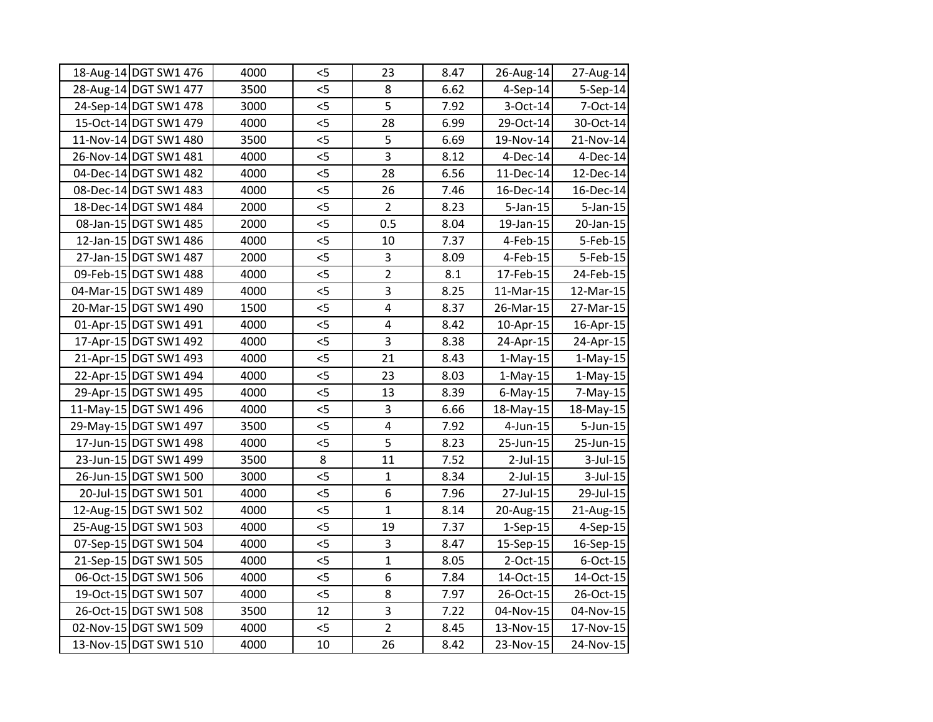| 18-Aug-14 DGT SW1 476 | 4000 | $<$ 5 | 23                      | 8.47 | 26-Aug-14    | 27-Aug-14   |
|-----------------------|------|-------|-------------------------|------|--------------|-------------|
| 28-Aug-14 DGT SW1 477 | 3500 | 5     | 8                       | 6.62 | $4-Sep-14$   | 5-Sep-14    |
| 24-Sep-14 DGT SW1 478 | 3000 | $<$ 5 | 5                       | 7.92 | $3-Oct-14$   | 7-Oct-14    |
| 15-Oct-14 DGT SW1 479 | 4000 | $<$ 5 | 28                      | 6.99 | 29-Oct-14    | 30-Oct-14   |
| 11-Nov-14 DGT SW1 480 | 3500 | 5     | 5                       | 6.69 | 19-Nov-14    | 21-Nov-14   |
| 26-Nov-14 DGT SW1 481 | 4000 | 5<    | $\overline{3}$          | 8.12 | $4$ -Dec-14  | 4-Dec-14    |
| 04-Dec-14 DGT SW1 482 | 4000 | $<$ 5 | 28                      | 6.56 | 11-Dec-14    | 12-Dec-14   |
| 08-Dec-14 DGT SW1 483 | 4000 | 5     | 26                      | 7.46 | 16-Dec-14    | 16-Dec-14   |
| 18-Dec-14 DGT SW1 484 | 2000 | < 5   | $\overline{2}$          | 8.23 | $5$ -Jan-15  | $5$ -Jan-15 |
| 08-Jan-15 DGT SW1 485 | 2000 | 5     | 0.5                     | 8.04 | $19$ -Jan-15 | 20-Jan-15   |
| 12-Jan-15 DGT SW1 486 | 4000 | 5     | 10                      | 7.37 | $4$ -Feb-15  | 5-Feb-15    |
| 27-Jan-15 DGT SW1 487 | 2000 | 5     | 3                       | 8.09 | $4$ -Feb-15  | 5-Feb-15    |
| 09-Feb-15 DGT SW1 488 | 4000 | $<$ 5 | $\overline{2}$          | 8.1  | 17-Feb-15    | 24-Feb-15   |
| 04-Mar-15 DGT SW1 489 | 4000 | 5     | $\overline{3}$          | 8.25 | 11-Mar-15    | 12-Mar-15   |
| 20-Mar-15 DGT SW1 490 | 1500 | 5     | 4                       | 8.37 | 26-Mar-15    | 27-Mar-15   |
| 01-Apr-15 DGT SW1 491 | 4000 | 5     | $\overline{\mathbf{4}}$ | 8.42 | $10$ -Apr-15 | 16-Apr-15   |
| 17-Apr-15 DGT SW1 492 | 4000 | 5     | 3                       | 8.38 | 24-Apr-15    | 24-Apr-15   |
| 21-Apr-15 DGT SW1 493 | 4000 | 5     | 21                      | 8.43 | $1-May-15$   | $1-May-15$  |
| 22-Apr-15 DGT SW1 494 | 4000 | $<$ 5 | 23                      | 8.03 | $1-May-15$   | $1-May-15$  |
| 29-Apr-15 DGT SW1 495 | 4000 | $<$ 5 | 13                      | 8.39 | $6$ -May-15  | 7-May-15    |
| 11-May-15 DGT SW1 496 | 4000 | < 5   | 3                       | 6.66 | 18-May-15    | 18-May-15   |
| 29-May-15 DGT SW1 497 | 3500 | 5<    | $\overline{\mathbf{4}}$ | 7.92 | 4-Jun-15     | 5-Jun-15    |
| 17-Jun-15 DGT SW1 498 | 4000 | 5     | 5                       | 8.23 | 25-Jun-15    | 25-Jun-15   |
| 23-Jun-15 DGT SW1 499 | 3500 | 8     | 11                      | 7.52 | $2$ -Jul-15  | 3-Jul-15    |
| 26-Jun-15 DGT SW1 500 | 3000 | $<$ 5 | $\mathbf{1}$            | 8.34 | $2$ -Jul-15  | $3$ -Jul-15 |
| 20-Jul-15 DGT SW1 501 | 4000 | 5     | 6                       | 7.96 | 27-Jul-15    | 29-Jul-15   |
| 12-Aug-15 DGT SW1 502 | 4000 | $<$ 5 | $\mathbf{1}$            | 8.14 | 20-Aug-15    | 21-Aug-15   |
| 25-Aug-15 DGT SW1 503 | 4000 | 5     | 19                      | 7.37 | $1-Sep-15$   | 4-Sep-15    |
| 07-Sep-15 DGT SW1 504 | 4000 | 5     | 3                       | 8.47 | 15-Sep-15    | 16-Sep-15   |
| 21-Sep-15 DGT SW1 505 | 4000 | 5     | $\overline{1}$          | 8.05 | $2$ -Oct-15  | 6-Oct-15    |
| 06-Oct-15 DGT SW1 506 | 4000 | $<$ 5 | 6                       | 7.84 | 14-Oct-15    | 14-Oct-15   |
| 19-Oct-15 DGT SW1 507 | 4000 | $<$ 5 | 8                       | 7.97 | 26-Oct-15    | 26-Oct-15   |
| 26-Oct-15 DGT SW1 508 | 3500 | 12    | 3                       | 7.22 | 04-Nov-15    | 04-Nov-15   |
| 02-Nov-15 DGT SW1 509 | 4000 | $<$ 5 | $\overline{2}$          | 8.45 | 13-Nov-15    | 17-Nov-15   |
| 13-Nov-15 DGT SW1 510 | 4000 | 10    | 26                      | 8.42 | 23-Nov-15    | 24-Nov-15   |
|                       |      |       |                         |      |              |             |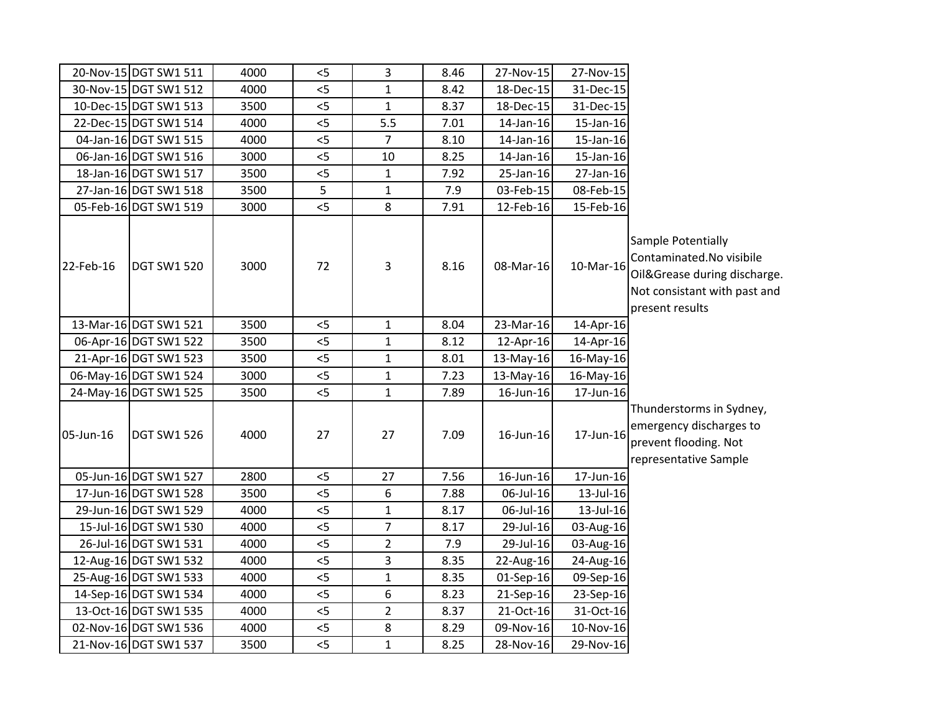|           | 20-Nov-15 DGT SW1 511 | 4000 | $<$ 5 | 3                | 8.46 | 27-Nov-15   | 27-Nov-15 |                                                                                                                                   |
|-----------|-----------------------|------|-------|------------------|------|-------------|-----------|-----------------------------------------------------------------------------------------------------------------------------------|
|           | 30-Nov-15 DGT SW1 512 | 4000 | 5     | $\mathbf{1}$     | 8.42 | 18-Dec-15   | 31-Dec-15 |                                                                                                                                   |
|           | 10-Dec-15 DGT SW1 513 | 3500 | 5     | $\mathbf{1}$     | 8.37 | 18-Dec-15   | 31-Dec-15 |                                                                                                                                   |
|           | 22-Dec-15 DGT SW1 514 | 4000 | 5     | 5.5              | 7.01 | 14-Jan-16   | 15-Jan-16 |                                                                                                                                   |
|           | 04-Jan-16 DGT SW1 515 | 4000 | $<$ 5 | $\overline{7}$   | 8.10 | 14-Jan-16   | 15-Jan-16 |                                                                                                                                   |
|           | 06-Jan-16 DGT SW1 516 | 3000 | $<$ 5 | 10               | 8.25 | 14-Jan-16   | 15-Jan-16 |                                                                                                                                   |
|           | 18-Jan-16 DGT SW1 517 | 3500 | 5     | $\mathbf{1}$     | 7.92 | 25-Jan-16   | 27-Jan-16 |                                                                                                                                   |
|           | 27-Jan-16 DGT SW1 518 | 3500 | 5     | $\mathbf{1}$     | 7.9  | 03-Feb-15   | 08-Feb-15 |                                                                                                                                   |
|           | 05-Feb-16 DGT SW1 519 | 3000 | < 5   | 8                | 7.91 | 12-Feb-16   | 15-Feb-16 |                                                                                                                                   |
| 22-Feb-16 | <b>DGT SW1 520</b>    | 3000 | 72    | $\overline{3}$   | 8.16 | 08-Mar-16   | 10-Mar-16 | Sample Potentially<br>Contaminated.No visibile<br>Oil&Grease during discharge.<br>Not consistant with past and<br>present results |
|           | 13-Mar-16 DGT SW1 521 | 3500 | $< 5$ | $\mathbf{1}$     | 8.04 | 23-Mar-16   | 14-Apr-16 |                                                                                                                                   |
|           | 06-Apr-16 DGT SW1 522 | 3500 | < 5   | $\mathbf{1}$     | 8.12 | 12-Apr-16   | 14-Apr-16 |                                                                                                                                   |
|           | 21-Apr-16 DGT SW1 523 | 3500 | < 5   | $\mathbf 1$      | 8.01 | 13-May-16   | 16-May-16 |                                                                                                                                   |
|           | 06-May-16 DGT SW1 524 | 3000 | 5     | $\mathbf 1$      | 7.23 | 13-May-16   | 16-May-16 |                                                                                                                                   |
|           | 24-May-16 DGT SW1 525 | 3500 | 5     | $\mathbf{1}$     | 7.89 | 16-Jun-16   | 17-Jun-16 |                                                                                                                                   |
| 05-Jun-16 | <b>DGT SW1 526</b>    | 4000 | 27    | 27               | 7.09 | 16-Jun-16   | 17-Jun-16 | Thunderstorms in Sydney,<br>emergency discharges to<br>prevent flooding. Not<br>representative Sample                             |
|           | 05-Jun-16 DGT SW1 527 | 2800 | < 5   | 27               | 7.56 | 16-Jun-16   | 17-Jun-16 |                                                                                                                                   |
|           | 17-Jun-16 DGT SW1 528 | 3500 | $<$ 5 | 6                | 7.88 | 06-Jul-16   | 13-Jul-16 |                                                                                                                                   |
|           | 29-Jun-16 DGT SW1 529 | 4000 | $<$ 5 | $\mathbf{1}$     | 8.17 | 06-Jul-16   | 13-Jul-16 |                                                                                                                                   |
|           | 15-Jul-16 DGT SW1 530 | 4000 | $<$ 5 | $\boldsymbol{7}$ | 8.17 | 29-Jul-16   | 03-Aug-16 |                                                                                                                                   |
|           | 26-Jul-16 DGT SW1 531 | 4000 | < 5   | $\overline{2}$   | 7.9  | 29-Jul-16   | 03-Aug-16 |                                                                                                                                   |
|           | 12-Aug-16 DGT SW1 532 | 4000 | $<$ 5 | $\mathbf{3}$     | 8.35 | 22-Aug-16   | 24-Aug-16 |                                                                                                                                   |
|           | 25-Aug-16 DGT SW1 533 | 4000 | < 5   | $\mathbf 1$      | 8.35 | $01-Sep-16$ | 09-Sep-16 |                                                                                                                                   |
|           | 14-Sep-16 DGT SW1 534 | 4000 | $< 5$ | 6                | 8.23 | 21-Sep-16   | 23-Sep-16 |                                                                                                                                   |
|           | 13-Oct-16 DGT SW1 535 | 4000 | < 5   | $\overline{2}$   | 8.37 | 21-Oct-16   | 31-Oct-16 |                                                                                                                                   |
|           | 02-Nov-16 DGT SW1 536 | 4000 | $<$ 5 | 8                | 8.29 | 09-Nov-16   | 10-Nov-16 |                                                                                                                                   |
|           | 21-Nov-16 DGT SW1 537 | 3500 | 5<    | $\mathbf 1$      | 8.25 | 28-Nov-16   | 29-Nov-16 |                                                                                                                                   |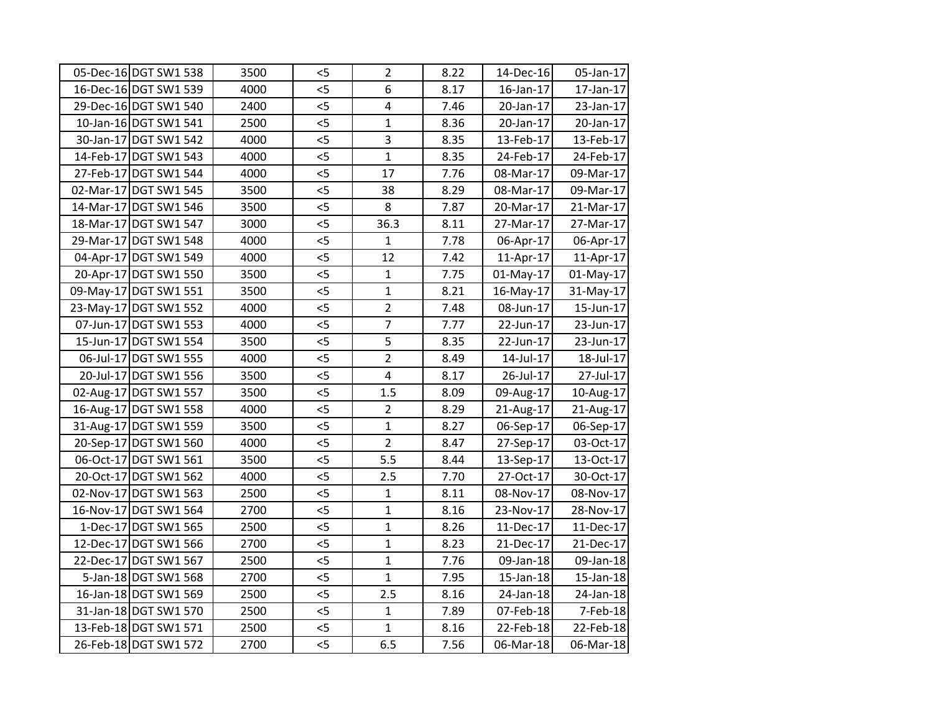| 05-Dec-16 DGT SW1 538 | 3500 | $<$ 5 | $\overline{2}$ | 8.22 | 14-Dec-16    | 05-Jan-17 |
|-----------------------|------|-------|----------------|------|--------------|-----------|
| 16-Dec-16 DGT SW1 539 | 4000 | 5     | 6              | 8.17 | 16-Jan-17    | 17-Jan-17 |
| 29-Dec-16 DGT SW1 540 | 2400 | $<$ 5 | 4              | 7.46 | 20-Jan-17    | 23-Jan-17 |
| 10-Jan-16 DGT SW1 541 | 2500 | 5     | $\mathbf{1}$   | 8.36 | 20-Jan-17    | 20-Jan-17 |
| 30-Jan-17 DGT SW1 542 | 4000 | 5     | 3              | 8.35 | 13-Feb-17    | 13-Feb-17 |
| 14-Feb-17 DGT SW1 543 | 4000 | 5     | $\overline{1}$ | 8.35 | 24-Feb-17    | 24-Feb-17 |
| 27-Feb-17 DGT SW1 544 | 4000 | $<$ 5 | 17             | 7.76 | 08-Mar-17    | 09-Mar-17 |
| 02-Mar-17 DGT SW1 545 | 3500 | $<$ 5 | 38             | 8.29 | 08-Mar-17    | 09-Mar-17 |
| 14-Mar-17 DGT SW1 546 | 3500 | $<$ 5 | 8              | 7.87 | 20-Mar-17    | 21-Mar-17 |
| 18-Mar-17 DGT SW1 547 | 3000 | 5     | 36.3           | 8.11 | 27-Mar-17    | 27-Mar-17 |
| 29-Mar-17 DGT SW1 548 | 4000 | $<$ 5 | $\mathbf{1}$   | 7.78 | 06-Apr-17    | 06-Apr-17 |
| 04-Apr-17 DGT SW1 549 | 4000 | 5     | 12             | 7.42 | 11-Apr-17    | 11-Apr-17 |
| 20-Apr-17 DGT SW1 550 | 3500 | 5<    | $\mathbf{1}$   | 7.75 | 01-May-17    | 01-May-17 |
| 09-May-17 DGT SW1 551 | 3500 | 5     | $\mathbf{1}$   | 8.21 | 16-May-17    | 31-May-17 |
| 23-May-17 DGT SW1 552 | 4000 | 5     | $\overline{2}$ | 7.48 | 08-Jun-17    | 15-Jun-17 |
| 07-Jun-17 DGT SW1 553 | 4000 | < 5   | $\overline{7}$ | 7.77 | 22-Jun-17    | 23-Jun-17 |
| 15-Jun-17 DGT SW1 554 | 3500 | 5     | 5              | 8.35 | 22-Jun-17    | 23-Jun-17 |
| 06-Jul-17 DGT SW1 555 | 4000 | 5     | $\overline{2}$ | 8.49 | 14-Jul-17    | 18-Jul-17 |
| 20-Jul-17 DGT SW1 556 | 3500 | $<$ 5 | 4              | 8.17 | 26-Jul-17    | 27-Jul-17 |
| 02-Aug-17 DGT SW1 557 | 3500 | $<$ 5 | 1.5            | 8.09 | 09-Aug-17    | 10-Aug-17 |
| 16-Aug-17 DGT SW1 558 | 4000 | < 5   | $\overline{2}$ | 8.29 | 21-Aug-17    | 21-Aug-17 |
| 31-Aug-17 DGT SW1 559 | 3500 | 5     | $\mathbf{1}$   | 8.27 | 06-Sep-17    | 06-Sep-17 |
| 20-Sep-17 DGT SW1 560 | 4000 | $<$ 5 | $\overline{2}$ | 8.47 | 27-Sep-17    | 03-Oct-17 |
| 06-Oct-17 DGT SW1 561 | 3500 | 5     | 5.5            | 8.44 | 13-Sep-17    | 13-Oct-17 |
| 20-Oct-17 DGT SW1 562 | 4000 | $<$ 5 | 2.5            | 7.70 | 27-Oct-17    | 30-Oct-17 |
| 02-Nov-17 DGT SW1 563 | 2500 | 5     | $\mathbf{1}$   | 8.11 | 08-Nov-17    | 08-Nov-17 |
| 16-Nov-17 DGT SW1 564 | 2700 | 5     | $\mathbf{1}$   | 8.16 | 23-Nov-17    | 28-Nov-17 |
| 1-Dec-17 DGT SW1 565  | 2500 | 5     | $\mathbf{1}$   | 8.26 | 11-Dec-17    | 11-Dec-17 |
| 12-Dec-17 DGT SW1 566 | 2700 | 5     | $\mathbf{1}$   | 8.23 | 21-Dec-17    | 21-Dec-17 |
| 22-Dec-17 DGT SW1 567 | 2500 | 5     | $\mathbf{1}$   | 7.76 | 09-Jan-18    | 09-Jan-18 |
| 5-Jan-18 DGT SW1 568  | 2700 | 5     | $\mathbf{1}$   | 7.95 | $15$ -Jan-18 | 15-Jan-18 |
| 16-Jan-18 DGT SW1 569 | 2500 | $<$ 5 | 2.5            | 8.16 | 24-Jan-18    | 24-Jan-18 |
| 31-Jan-18 DGT SW1 570 | 2500 | $<$ 5 | $\mathbf{1}$   | 7.89 | 07-Feb-18    | 7-Feb-18  |
| 13-Feb-18 DGT SW1 571 | 2500 | $<$ 5 | $\mathbf{1}$   | 8.16 | 22-Feb-18    | 22-Feb-18 |
| 26-Feb-18 DGT SW1 572 | 2700 | 5     | 6.5            | 7.56 | 06-Mar-18    | 06-Mar-18 |
|                       |      |       |                |      |              |           |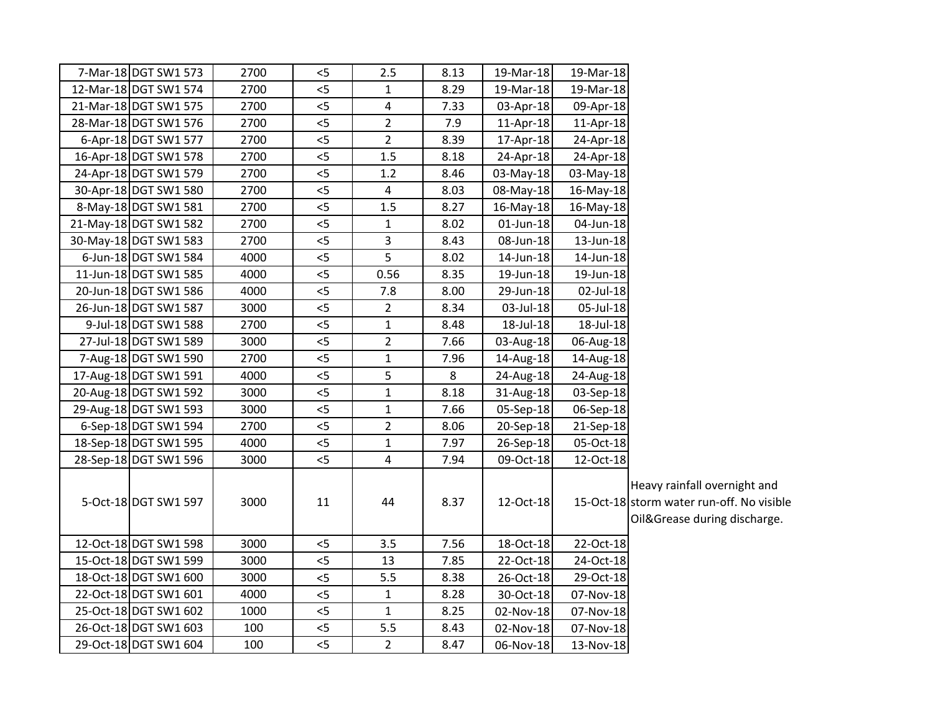| 7-Mar-18 DGT SW1 573  | 2700 | $<$ 5 | 2.5            | 8.13 | 19-Mar-18 | 19-Mar-18 |                                                                                                           |
|-----------------------|------|-------|----------------|------|-----------|-----------|-----------------------------------------------------------------------------------------------------------|
| 12-Mar-18 DGT SW1 574 | 2700 | $< 5$ | $\mathbf{1}$   | 8.29 | 19-Mar-18 | 19-Mar-18 |                                                                                                           |
| 21-Mar-18 DGT SW1 575 | 2700 | $<$ 5 | 4              | 7.33 | 03-Apr-18 | 09-Apr-18 |                                                                                                           |
| 28-Mar-18 DGT SW1 576 | 2700 | 5     | $\overline{2}$ | 7.9  | 11-Apr-18 | 11-Apr-18 |                                                                                                           |
| 6-Apr-18 DGT SW1 577  | 2700 | 5     | $\overline{2}$ | 8.39 | 17-Apr-18 | 24-Apr-18 |                                                                                                           |
| 16-Apr-18 DGT SW1 578 | 2700 | 5     | 1.5            | 8.18 | 24-Apr-18 | 24-Apr-18 |                                                                                                           |
| 24-Apr-18 DGT SW1 579 | 2700 | 5     | 1.2            | 8.46 | 03-May-18 | 03-May-18 |                                                                                                           |
| 30-Apr-18 DGT SW1 580 | 2700 | < 5   | 4              | 8.03 | 08-May-18 | 16-May-18 |                                                                                                           |
| 8-May-18 DGT SW1 581  | 2700 | $< 5$ | 1.5            | 8.27 | 16-May-18 | 16-May-18 |                                                                                                           |
| 21-May-18 DGT SW1 582 | 2700 | $<$ 5 | $\mathbf{1}$   | 8.02 | 01-Jun-18 | 04-Jun-18 |                                                                                                           |
| 30-May-18 DGT SW1 583 | 2700 | $<$ 5 | 3              | 8.43 | 08-Jun-18 | 13-Jun-18 |                                                                                                           |
| 6-Jun-18 DGT SW1 584  | 4000 | $<$ 5 | 5              | 8.02 | 14-Jun-18 | 14-Jun-18 |                                                                                                           |
| 11-Jun-18 DGT SW1 585 | 4000 | < 5   | 0.56           | 8.35 | 19-Jun-18 | 19-Jun-18 |                                                                                                           |
| 20-Jun-18 DGT SW1 586 | 4000 | 5     | 7.8            | 8.00 | 29-Jun-18 | 02-Jul-18 |                                                                                                           |
| 26-Jun-18 DGT SW1 587 | 3000 | $<$ 5 | $\overline{2}$ | 8.34 | 03-Jul-18 | 05-Jul-18 |                                                                                                           |
| 9-Jul-18 DGT SW1 588  | 2700 | 5     | $\mathbf{1}$   | 8.48 | 18-Jul-18 | 18-Jul-18 |                                                                                                           |
| 27-Jul-18 DGT SW1 589 | 3000 | < 5   | $\overline{2}$ | 7.66 | 03-Aug-18 | 06-Aug-18 |                                                                                                           |
| 7-Aug-18 DGT SW1 590  | 2700 | $< 5$ | $\mathbf{1}$   | 7.96 | 14-Aug-18 | 14-Aug-18 |                                                                                                           |
| 17-Aug-18 DGT SW1 591 | 4000 | < 5   | 5              | 8    | 24-Aug-18 | 24-Aug-18 |                                                                                                           |
| 20-Aug-18 DGT SW1 592 | 3000 | < 5   | $\mathbf{1}$   | 8.18 | 31-Aug-18 | 03-Sep-18 |                                                                                                           |
| 29-Aug-18 DGT SW1 593 | 3000 | 5     | $\mathbf{1}$   | 7.66 | 05-Sep-18 | 06-Sep-18 |                                                                                                           |
| 6-Sep-18 DGT SW1 594  | 2700 | < 5   | $\overline{2}$ | 8.06 | 20-Sep-18 | 21-Sep-18 |                                                                                                           |
| 18-Sep-18 DGT SW1 595 | 4000 | $<$ 5 | $\mathbf{1}$   | 7.97 | 26-Sep-18 | 05-Oct-18 |                                                                                                           |
| 28-Sep-18 DGT SW1 596 | 3000 | $<$ 5 | 4              | 7.94 | 09-Oct-18 | 12-Oct-18 |                                                                                                           |
| 5-Oct-18 DGT SW1 597  | 3000 | 11    | 44             | 8.37 | 12-Oct-18 |           | Heavy rainfall overnight and<br>15-Oct-18 storm water run-off. No visible<br>Oil&Grease during discharge. |
| 12-Oct-18 DGT SW1 598 | 3000 | < 5   | 3.5            | 7.56 | 18-Oct-18 | 22-Oct-18 |                                                                                                           |
| 15-Oct-18 DGT SW1 599 | 3000 | $<$ 5 | 13             | 7.85 | 22-Oct-18 | 24-Oct-18 |                                                                                                           |
| 18-Oct-18 DGT SW1 600 | 3000 | < 5   | 5.5            | 8.38 | 26-Oct-18 | 29-Oct-18 |                                                                                                           |
| 22-Oct-18 DGT SW1 601 | 4000 | 5     | $\mathbf{1}$   | 8.28 | 30-Oct-18 | 07-Nov-18 |                                                                                                           |
| 25-Oct-18 DGT SW1 602 | 1000 | $<$ 5 | $\mathbf{1}$   | 8.25 | 02-Nov-18 | 07-Nov-18 |                                                                                                           |
| 26-Oct-18 DGT SW1 603 | 100  | 5     | 5.5            | 8.43 | 02-Nov-18 | 07-Nov-18 |                                                                                                           |
| 29-Oct-18 DGT SW1 604 | 100  | 5     | $\overline{2}$ | 8.47 | 06-Nov-18 | 13-Nov-18 |                                                                                                           |
|                       |      |       |                |      |           |           |                                                                                                           |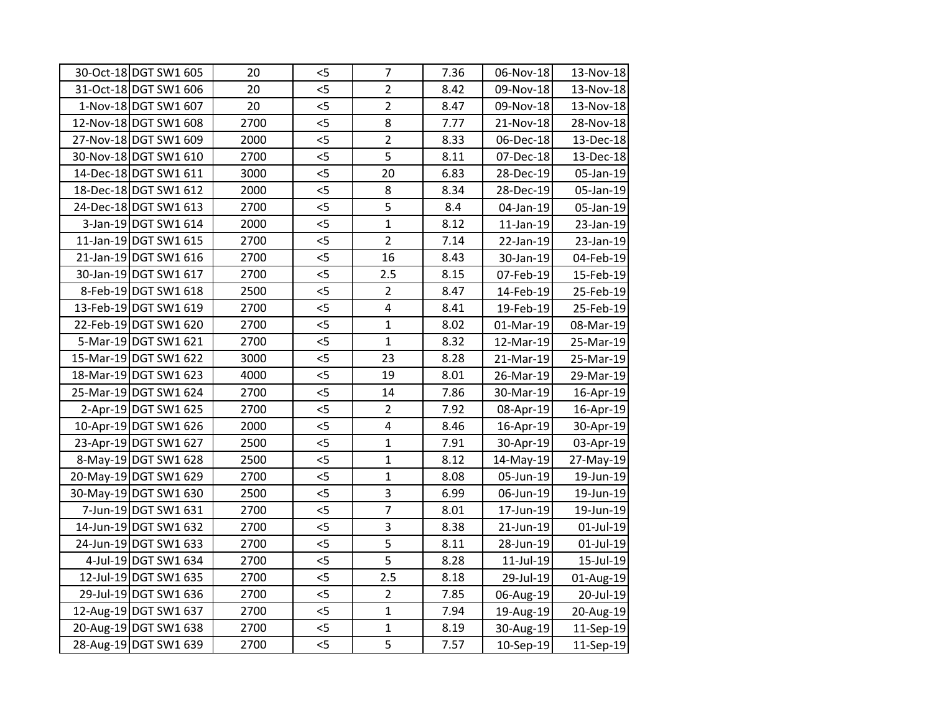| 30-Oct-18 DGT SW1 605 | 20   | $<$ 5 | $\overline{7}$          | 7.36 | 06-Nov-18    | 13-Nov-18 |
|-----------------------|------|-------|-------------------------|------|--------------|-----------|
| 31-Oct-18 DGT SW1 606 | 20   | 5     | $\overline{2}$          | 8.42 | 09-Nov-18    | 13-Nov-18 |
| 1-Nov-18 DGT SW1 607  | 20   | $<$ 5 | $\overline{2}$          | 8.47 | 09-Nov-18    | 13-Nov-18 |
| 12-Nov-18 DGT SW1 608 | 2700 | $<$ 5 | 8                       | 7.77 | 21-Nov-18    | 28-Nov-18 |
| 27-Nov-18 DGT SW1 609 | 2000 | 5     | $\overline{2}$          | 8.33 | 06-Dec-18    | 13-Dec-18 |
| 30-Nov-18 DGT SW1 610 | 2700 | 5     | $\overline{5}$          | 8.11 | 07-Dec-18    | 13-Dec-18 |
| 14-Dec-18 DGT SW1 611 | 3000 | $<$ 5 | 20                      | 6.83 | 28-Dec-19    | 05-Jan-19 |
| 18-Dec-18 DGT SW1 612 | 2000 | 5     | 8                       | 8.34 | 28-Dec-19    | 05-Jan-19 |
| 24-Dec-18 DGT SW1 613 | 2700 | $<$ 5 | 5                       | 8.4  | 04-Jan-19    | 05-Jan-19 |
| 3-Jan-19 DGT SW1 614  | 2000 | 5     | $\mathbf{1}$            | 8.12 | $11$ -Jan-19 | 23-Jan-19 |
| 11-Jan-19 DGT SW1 615 | 2700 | 5     | $\overline{2}$          | 7.14 | 22-Jan-19    | 23-Jan-19 |
| 21-Jan-19 DGT SW1 616 | 2700 | 5     | 16                      | 8.43 | 30-Jan-19    | 04-Feb-19 |
| 30-Jan-19 DGT SW1 617 | 2700 | < 5   | 2.5                     | 8.15 | 07-Feb-19    | 15-Feb-19 |
| 8-Feb-19 DGT SW1 618  | 2500 | 5     | $\overline{2}$          | 8.47 | 14-Feb-19    | 25-Feb-19 |
| 13-Feb-19 DGT SW1 619 | 2700 | $<$ 5 | 4                       | 8.41 | 19-Feb-19    | 25-Feb-19 |
| 22-Feb-19 DGT SW1 620 | 2700 | < 5   | $\mathbf{1}$            | 8.02 | 01-Mar-19    | 08-Mar-19 |
| 5-Mar-19 DGT SW1 621  | 2700 | 5     | $\mathbf{1}$            | 8.32 | 12-Mar-19    | 25-Mar-19 |
| 15-Mar-19 DGT SW1 622 | 3000 | 5     | 23                      | 8.28 | 21-Mar-19    | 25-Mar-19 |
| 18-Mar-19 DGT SW1 623 | 4000 | $<$ 5 | 19                      | 8.01 | 26-Mar-19    | 29-Mar-19 |
| 25-Mar-19 DGT SW1 624 | 2700 | $<$ 5 | 14                      | 7.86 | 30-Mar-19    | 16-Apr-19 |
| 2-Apr-19 DGT SW1 625  | 2700 | < 5   | $\overline{2}$          | 7.92 | 08-Apr-19    | 16-Apr-19 |
| 10-Apr-19 DGT SW1 626 | 2000 | 5<    | $\overline{\mathbf{4}}$ | 8.46 | 16-Apr-19    | 30-Apr-19 |
| 23-Apr-19 DGT SW1 627 | 2500 | $<$ 5 | $\mathbf{1}$            | 7.91 | 30-Apr-19    | 03-Apr-19 |
| 8-May-19 DGT SW1 628  | 2500 | 5     | $\overline{1}$          | 8.12 | 14-May-19    | 27-May-19 |
| 20-May-19 DGT SW1 629 | 2700 | $<$ 5 | $\mathbf{1}$            | 8.08 | 05-Jun-19    | 19-Jun-19 |
| 30-May-19 DGT SW1 630 | 2500 | 5     | 3                       | 6.99 | 06-Jun-19    | 19-Jun-19 |
| 7-Jun-19 DGT SW1 631  | 2700 | $<$ 5 | $\overline{7}$          | 8.01 | 17-Jun-19    | 19-Jun-19 |
| 14-Jun-19 DGT SW1 632 | 2700 | 5     | 3                       | 8.38 | 21-Jun-19    | 01-Jul-19 |
| 24-Jun-19 DGT SW1 633 | 2700 | 5     | 5                       | 8.11 | 28-Jun-19    | 01-Jul-19 |
| 4-Jul-19 DGT SW1 634  | 2700 | 5     | $\overline{5}$          | 8.28 | $11$ -Jul-19 | 15-Jul-19 |
| 12-Jul-19 DGT SW1 635 | 2700 | $<$ 5 | 2.5                     | 8.18 | 29-Jul-19    | 01-Aug-19 |
| 29-Jul-19 DGT SW1 636 | 2700 | $<$ 5 | $\overline{2}$          | 7.85 | 06-Aug-19    | 20-Jul-19 |
| 12-Aug-19 DGT SW1 637 | 2700 | $<$ 5 | $\mathbf{1}$            | 7.94 | 19-Aug-19    | 20-Aug-19 |
| 20-Aug-19 DGT SW1 638 | 2700 | $<$ 5 | $\mathbf{1}$            | 8.19 | 30-Aug-19    | 11-Sep-19 |
| 28-Aug-19 DGT SW1 639 | 2700 | $<$ 5 | 5                       | 7.57 | 10-Sep-19    | 11-Sep-19 |
|                       |      |       |                         |      |              |           |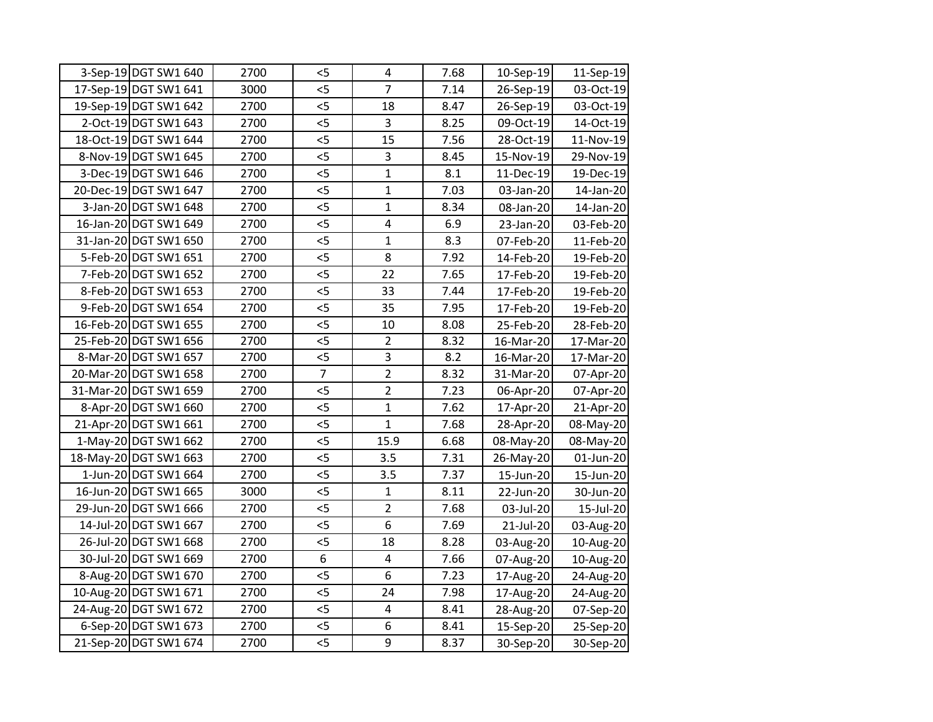| 3-Sep-19 DGT SW1 640  | 2700 | $<$ 5          | $\overline{4}$          | 7.68 | 10-Sep-19 | 11-Sep-19 |
|-----------------------|------|----------------|-------------------------|------|-----------|-----------|
| 17-Sep-19 DGT SW1 641 | 3000 | < 5            | $\overline{7}$          | 7.14 | 26-Sep-19 | 03-Oct-19 |
| 19-Sep-19 DGT SW1 642 | 2700 | $<$ 5          | 18                      | 8.47 | 26-Sep-19 | 03-Oct-19 |
| 2-Oct-19 DGT SW1 643  | 2700 | < 5            | 3                       | 8.25 | 09-Oct-19 | 14-Oct-19 |
| 18-Oct-19 DGT SW1 644 | 2700 | < 5            | 15                      | 7.56 | 28-Oct-19 | 11-Nov-19 |
| 8-Nov-19 DGT SW1 645  | 2700 | 5              | 3                       | 8.45 | 15-Nov-19 | 29-Nov-19 |
| 3-Dec-19 DGT SW1 646  | 2700 | $<$ 5          | $\mathbf{1}$            | 8.1  | 11-Dec-19 | 19-Dec-19 |
| 20-Dec-19 DGT SW1 647 | 2700 | $<$ 5          | $\mathbf{1}$            | 7.03 | 03-Jan-20 | 14-Jan-20 |
| 3-Jan-20 DGT SW1 648  | 2700 | $<$ 5          | $\mathbf{1}$            | 8.34 | 08-Jan-20 | 14-Jan-20 |
| 16-Jan-20 DGT SW1 649 | 2700 | 5              | 4                       | 6.9  | 23-Jan-20 | 03-Feb-20 |
| 31-Jan-20 DGT SW1 650 | 2700 | 5              | $\mathbf{1}$            | 8.3  | 07-Feb-20 | 11-Feb-20 |
| 5-Feb-20 DGT SW1 651  | 2700 | 5              | 8                       | 7.92 | 14-Feb-20 | 19-Feb-20 |
| 7-Feb-20 DGT SW1 652  | 2700 | 5              | 22                      | 7.65 | 17-Feb-20 | 19-Feb-20 |
| 8-Feb-20 DGT SW1 653  | 2700 | $<$ 5          | 33                      | 7.44 | 17-Feb-20 | 19-Feb-20 |
| 9-Feb-20 DGT SW1 654  | 2700 | $<$ 5          | 35                      | 7.95 | 17-Feb-20 | 19-Feb-20 |
| 16-Feb-20 DGT SW1 655 | 2700 | $<$ 5          | 10                      | 8.08 | 25-Feb-20 | 28-Feb-20 |
| 25-Feb-20 DGT SW1 656 | 2700 | 5              | $\overline{2}$          | 8.32 | 16-Mar-20 | 17-Mar-20 |
| 8-Mar-20 DGT SW1 657  | 2700 | 5              | 3                       | 8.2  | 16-Mar-20 | 17-Mar-20 |
| 20-Mar-20 DGT SW1 658 | 2700 | $\overline{7}$ | $\overline{2}$          | 8.32 | 31-Mar-20 | 07-Apr-20 |
| 31-Mar-20 DGT SW1 659 | 2700 | $<$ 5          | $\overline{2}$          | 7.23 | 06-Apr-20 | 07-Apr-20 |
| 8-Apr-20 DGT SW1 660  | 2700 | $<$ 5          | $\mathbf{1}$            | 7.62 | 17-Apr-20 | 21-Apr-20 |
| 21-Apr-20 DGT SW1 661 | 2700 | 5              | $\mathbf{1}$            | 7.68 | 28-Apr-20 | 08-May-20 |
| 1-May-20 DGT SW1 662  | 2700 | 5              | 15.9                    | 6.68 | 08-May-20 | 08-May-20 |
| 18-May-20 DGT SW1 663 | 2700 | 5              | 3.5                     | 7.31 | 26-May-20 | 01-Jun-20 |
| 1-Jun-20 DGT SW1 664  | 2700 | < 5            | 3.5                     | 7.37 | 15-Jun-20 | 15-Jun-20 |
| 16-Jun-20 DGT SW1 665 | 3000 | 5              | $\mathbf 1$             | 8.11 | 22-Jun-20 | 30-Jun-20 |
| 29-Jun-20 DGT SW1 666 | 2700 | < 5            | $\overline{2}$          | 7.68 | 03-Jul-20 | 15-Jul-20 |
| 14-Jul-20 DGT SW1 667 | 2700 | 5              | 6                       | 7.69 | 21-Jul-20 | 03-Aug-20 |
| 26-Jul-20 DGT SW1 668 | 2700 | 5              | 18                      | 8.28 | 03-Aug-20 | 10-Aug-20 |
| 30-Jul-20 DGT SW1 669 | 2700 | 6              | $\overline{\mathbf{4}}$ | 7.66 | 07-Aug-20 | 10-Aug-20 |
| 8-Aug-20 DGT SW1 670  | 2700 | $<$ 5          | 6                       | 7.23 | 17-Aug-20 | 24-Aug-20 |
| 10-Aug-20 DGT SW1 671 | 2700 | $<$ 5          | 24                      | 7.98 | 17-Aug-20 | 24-Aug-20 |
| 24-Aug-20 DGT SW1 672 | 2700 | $<$ 5          | 4                       | 8.41 | 28-Aug-20 | 07-Sep-20 |
| 6-Sep-20 DGT SW1 673  | 2700 | $<$ 5          | 6                       | 8.41 | 15-Sep-20 | 25-Sep-20 |
| 21-Sep-20 DGT SW1 674 | 2700 | 5              | 9                       | 8.37 | 30-Sep-20 | 30-Sep-20 |
|                       |      |                |                         |      |           |           |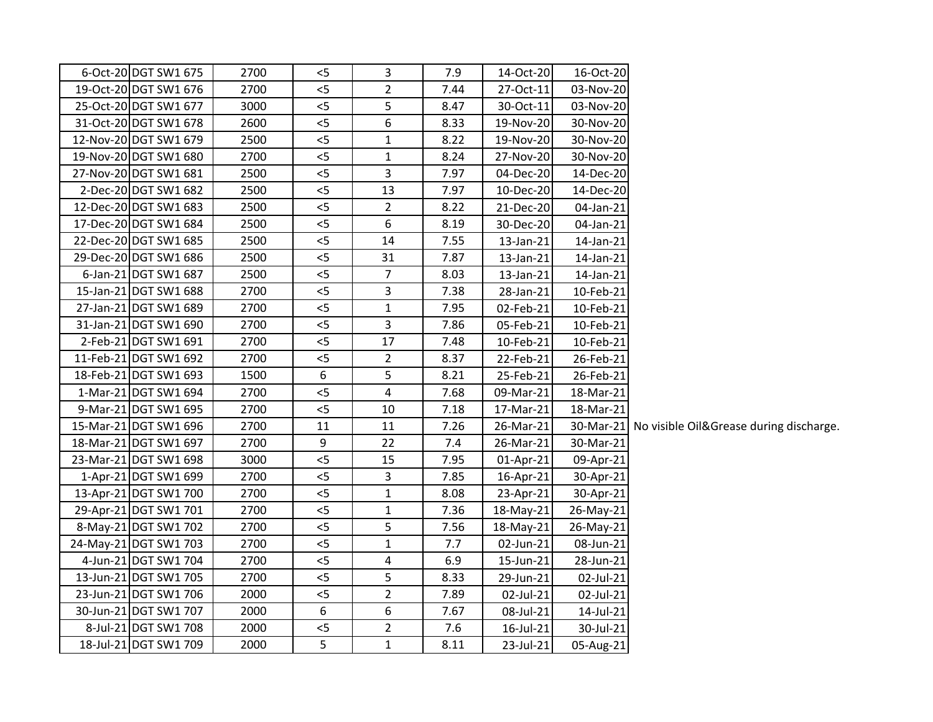| 16-Oct-20           | 14-Oct-20 | 7.9  | 3                       | $<$ 5            | 2700 | 6-Oct-20 DGT SW1 675  |
|---------------------|-----------|------|-------------------------|------------------|------|-----------------------|
| 03-Nov-20           | 27-Oct-11 | 7.44 | $\overline{2}$          | $<$ 5            | 2700 | 19-Oct-20 DGT SW1 676 |
| 03-Nov-20           | 30-Oct-11 | 8.47 | 5                       | 5<               | 3000 | 25-Oct-20 DGT SW1 677 |
| 30-Nov-20           | 19-Nov-20 | 8.33 | 6                       | 5                | 2600 | 31-Oct-20 DGT SW1 678 |
| 30-Nov-20           | 19-Nov-20 | 8.22 | $\mathbf{1}$            | $<$ 5            | 2500 | 12-Nov-20 DGT SW1 679 |
| 30-Nov-20           | 27-Nov-20 | 8.24 | $\mathbf{1}$            | 5                | 2700 | 19-Nov-20 DGT SW1 680 |
| 14-Dec-20           | 04-Dec-20 | 7.97 | 3                       | 5                | 2500 | 27-Nov-20 DGT SW1 681 |
| 14-Dec-20           | 10-Dec-20 | 7.97 | 13                      | 5                | 2500 | 2-Dec-20 DGT SW1 682  |
| 04-Jan-21           | 21-Dec-20 | 8.22 | $\overline{2}$          | 5                | 2500 | 12-Dec-20 DGT SW1 683 |
| 04-Jan-21           | 30-Dec-20 | 8.19 | 6                       | $<$ 5            | 2500 | 17-Dec-20 DGT SW1 684 |
| 14-Jan-21           | 13-Jan-21 | 7.55 | 14                      | 5                | 2500 | 22-Dec-20 DGT SW1 685 |
| 14-Jan-21           | 13-Jan-21 | 7.87 | 31                      | 5                | 2500 | 29-Dec-20 DGT SW1 686 |
| 14-Jan-21           | 13-Jan-21 | 8.03 | $\overline{7}$          | 5                | 2500 | 6-Jan-21 DGT SW1 687  |
| 10-Feb-21           | 28-Jan-21 | 7.38 | 3                       | $<$ 5            | 2700 | 15-Jan-21 DGT SW1 688 |
| 10-Feb-21           | 02-Feb-21 | 7.95 | $\mathbf{1}$            | 5                | 2700 | 27-Jan-21 DGT SW1 689 |
| 10-Feb-21           | 05-Feb-21 | 7.86 | $\overline{3}$          | 5                | 2700 | 31-Jan-21 DGT SW1 690 |
| 10-Feb-21           | 10-Feb-21 | 7.48 | 17                      | 5                | 2700 | 2-Feb-21 DGT SW1 691  |
| 26-Feb-21           | 22-Feb-21 | 8.37 | $\overline{2}$          | 5                | 2700 | 11-Feb-21 DGT SW1 692 |
| 26-Feb-21           | 25-Feb-21 | 8.21 | 5                       | $\boldsymbol{6}$ | 1500 | 18-Feb-21 DGT SW1 693 |
| 18-Mar-21           | 09-Mar-21 | 7.68 | $\overline{4}$          | 5                | 2700 | 1-Mar-21 DGT SW1 694  |
| 18-Mar-21           | 17-Mar-21 | 7.18 | 10                      | $<$ 5            | 2700 | 9-Mar-21 DGT SW1 695  |
| 30-Mar-21 No visibl | 26-Mar-21 | 7.26 | 11                      | 11               | 2700 | 15-Mar-21 DGT SW1 696 |
| 30-Mar-21           | 26-Mar-21 | 7.4  | 22                      | 9                | 2700 | 18-Mar-21 DGT SW1 697 |
| 09-Apr-21           | 01-Apr-21 | 7.95 | 15                      | 5                | 3000 | 23-Mar-21 DGT SW1 698 |
| 30-Apr-21           | 16-Apr-21 | 7.85 | 3                       | 5                | 2700 | 1-Apr-21 DGT SW1 699  |
| 30-Apr-21           | 23-Apr-21 | 8.08 | $\mathbf{1}$            | 5                | 2700 | 13-Apr-21 DGT SW1 700 |
| 26-May-21           | 18-May-21 | 7.36 | $\mathbf{1}$            | 5                | 2700 | 29-Apr-21 DGT SW1 701 |
| 26-May-21           | 18-May-21 | 7.56 | 5                       | 5                | 2700 | 8-May-21 DGT SW1 702  |
| 08-Jun-21           | 02-Jun-21 | 7.7  | $\mathbf{1}$            | 5                | 2700 | 24-May-21 DGT SW1 703 |
| 28-Jun-21           | 15-Jun-21 | 6.9  | $\overline{\mathbf{4}}$ | 5                | 2700 | 4-Jun-21 DGT SW1 704  |
| 02-Jul-21           | 29-Jun-21 | 8.33 | 5                       | 5                | 2700 | 13-Jun-21 DGT SW1 705 |
| 02-Jul-21           | 02-Jul-21 | 7.89 | $\overline{2}$          | 5                | 2000 | 23-Jun-21 DGT SW1 706 |
| 14-Jul-21           | 08-Jul-21 | 7.67 | 6                       | 6                | 2000 | 30-Jun-21 DGT SW1 707 |
| 30-Jul-21           | 16-Jul-21 | 7.6  | $\overline{2}$          | $5$              | 2000 | 8-Jul-21 DGT SW1 708  |
| 05-Aug-21           | 23-Jul-21 | 8.11 | $\mathbf{1}$            | 5                | 2000 | 18-Jul-21 DGT SW1 709 |
|                     |           |      |                         |                  |      |                       |

le Oil&Grease during discharge.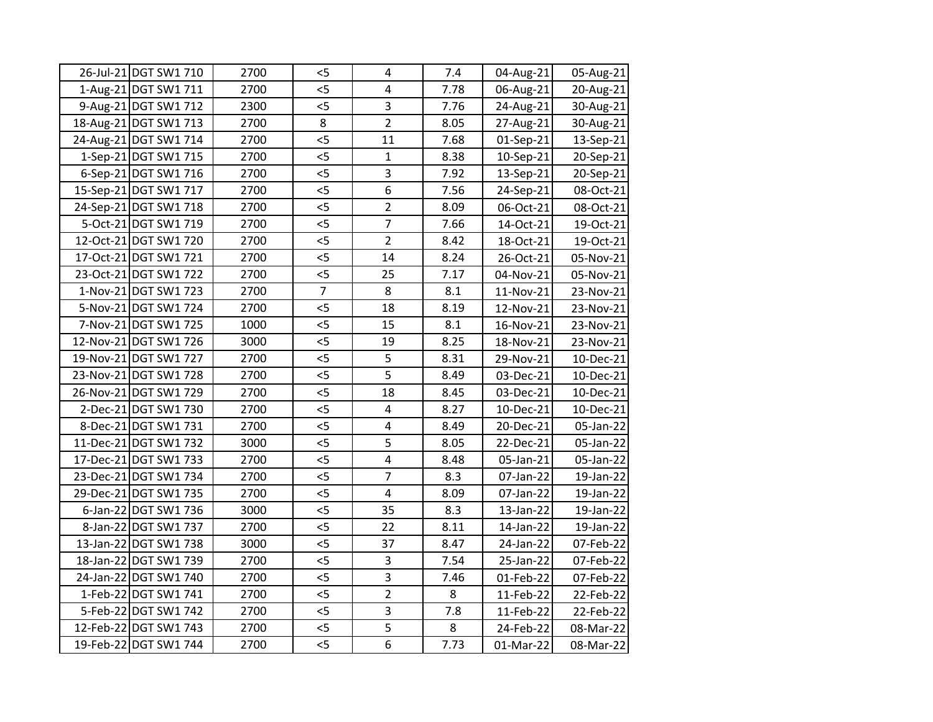| 26-Jul-21 DGT SW1 710 | 2700 | $<$ 5          | $\overline{4}$          | 7.4  | 04-Aug-21   | 05-Aug-21 |
|-----------------------|------|----------------|-------------------------|------|-------------|-----------|
| 1-Aug-21 DGT SW1 711  | 2700 | 5              | $\overline{\mathbf{4}}$ | 7.78 | 06-Aug-21   | 20-Aug-21 |
| 9-Aug-21 DGT SW1 712  | 2300 | 5              | 3                       | 7.76 | 24-Aug-21   | 30-Aug-21 |
| 18-Aug-21 DGT SW1 713 | 2700 | 8              | $\overline{2}$          | 8.05 | 27-Aug-21   | 30-Aug-21 |
| 24-Aug-21 DGT SW1 714 | 2700 | 5              | 11                      | 7.68 | 01-Sep-21   | 13-Sep-21 |
| 1-Sep-21 DGT SW1 715  | 2700 | 5<             | $\mathbf{1}$            | 8.38 | $10-Sep-21$ | 20-Sep-21 |
| 6-Sep-21 DGT SW1 716  | 2700 | $<$ 5          | $\overline{3}$          | 7.92 | $13-Sep-21$ | 20-Sep-21 |
| 15-Sep-21 DGT SW1 717 | 2700 | 5              | $\overline{6}$          | 7.56 | 24-Sep-21   | 08-Oct-21 |
| 24-Sep-21 DGT SW1 718 | 2700 | $<$ 5          | $\overline{2}$          | 8.09 | 06-Oct-21   | 08-Oct-21 |
| 5-Oct-21 DGT SW1 719  | 2700 | 5              | $\overline{7}$          | 7.66 | 14-Oct-21   | 19-Oct-21 |
| 12-Oct-21 DGT SW1 720 | 2700 | $<$ 5          | $\overline{2}$          | 8.42 | 18-Oct-21   | 19-Oct-21 |
| 17-Oct-21 DGT SW1 721 | 2700 | 5              | 14                      | 8.24 | 26-Oct-21   | 05-Nov-21 |
| 23-Oct-21 DGT SW1 722 | 2700 | 5              | 25                      | 7.17 | 04-Nov-21   | 05-Nov-21 |
| 1-Nov-21 DGT SW1 723  | 2700 | $\overline{7}$ | 8                       | 8.1  | 11-Nov-21   | 23-Nov-21 |
| 5-Nov-21 DGT SW1 724  | 2700 | $<$ 5          | 18                      | 8.19 | 12-Nov-21   | 23-Nov-21 |
| 7-Nov-21 DGT SW1 725  | 1000 | < 5            | 15                      | 8.1  | 16-Nov-21   | 23-Nov-21 |
| 12-Nov-21 DGT SW1 726 | 3000 | 5              | 19                      | 8.25 | 18-Nov-21   | 23-Nov-21 |
| 19-Nov-21 DGT SW1 727 | 2700 | 5              | 5                       | 8.31 | 29-Nov-21   | 10-Dec-21 |
| 23-Nov-21 DGT SW1 728 | 2700 | $<$ 5          | 5                       | 8.49 | 03-Dec-21   | 10-Dec-21 |
| 26-Nov-21 DGT SW1 729 | 2700 | 5              | 18                      | 8.45 | 03-Dec-21   | 10-Dec-21 |
| 2-Dec-21 DGT SW1 730  | 2700 | < 5            | $\overline{\mathbf{4}}$ | 8.27 | 10-Dec-21   | 10-Dec-21 |
| 8-Dec-21 DGT SW1 731  | 2700 | 5<             | $\overline{\mathbf{4}}$ | 8.49 | 20-Dec-21   | 05-Jan-22 |
| 11-Dec-21 DGT SW1 732 | 3000 | 5              | 5                       | 8.05 | 22-Dec-21   | 05-Jan-22 |
| 17-Dec-21 DGT SW1 733 | 2700 | 5              | $\overline{\mathbf{4}}$ | 8.48 | 05-Jan-21   | 05-Jan-22 |
| 23-Dec-21 DGT SW1 734 | 2700 | $<$ 5          | $\overline{7}$          | 8.3  | 07-Jan-22   | 19-Jan-22 |
| 29-Dec-21 DGT SW1 735 | 2700 | 5              | $\overline{\mathbf{4}}$ | 8.09 | 07-Jan-22   | 19-Jan-22 |
| 6-Jan-22 DGT SW1 736  | 3000 | 5              | 35                      | 8.3  | 13-Jan-22   | 19-Jan-22 |
| 8-Jan-22 DGT SW1 737  | 2700 | 5              | 22                      | 8.11 | 14-Jan-22   | 19-Jan-22 |
| 13-Jan-22 DGT SW1 738 | 3000 | 5              | 37                      | 8.47 | 24-Jan-22   | 07-Feb-22 |
| 18-Jan-22 DGT SW1 739 | 2700 | 5              | 3                       | 7.54 | 25-Jan-22   | 07-Feb-22 |
| 24-Jan-22 DGT SW1 740 | 2700 | 5              | $\overline{3}$          | 7.46 | 01-Feb-22   | 07-Feb-22 |
| 1-Feb-22 DGT SW1 741  | 2700 | $<$ 5          | $\overline{2}$          | 8    | 11-Feb-22   | 22-Feb-22 |
| 5-Feb-22 DGT SW1 742  | 2700 | $<$ 5          | 3                       | 7.8  | 11-Feb-22   | 22-Feb-22 |
| 12-Feb-22 DGT SW1 743 | 2700 | 5              | $\overline{5}$          | 8    | 24-Feb-22   | 08-Mar-22 |
| 19-Feb-22 DGT SW1 744 | 2700 | 5              | $\overline{6}$          | 7.73 | 01-Mar-22   | 08-Mar-22 |
|                       |      |                |                         |      |             |           |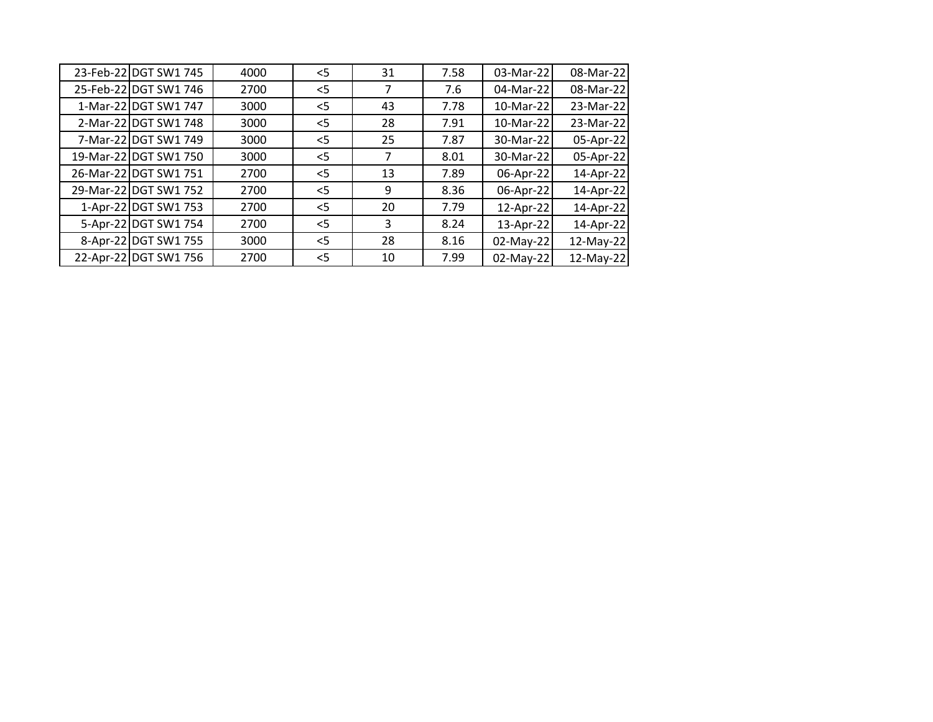| 23-Feb-22 DGT SW1 745 | 4000 | $<$ 5 | 31 | 7.58 | 03-Mar-22 | 08-Mar-22 |
|-----------------------|------|-------|----|------|-----------|-----------|
| 25-Feb-22 DGT SW1 746 | 2700 | $<$ 5 |    | 7.6  | 04-Mar-22 | 08-Mar-22 |
| 1-Mar-22 DGT SW1 747  | 3000 | $<$ 5 | 43 | 7.78 | 10-Mar-22 | 23-Mar-22 |
| 2-Mar-22 DGT SW1 748  | 3000 | $<$ 5 | 28 | 7.91 | 10-Mar-22 | 23-Mar-22 |
| 7-Mar-22 DGT SW1 749  | 3000 | $<$ 5 | 25 | 7.87 | 30-Mar-22 | 05-Apr-22 |
| 19-Mar-22 DGT SW1 750 | 3000 | $<$ 5 |    | 8.01 | 30-Mar-22 | 05-Apr-22 |
| 26-Mar-22 DGT SW1 751 | 2700 | $<$ 5 | 13 | 7.89 | 06-Apr-22 | 14-Apr-22 |
| 29-Mar-22 DGT SW1 752 | 2700 | $<$ 5 | 9  | 8.36 | 06-Apr-22 | 14-Apr-22 |
| 1-Apr-22 DGT SW1 753  | 2700 | $<$ 5 | 20 | 7.79 | 12-Apr-22 | 14-Apr-22 |
| 5-Apr-22 DGT SW1 754  | 2700 | $<$ 5 | 3  | 8.24 | 13-Apr-22 | 14-Apr-22 |
| 8-Apr-22 DGT SW1 755  | 3000 | $<$ 5 | 28 | 8.16 | 02-May-22 | 12-May-22 |
| 22-Apr-22 DGT SW1 756 | 2700 | $<$ 5 | 10 | 7.99 | 02-May-22 | 12-May-22 |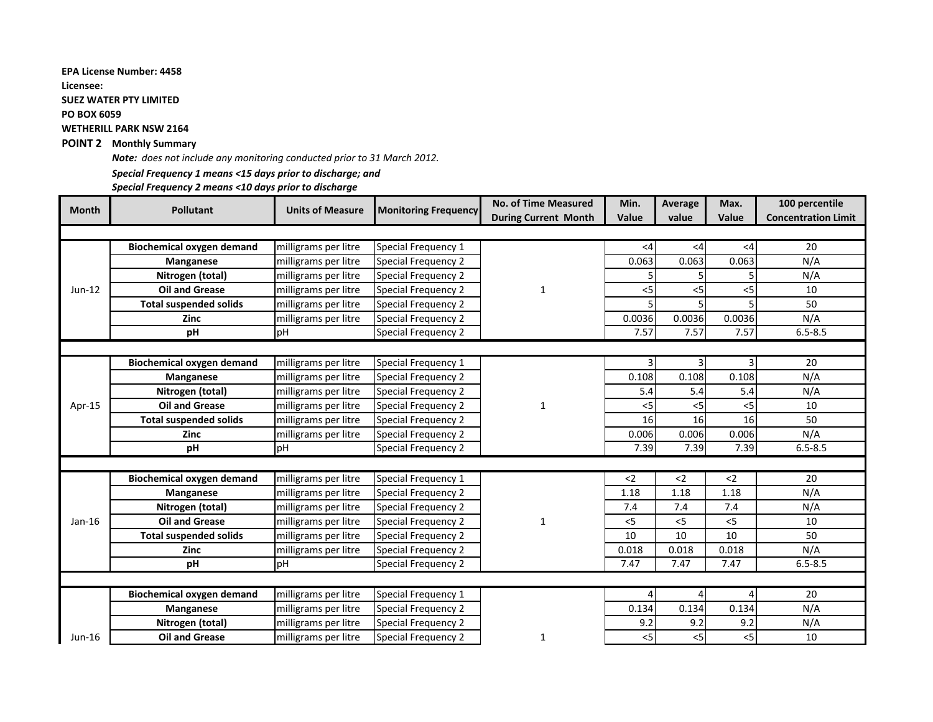### **EPA License Number: 4458**

**Licensee:**

**SUEZ WATER PTY LIMITED**

**PO BOX 6059**

**WETHERILL PARK NSW 2164**

### **POINT 2 Monthly Summary**

*Note: does not include any monitoring conducted prior to 31 March 2012.*

# *Special Frequency 1 means <15 days prior to discharge; and*

*Special Frequency 2 means <10 days prior to discharge*

| <b>Month</b> | <b>Pollutant</b>                 | <b>Units of Measure</b> |                             | <b>No. of Time Measured</b> | Min.   | Average | Max.           | 100 percentile             |
|--------------|----------------------------------|-------------------------|-----------------------------|-----------------------------|--------|---------|----------------|----------------------------|
|              |                                  |                         | <b>Monitoring Frequency</b> | <b>During Current Month</b> | Value  | value   | Value          | <b>Concentration Limit</b> |
|              |                                  |                         |                             |                             |        |         |                |                            |
| $Jun-12$     | <b>Biochemical oxygen demand</b> | milligrams per litre    | Special Frequency 1         |                             | <4     | $<$ 4   | $<$ 4          | 20                         |
|              | Manganese                        | milligrams per litre    | Special Frequency 2         |                             | 0.063  | 0.063   | 0.063          | N/A                        |
|              | Nitrogen (total)                 | milligrams per litre    | Special Frequency 2         |                             |        |         |                | N/A                        |
|              | <b>Oil and Grease</b>            | milligrams per litre    | Special Frequency 2         | 1                           | $<$ 5  | $<$ 5   | $<$ 5          | 10                         |
|              | <b>Total suspended solids</b>    | milligrams per litre    | Special Frequency 2         |                             |        |         |                | 50                         |
|              | <b>Zinc</b>                      | milligrams per litre    | Special Frequency 2         |                             | 0.0036 | 0.0036  | 0.0036         | N/A                        |
|              | pH                               | pH                      | Special Frequency 2         |                             | 7.57   | 7.57    | 7.57           | $6.5 - 8.5$                |
|              |                                  |                         |                             |                             |        |         |                |                            |
|              | <b>Biochemical oxygen demand</b> | milligrams per litre    | Special Frequency 1         |                             |        |         | $\overline{3}$ | 20                         |
| Apr-15       | Manganese                        | milligrams per litre    | Special Frequency 2         |                             | 0.108  | 0.108   | 0.108          | N/A                        |
|              | Nitrogen (total)                 | milligrams per litre    | Special Frequency 2         |                             | 5.4    | 5.4     | 5.4            | N/A                        |
|              | <b>Oil and Grease</b>            | milligrams per litre    | Special Frequency 2         | $\mathbf{1}$                | $<$ 5  | $<$ 5   | $<$ 5          | 10                         |
|              | <b>Total suspended solids</b>    | milligrams per litre    | Special Frequency 2         |                             | 16     | 16      | 16             | 50                         |
|              | <b>Zinc</b>                      | milligrams per litre    | Special Frequency 2         |                             | 0.006  | 0.006   | 0.006          | N/A                        |
|              | pH                               | <b>PH</b>               | Special Frequency 2         |                             | 7.39   | 7.39    | 7.39           | $6.5 - 8.5$                |
|              |                                  |                         |                             |                             |        |         |                |                            |
|              | <b>Biochemical oxygen demand</b> | milligrams per litre    | Special Frequency 1         |                             | $2$    | $2$     | $2$            | 20                         |
|              | Manganese                        | milligrams per litre    | Special Frequency 2         |                             | 1.18   | 1.18    | 1.18           | N/A                        |
|              | Nitrogen (total)                 | milligrams per litre    | Special Frequency 2         |                             | 7.4    | 7.4     | 7.4            | N/A                        |
| Jan-16       | <b>Oil and Grease</b>            | milligrams per litre    | Special Frequency 2         | 1                           | < 5    | < 5     | $<$ 5          | 10                         |
|              | <b>Total suspended solids</b>    | milligrams per litre    | Special Frequency 2         |                             | 10     | 10      | 10             | 50                         |
|              | <b>Zinc</b>                      | milligrams per litre    | Special Frequency 2         |                             | 0.018  | 0.018   | 0.018          | N/A                        |
|              | pH                               | pH                      | Special Frequency 2         |                             | 7.47   | 7.47    | 7.47           | $6.5 - 8.5$                |
|              |                                  |                         |                             |                             |        |         |                |                            |
|              | <b>Biochemical oxygen demand</b> | milligrams per litre    | Special Frequency 1         |                             |        |         | Δ              | 20                         |
|              | Manganese                        | milligrams per litre    | Special Frequency 2         |                             | 0.134  | 0.134   | 0.134          | N/A                        |
|              | Nitrogen (total)                 | milligrams per litre    | Special Frequency 2         |                             | 9.2    | 9.2     | 9.2            | N/A                        |
| Jun-16       | <b>Oil and Grease</b>            | milligrams per litre    | Special Frequency 2         | 1                           | $<$ 5  | $<$ 5   | $<$ 5          | 10                         |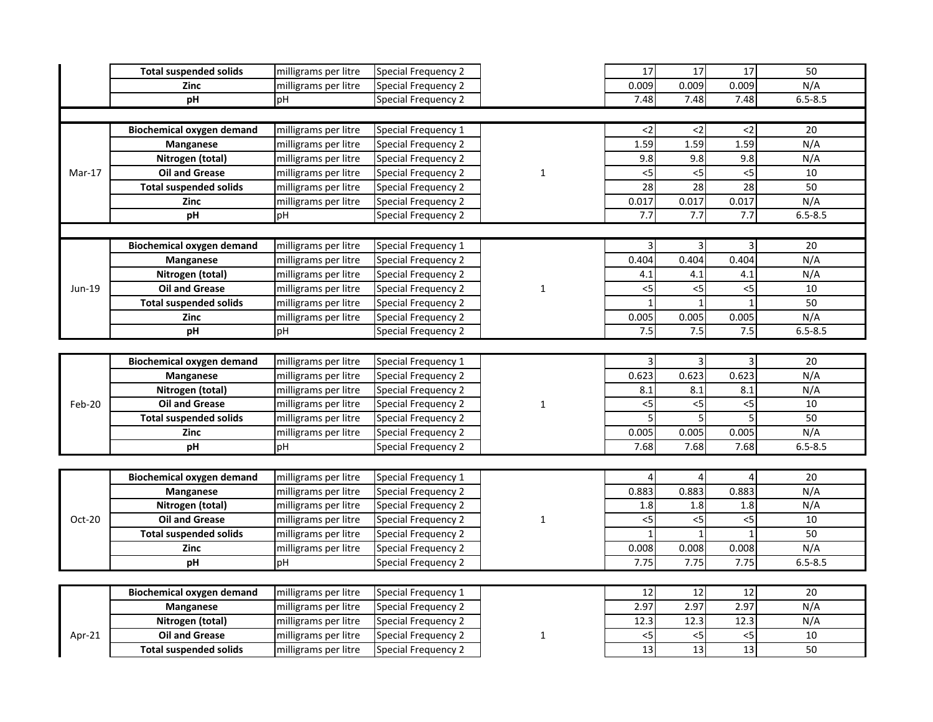|          | <b>Total suspended solids</b>    | milligrams per litre | <b>Special Frequency 2</b> |              | $\overline{17}$ | 17              | $\overline{17}$ | 50              |
|----------|----------------------------------|----------------------|----------------------------|--------------|-----------------|-----------------|-----------------|-----------------|
|          | Zinc                             | milligrams per litre | Special Frequency 2        |              | 0.009           | 0.009           | 0.009           | N/A             |
|          | pH                               | pH                   | Special Frequency 2        |              | 7.48            | 7.48            | 7.48            | $6.5 - 8.5$     |
|          |                                  |                      |                            |              |                 |                 |                 |                 |
|          | <b>Biochemical oxygen demand</b> | milligrams per litre | Special Frequency 1        |              | $2$             | $2$             | $\leq$          | 20              |
|          | Manganese                        | milligrams per litre | Special Frequency 2        |              | 1.59            | 1.59            | 1.59            | N/A             |
|          | Nitrogen (total)                 | milligrams per litre | Special Frequency 2        |              | 9.8             | 9.8             | 9.8             | N/A             |
| $Mar-17$ | <b>Oil and Grease</b>            | milligrams per litre | Special Frequency 2        | $\mathbf{1}$ | 5               | $<$ 5           | 5               | 10              |
|          | <b>Total suspended solids</b>    | milligrams per litre | Special Frequency 2        |              | 28              | $\overline{28}$ | 28              | 50              |
|          | Zinc                             | milligrams per litre | Special Frequency 2        |              | 0.017           | 0.017           | 0.017           | N/A             |
|          | pH                               | pH                   | Special Frequency 2        |              | 7.7             | 7.7             | 7.7             | $6.5 - 8.5$     |
|          |                                  |                      |                            |              |                 |                 |                 |                 |
|          | <b>Biochemical oxygen demand</b> | milligrams per litre | Special Frequency 1        |              |                 | $\overline{3}$  |                 | $\overline{20}$ |
|          | Manganese                        | milligrams per litre | Special Frequency 2        |              | 0.404           | 0.404           | 0.404           | N/A             |
|          | Nitrogen (total)                 | milligrams per litre | Special Frequency 2        |              | 4.1             | 4.1             | 4.1             | N/A             |
| Jun-19   | <b>Oil and Grease</b>            | milligrams per litre | Special Frequency 2        | $\mathbf{1}$ | $<$ 5           | $< 5$           | $<$ 5           | 10              |
|          | <b>Total suspended solids</b>    | milligrams per litre | Special Frequency 2        |              | $\mathbf{1}$    | $1\overline{ }$ |                 | 50              |
|          | Zinc                             | milligrams per litre | Special Frequency 2        |              | 0.005           | 0.005           | 0.005           | N/A             |
|          | pH                               | pH                   | Special Frequency 2        |              | 7.5             | 7.5             | 7.5             | $6.5 - 8.5$     |
|          |                                  |                      |                            |              |                 |                 |                 |                 |
|          | <b>Biochemical oxygen demand</b> | milligrams per litre | Special Frequency 1        |              | 3               | $\overline{3}$  |                 | 20              |
|          | Manganese                        | milligrams per litre | Special Frequency 2        | $\mathbf{1}$ | 0.623           | 0.623           | 0.623           | N/A             |
| Feb-20   | Nitrogen (total)                 | milligrams per litre | Special Frequency 2        |              | 8.1             | 8.1             | 8.1             | N/A             |
|          | <b>Oil and Grease</b>            | milligrams per litre | Special Frequency 2        |              | $<$ 5           | $< 5$           | $<$ 5           | 10              |
|          | <b>Total suspended solids</b>    | milligrams per litre | Special Frequency 2        |              | 5               | $\overline{5}$  | 5               | 50              |
|          | Zinc                             | milligrams per litre | Special Frequency 2        |              | 0.005           | 0.005           | 0.005           | N/A             |
|          | pH                               | pH                   | Special Frequency 2        |              | 7.68            | 7.68            | 7.68            | $6.5 - 8.5$     |
|          |                                  |                      |                            |              |                 |                 |                 |                 |
|          | <b>Biochemical oxygen demand</b> | milligrams per litre | Special Frequency 1        |              |                 | $\overline{4}$  |                 | 20              |
|          | Manganese                        | milligrams per litre | Special Frequency 2        |              | 0.883           | 0.883           | 0.883           | N/A             |
|          | Nitrogen (total)                 | milligrams per litre | Special Frequency 2        |              | 1.8             | 1.8             | 1.8             | N/A             |
| Oct-20   | <b>Oil and Grease</b>            | milligrams per litre | Special Frequency 2        | 1            | 5               | $<$ 5           | 5               | 10              |
|          | <b>Total suspended solids</b>    | milligrams per litre | Special Frequency 2        |              | $\mathbf{1}$    | $\mathbf{1}$    |                 | 50              |
|          | Zinc                             | milligrams per litre | Special Frequency 2        |              | 0.008           | 0.008           | 0.008           | N/A             |
|          | pH                               | pH                   | Special Frequency 2        |              | 7.75            | 7.75            | 7.75            | $6.5 - 8.5$     |
|          |                                  |                      |                            |              |                 |                 |                 |                 |
|          | <b>Biochemical oxygen demand</b> | milligrams per litre | Special Frequency 1        |              | 12              | 12              | 12              | 20              |
|          | Manganese                        | milligrams per litre | Special Frequency 2        |              | 2.97            | 2.97            | 2.97            | N/A             |
|          | Nitrogen (total)                 | milligrams per litre | Special Frequency 2        |              | 12.3            | 12.3            | 12.3            | N/A             |
| Apr-21   | <b>Oil and Grease</b>            | milligrams per litre | Special Frequency 2        | 1            | $<$ 5           | 5               | $<$ 5           | 10              |
|          | <b>Total suspended solids</b>    | milligrams per litre | Special Frequency 2        |              | 13              | $\overline{13}$ | 13              | 50              |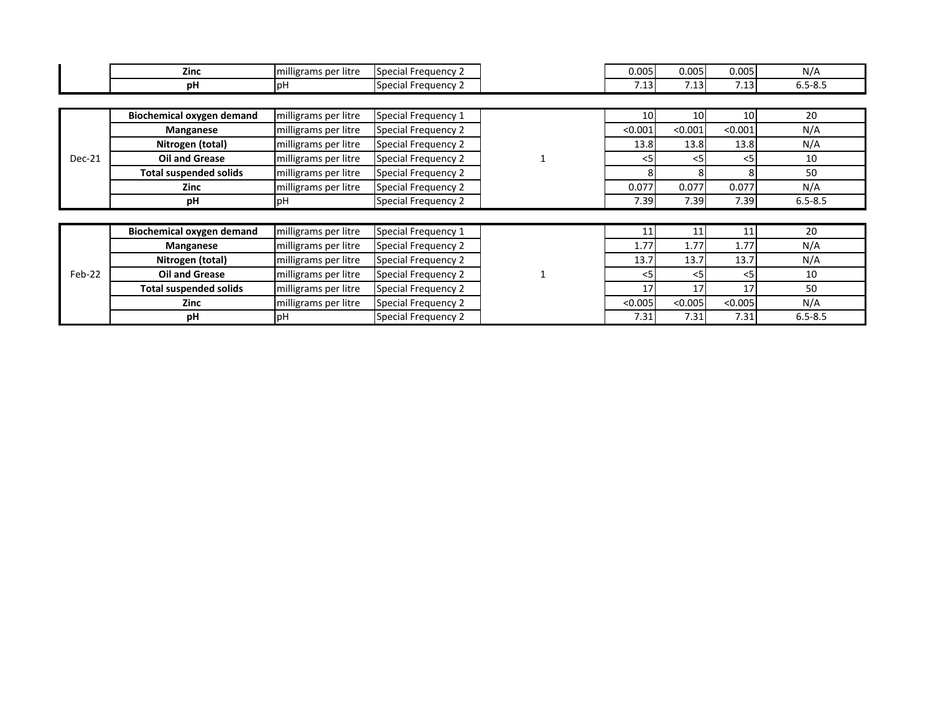|        | <b>Zinc</b>                      | Special Frequency 2<br>milligrams per litre |                     | 0.005           | 0.005           | 0.005           | N/A         |
|--------|----------------------------------|---------------------------------------------|---------------------|-----------------|-----------------|-----------------|-------------|
|        | pH                               | pН                                          | Special Frequency 2 | 7.13            | 7.13            | 7.13            | $6.5 - 8.5$ |
|        |                                  |                                             |                     |                 |                 |                 |             |
|        | Biochemical oxygen demand        | milligrams per litre                        | Special Frequency 1 | 10 <sup>1</sup> | 10 <sup>1</sup> | 10 <sup>1</sup> | 20          |
|        | Manganese                        | milligrams per litre                        | Special Frequency 2 | < 0.001         | < 0.001         | < 0.001         | N/A         |
|        | Nitrogen (total)                 | milligrams per litre                        | Special Frequency 2 | 13.8            | 13.8            | 13.8            | N/A         |
| Dec-21 | Oil and Grease                   | milligrams per litre                        | Special Frequency 2 | $<$ 5           | 5<              | $<$ 5           | 10          |
|        | <b>Total suspended solids</b>    | milligrams per litre                        | Special Frequency 2 |                 |                 |                 | 50          |
|        | Zinc                             | milligrams per litre                        | Special Frequency 2 | 0.077           | 0.077           | 0.077           | N/A         |
|        | рH                               | pH                                          | Special Frequency 2 | 7.39            | 7.39            | 7.39            | $6.5 - 8.5$ |
|        |                                  |                                             |                     |                 |                 |                 |             |
|        | <b>Biochemical oxygen demand</b> | milligrams per litre                        | Special Frequency 1 | 11              | 11              | 11              | 20          |
|        | Manganese                        | milligrams per litre                        | Special Frequency 2 | 1.77            | 1.77            | 1.77            | N/A         |
|        | Nitrogen (total)                 | milligrams per litre                        | Special Frequency 2 | 13.7            | 13.7            | 13.7            | N/A         |
| Feb-22 | Oil and Grease                   | milligrams per litre                        | Special Frequency 2 | $<$ 5           |                 | <5              | 10          |
|        | <b>Total suspended solids</b>    | milligrams per litre                        | Special Frequency 2 | 17              | 17              | 17              | 50          |
|        | Zinc                             | milligrams per litre                        | Special Frequency 2 | < 0.005         | < 0.005         | < 0.005         | N/A         |
|        | pH                               | <b>pH</b>                                   | Special Frequency 2 | 7.31            | 7.31            | 7.31            | $6.5 - 8.5$ |